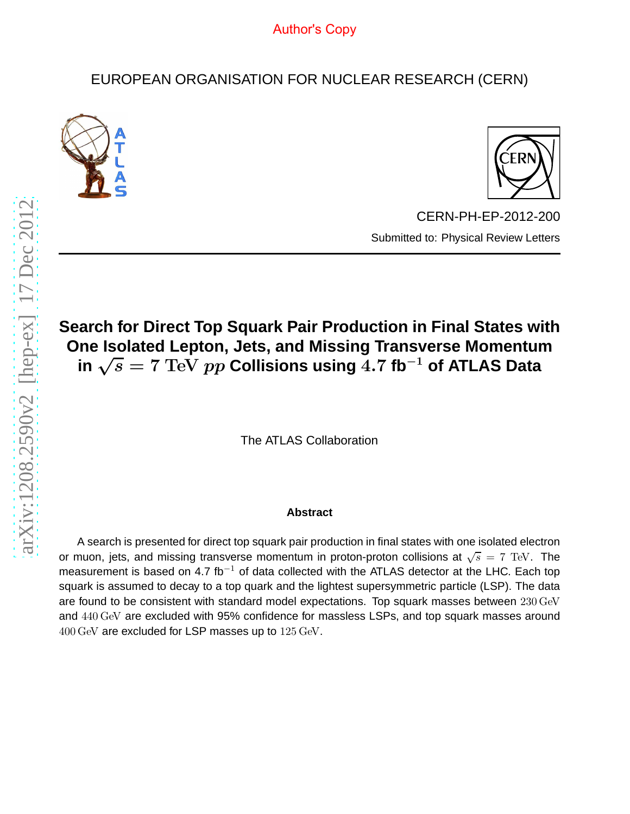# EUROPEAN ORGANISATION FOR NUCLEAR RESEARCH (CERN)





CERN-PH-EP-2012-200 Submitted to: Physical Review Letters

# **Search for Direct Top Squark Pair Production in Final States with One Isolated Lepton, Jets, and Missing Transverse Momentum in** √s = 7 TeV pp **Collisions using** 4.7 **fb**−<sup>1</sup> **of ATLAS Data**

The ATLAS Collaboration

#### **Abstract**

A search is presented for direct top squark pair production in final states with one isolated electron or muon, jets, and missing transverse momentum in proton-proton collisions at  $\sqrt{s} = 7$  TeV. The measurement is based on 4.7 fb<sup>-1</sup> of data collected with the ATLAS detector at the LHC. Each top squark is assumed to decay to a top quark and the lightest supersymmetric particle (LSP). The data are found to be consistent with standard model expectations. Top squark masses between 230 GeV and 440 GeV are excluded with 95% confidence for massless LSPs, and top squark masses around 400 GeV are excluded for LSP masses up to 125 GeV.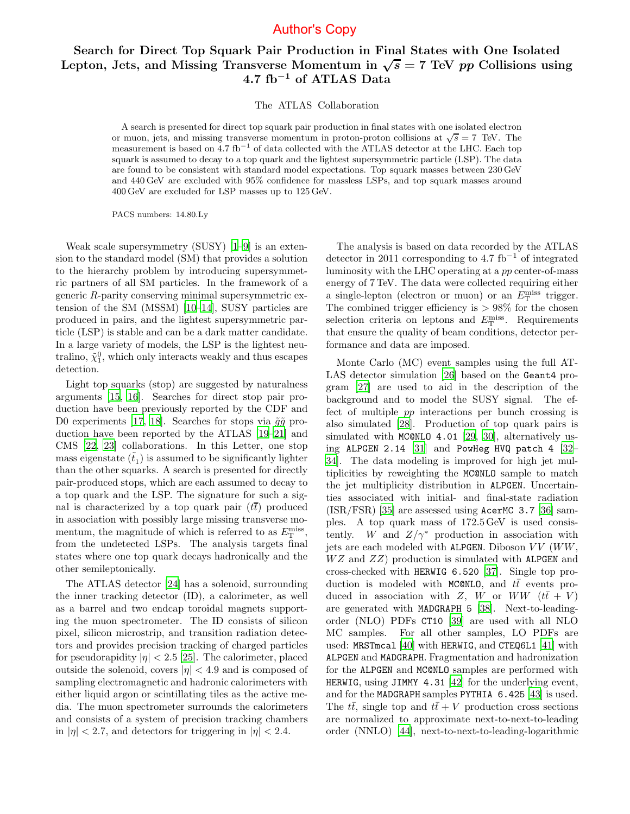#### Search for Direct Top Squark Pair Production in Final States with One Isolated Lepton, Jets, and Missing Transverse Momentum in  $\sqrt{s} = 7$  TeV pp Collisions using 4.7 fb<sup>−</sup><sup>1</sup> of ATLAS Data

The ATLAS Collaboration

A search is presented for direct top squark pair production in final states with one isolated electron or muon, jets, and missing transverse momentum in proton-proton collisions at  $\sqrt{s} = 7$  TeV. The measurement is based on  $\overline{4.7}$  fb<sup>-1</sup> of data collected with the ATLAS detector at the LHC. Each top squark is assumed to decay to a top quark and the lightest supersymmetric particle (LSP). The data are found to be consistent with standard model expectations. Top squark masses between 230 GeV and 440 GeV are excluded with 95% confidence for massless LSPs, and top squark masses around 400 GeV are excluded for LSP masses up to 125 GeV.

PACS numbers: 14.80.Ly

Weak scale supersymmetry (SUSY) [\[1](#page-5-0)[–9\]](#page-5-1) is an extension to the standard model (SM) that provides a solution to the hierarchy problem by introducing supersymmetric partners of all SM particles. In the framework of a generic R-parity conserving minimal supersymmetric extension of the SM (MSSM) [\[10](#page-5-2)[–14\]](#page-5-3), SUSY particles are produced in pairs, and the lightest supersymmetric particle (LSP) is stable and can be a dark matter candidate. In a large variety of models, the LSP is the lightest neutralino,  $\tilde{\chi}_1^0$ , which only interacts weakly and thus escapes detection.

Light top squarks (stop) are suggested by naturalness arguments [\[15,](#page-5-4) [16](#page-5-5)]. Searches for direct stop pair production have been previously reported by the CDF and D0 experiments [\[17,](#page-5-6) [18](#page-5-7)]. Searches for stops via  $\tilde{g}\tilde{g}$  production have been reported by the ATLAS [\[19](#page-5-8)[–21](#page-5-9)] and CMS [\[22,](#page-5-10) [23](#page-5-11)] collaborations. In this Letter, one stop mass eigenstate  $(\tilde{t}_1)$  is assumed to be significantly lighter than the other squarks. A search is presented for directly pair-produced stops, which are each assumed to decay to a top quark and the LSP. The signature for such a signal is characterized by a top quark pair  $(t\bar{t})$  produced in association with possibly large missing transverse momentum, the magnitude of which is referred to as  $E_{\rm T}^{\rm miss}$ , from the undetected LSPs. The analysis targets final states where one top quark decays hadronically and the other semileptonically.

The ATLAS detector [\[24\]](#page-5-12) has a solenoid, surrounding the inner tracking detector (ID), a calorimeter, as well as a barrel and two endcap toroidal magnets supporting the muon spectrometer. The ID consists of silicon pixel, silicon microstrip, and transition radiation detectors and provides precision tracking of charged particles for pseudorapidity  $|\eta| < 2.5$  [\[25\]](#page-5-13). The calorimeter, placed outside the solenoid, covers  $|\eta| < 4.9$  and is composed of sampling electromagnetic and hadronic calorimeters with either liquid argon or scintillating tiles as the active media. The muon spectrometer surrounds the calorimeters and consists of a system of precision tracking chambers in  $|\eta|$  < 2.7, and detectors for triggering in  $|\eta|$  < 2.4.

The analysis is based on data recorded by the ATLAS detector in 2011 corresponding to 4.7 fb<sup>-1</sup> of integrated luminosity with the LHC operating at a pp center-of-mass energy of 7 TeV. The data were collected requiring either a single-lepton (electron or muon) or an  $E_{\rm T}^{\rm miss}$  trigger. The combined trigger efficiency is  $> 98\%$  for the chosen selection criteria on leptons and  $E_{\rm T}^{\rm miss}$ . Requirements that ensure the quality of beam conditions, detector performance and data are imposed.

Monte Carlo (MC) event samples using the full AT-LAS detector simulation [\[26\]](#page-5-14) based on the Geant4 program [\[27\]](#page-5-15) are used to aid in the description of the background and to model the SUSY signal. The effect of multiple pp interactions per bunch crossing is also simulated [\[28](#page-5-16)]. Production of top quark pairs is simulated with MC@NLO 4.01 [\[29](#page-5-17), [30\]](#page-5-18), alternatively us-ing ALPGEN 2.14 [\[31\]](#page-5-19) and PowHeg HVQ patch 4 [\[32](#page-5-20)– [34](#page-5-21)]. The data modeling is improved for high jet multiplicities by reweighting the MC@NLO sample to match the jet multiplicity distribution in ALPGEN. Uncertainties associated with initial- and final-state radiation  $(ISR/FSR)$  [\[35](#page-5-22)] are assessed using AcerMC 3.7 [\[36\]](#page-5-23) samples. A top quark mass of 172.5 GeV is used consistently. W and  $Z/\gamma^*$  production in association with jets are each modeled with ALPGEN. Diboson  $VV$  ( $WW$ ,  $WZ$  and  $ZZ$ ) production is simulated with ALPGEN and cross-checked with HERWIG 6.520 [\[37\]](#page-5-24). Single top production is modeled with MC@NLO, and  $t\bar{t}$  events produced in association with Z, W or WW  $(t\bar{t} + V)$ are generated with MADGRAPH 5 [\[38\]](#page-5-25). Next-to-leadingorder (NLO) PDFs CT10 [\[39\]](#page-5-26) are used with all NLO MC samples. For all other samples, LO PDFs are used: MRSTmcal [\[40\]](#page-5-27) with HERWIG, and CTEQ6L1 [\[41](#page-5-28)] with ALPGEN and MADGRAPH. Fragmentation and hadronization for the ALPGEN and MC@NLO samples are performed with HERWIG, using JIMMY 4.31 [\[42\]](#page-5-29) for the underlying event, and for the MADGRAPH samples PYTHIA 6.425 [\[43](#page-5-30)] is used. The  $t\bar{t}$ , single top and  $t\bar{t} + V$  production cross sections are normalized to approximate next-to-next-to-leading order (NNLO) [\[44\]](#page-5-31), next-to-next-to-leading-logarithmic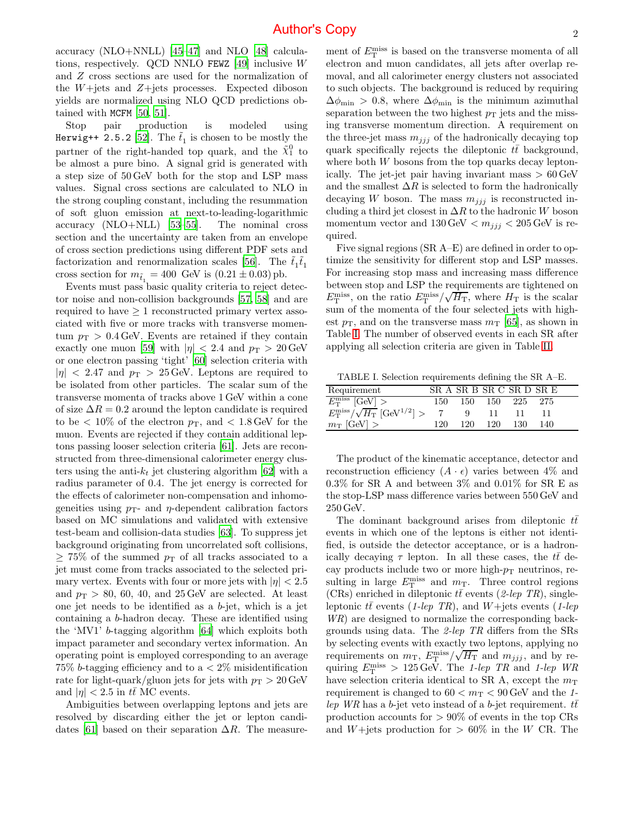accuracy (NLO+NNLL) [\[45](#page-5-32)[–47\]](#page-5-33) and NLO [\[48\]](#page-5-34) calcula-tions, respectively. QCD NNLO FEWZ [\[49](#page-5-35)] inclusive  $W$ and Z cross sections are used for the normalization of the  $W + \text{jets}$  and  $Z + \text{jets}$  processes. Expected diboson yields are normalized using NLO QCD predictions obtained with MCFM [\[50](#page-5-36), [51](#page-5-37)].

Stop pair production is modeled using Herwig++ 2.5.2 [\[52](#page-5-38)]. The  $\tilde{t}_1$  is chosen to be mostly the partner of the right-handed top quark, and the  $\tilde{\chi}_1^0$  to be almost a pure bino. A signal grid is generated with a step size of 50 GeV both for the stop and LSP mass values. Signal cross sections are calculated to NLO in the strong coupling constant, including the resummation of soft gluon emission at next-to-leading-logarithmic accuracy (NLO+NLL) [\[53](#page-5-39)[–55\]](#page-5-40). The nominal cross section and the uncertainty are taken from an envelope of cross section predictions using different PDF sets and factorization and renormalization scales [\[56\]](#page-5-41). The  $\tilde{t}_1 \tilde{t}_1$ cross section for  $m_{\tilde{t}_1} = 400$  GeV is  $(0.21 \pm 0.03)$  pb.

Events must pass basic quality criteria to reject detector noise and non-collision backgrounds [\[57,](#page-5-42) [58\]](#page-5-43) and are required to have  $\geq 1$  reconstructed primary vertex associated with five or more tracks with transverse momentum  $p_T > 0.4$  GeV. Events are retained if they contain exactly one muon [\[59\]](#page-5-44) with  $|\eta| < 2.4$  and  $p_T > 20$  GeV or one electron passing 'tight' [\[60](#page-5-45)] selection criteria with  $|\eta|$  < 2.47 and  $p_T > 25$  GeV. Leptons are required to be isolated from other particles. The scalar sum of the transverse momenta of tracks above 1 GeV within a cone of size  $\Delta R = 0.2$  around the lepton candidate is required to be  $\langle 10\%$  of the electron  $p_T$ , and  $\langle 1.8 \text{ GeV} \rangle$  for the muon. Events are rejected if they contain additional leptons passing looser selection criteria [\[61\]](#page-5-46). Jets are reconstructed from three-dimensional calorimeter energy clusters using the anti- $k_t$  jet clustering algorithm [\[62\]](#page-5-47) with a radius parameter of 0.4. The jet energy is corrected for the effects of calorimeter non-compensation and inhomogeneities using  $p_T$ - and  $\eta$ -dependent calibration factors based on MC simulations and validated with extensive test-beam and collision-data studies [\[63\]](#page-5-48). To suppress jet background originating from uncorrelated soft collisions,  $\geq$  75% of the summed  $p_T$  of all tracks associated to a jet must come from tracks associated to the selected primary vertex. Events with four or more jets with  $|\eta| < 2.5$ and  $p_T > 80, 60, 40,$  and  $25 \,\text{GeV}$  are selected. At least one jet needs to be identified as a b-jet, which is a jet containing a b-hadron decay. These are identified using the 'MV1' b-tagging algorithm [\[64\]](#page-5-49) which exploits both impact parameter and secondary vertex information. An operating point is employed corresponding to an average 75% b-tagging efficiency and to  $a < 2\%$  misidentification rate for light-quark/gluon jets for jets with  $p_T > 20$  GeV and  $|\eta| < 2.5$  in  $t\bar{t}$  MC events.

Ambiguities between overlapping leptons and jets are resolved by discarding either the jet or lepton candi-dates [\[61](#page-5-46)] based on their separation  $\Delta R$ . The measure-

ment of  $E_{\rm T}^{\rm miss}$  is based on the transverse momenta of all electron and muon candidates, all jets after overlap removal, and all calorimeter energy clusters not associated to such objects. The background is reduced by requiring  $\Delta\phi_{\rm min} > 0.8$ , where  $\Delta\phi_{\rm min}$  is the minimum azimuthal separation between the two highest  $p<sub>T</sub>$  jets and the missing transverse momentum direction. A requirement on the three-jet mass  $m_{jjj}$  of the hadronically decaying top quark specifically rejects the dileptonic  $t\bar{t}$  background, where both  $W$  bosons from the top quarks decay leptonically. The jet-jet pair having invariant mass  $> 60 \,\text{GeV}$ and the smallest  $\Delta R$  is selected to form the hadronically decaying W boson. The mass  $m_{ijj}$  is reconstructed including a third jet closest in  $\Delta R$  to the hadronic W boson momentum vector and  $130 \,\text{GeV} < m_{jj} < 205 \,\text{GeV}$  is required.

Five signal regions (SR A–E) are defined in order to optimize the sensitivity for different stop and LSP masses. For increasing stop mass and increasing mass difference between stop and LSP the requirements are tightened on  $E_T^{\text{miss}}$ , on the ratio  $E_T^{\text{miss}}/\sqrt{H_T}$ , where  $H_T$  is the scalar sum of the momenta of the four selected jets with highest  $p_{\rm T}$ , and on the transverse mass  $m_{\rm T}$  [\[65\]](#page-5-50), as shown in Table [I.](#page-2-0) The number of observed events in each SR after applying all selection criteria are given in Table [II.](#page-4-0)

<span id="page-2-0"></span>TABLE I. Selection requirements defining the SR A–E.

| Requirement                                                     |      | SR A SR B SR C SR D SR E |      |     |  |
|-----------------------------------------------------------------|------|--------------------------|------|-----|--|
| $E_{\rm T}^{\rm miss}$ [GeV] >                                  |      | 150 150 150 225 275      |      |     |  |
| $E_{\rm T}^{\rm miss}/\sqrt{H_{\rm T}}$ [GeV <sup>1/2</sup> ] > |      | - 11 - 11                |      |     |  |
| $m_{\rm T}$ [GeV] >                                             | 120. | 120 120                  | -130 | 140 |  |

The product of the kinematic acceptance, detector and reconstruction efficiency  $(A \cdot \epsilon)$  varies between 4\% and 0.3% for SR A and between 3% and 0.01% for SR E as the stop-LSP mass difference varies between 550 GeV and 250 GeV.

The dominant background arises from dileptonic  $t\bar{t}$ events in which one of the leptons is either not identified, is outside the detector acceptance, or is a hadronically decaying  $\tau$  lepton. In all these cases, the  $t\bar{t}$  decay products include two or more high- $p_T$  neutrinos, resulting in large  $E_{\rm T}^{\rm miss}$  and  $m_{\rm T}$ . Three control regions (CRs) enriched in dileptonic  $t\bar{t}$  events (2-lep TR), singleleptonic tt events (1-lep TR), and W+jets events (1-lep WR) are designed to normalize the corresponding backgrounds using data. The 2-lep TR differs from the SRs by selecting events with exactly two leptons, applying no requirements on  $m_T$ ,  $E_T^{\text{miss}} / \sqrt{H_T}$  and  $m_{jjj}$ , and by requiring  $E_{\rm T}^{\rm miss} > 125 \,\text{GeV}$ . The 1-lep TR and 1-lep WR have selection criteria identical to SR A, except the  $m<sub>T</sub>$ requirement is changed to  $60 < m<sub>T</sub> < 90$  GeV and the 1lep WR has a b-jet veto instead of a b-jet requirement.  $t\bar{t}$ production accounts for  $> 90\%$  of events in the top CRs and W+jets production for  $> 60\%$  in the W CR. The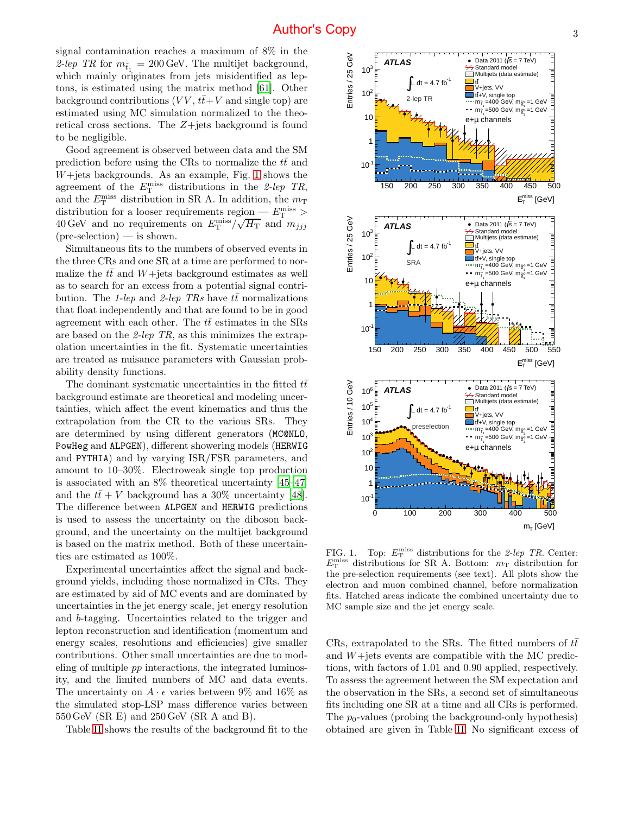signal contamination reaches a maximum of 8% in the 2-lep TR for  $m_{\tilde{t}_1} = 200 \,\text{GeV}$ . The multijet background, which mainly originates from jets misidentified as leptons, is estimated using the matrix method [\[61](#page-5-46)]. Other background contributions  $(VV, t\bar{t}+V$  and single top) are estimated using MC simulation normalized to the theoretical cross sections. The Z+jets background is found to be negligible.

Good agreement is observed between data and the SM prediction before using the CRs to normalize the  $t\bar{t}$  and  $W +$ jets backgrounds. As an example, Fig. [1](#page-3-0) shows the agreement of the  $E_{\rm T}^{\rm miss}$  distributions in the 2-lep TR, and the  $E_{\rm T}^{\rm miss}$  distribution in SR A. In addition, the  $m_{\rm T}$ distribution for a looser requirements region —  $E_{\rm T}^{\rm miss}$  > 40 GeV and no requirements on  $E_{\rm T}^{\rm miss}/\sqrt{H_{\rm T}}$  and  $m_{jjj}$  $(\text{pre-selection})$  — is shown.

Simultaneous fits to the numbers of observed events in the three CRs and one SR at a time are performed to normalize the  $t\bar{t}$  and  $W+$ jets background estimates as well as to search for an excess from a potential signal contribution. The 1-lep and 2-lep TRs have  $t\bar{t}$  normalizations that float independently and that are found to be in good agreement with each other. The  $t\bar{t}$  estimates in the SRs are based on the 2-lep TR, as this minimizes the extrapolation uncertainties in the fit. Systematic uncertainties are treated as nuisance parameters with Gaussian probability density functions.

The dominant systematic uncertainties in the fitted  $t\bar{t}$ background estimate are theoretical and modeling uncertainties, which affect the event kinematics and thus the extrapolation from the CR to the various SRs. They are determined by using different generators (MC@NLO, PowHeg and ALPGEN), different showering models (HERWIG and PYTHIA) and by varying ISR/FSR parameters, and amount to 10–30%. Electroweak single top production is associated with an 8% theoretical uncertainty [\[45](#page-5-32)[–47\]](#page-5-33) and the  $t\bar{t}+V$  background has a 30% uncertainty [\[48\]](#page-5-34). The difference between ALPGEN and HERWIG predictions is used to assess the uncertainty on the diboson background, and the uncertainty on the multijet background is based on the matrix method. Both of these uncertainties are estimated as 100%.

Experimental uncertainties affect the signal and background yields, including those normalized in CRs. They are estimated by aid of MC events and are dominated by uncertainties in the jet energy scale, jet energy resolution and b-tagging. Uncertainties related to the trigger and lepton reconstruction and identification (momentum and energy scales, resolutions and efficiencies) give smaller contributions. Other small uncertainties are due to modeling of multiple pp interactions, the integrated luminosity, and the limited numbers of MC and data events. The uncertainty on  $A \cdot \epsilon$  varies between 9% and 16% as the simulated stop-LSP mass difference varies between 550 GeV (SR E) and 250 GeV (SR A and B).

Table [II](#page-4-0) shows the results of the background fit to the



<span id="page-3-0"></span>FIG. 1. Top:  $E_{\rm T}^{\rm miss}$  distributions for the 2-lep TR. Center:  $E_{\rm T}^{\rm miss}$  distributions for SR A. Bottom:  $m_{\rm T}$  distribution for the pre-selection requirements (see text). All plots show the electron and muon combined channel, before normalization fits. Hatched areas indicate the combined uncertainty due to MC sample size and the jet energy scale.

CRs, extrapolated to the SRs. The fitted numbers of  $t\bar{t}$ and  $W +$ jets events are compatible with the MC predictions, with factors of 1.01 and 0.90 applied, respectively. To assess the agreement between the SM expectation and the observation in the SRs, a second set of simultaneous fits including one SR at a time and all CRs is performed. The  $p_0$ -values (probing the background-only hypothesis) obtained are given in Table [II.](#page-4-0) No significant excess of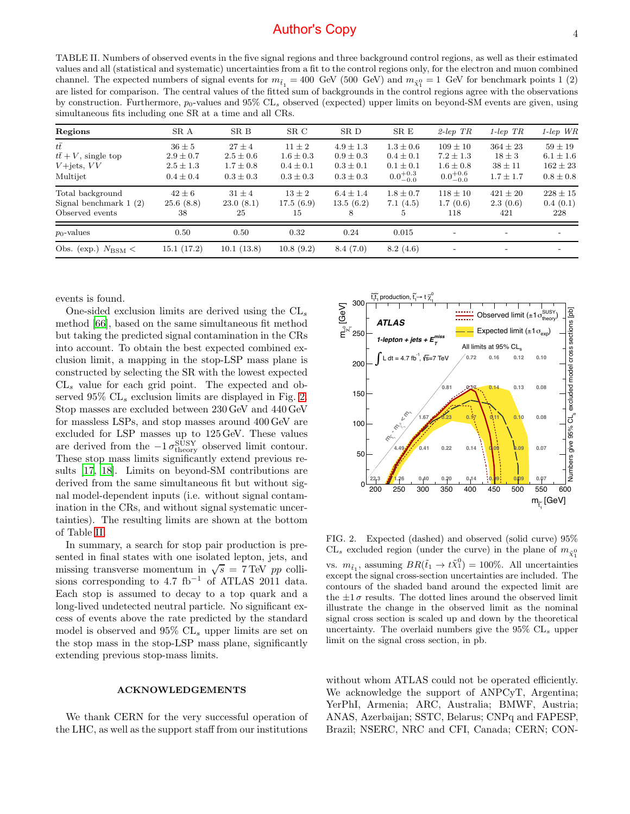<span id="page-4-0"></span>TABLE II. Numbers of observed events in the five signal regions and three background control regions, as well as their estimated values and all (statistical and systematic) uncertainties from a fit to the control regions only, for the electron and muon combined channel. The expected numbers of signal events for  $m_{\tilde{t}_1} = 400\,$  GeV (500 GeV) and  $m_{\tilde{\chi}_1^0} = 1\,$  GeV for benchmark points 1 (2) are listed for comparison. The central values of the fitted sum of backgrounds in the control regions agree with the observations by construction. Furthermore,  $p_0$ -values and 95% CL<sub>s</sub> observed (expected) upper limits on beyond-SM events are given, using simultaneous fits including one SR at a time and all CRs.

| Regions                                                                      | SR A                                                          | SR B                                                        | SR C                                                        | SR D                                                             | SR E                                                                   | $2$ -lep TR                                                         | $1$ -lep TR                                                | $1$ -lep $WR$                                               |
|------------------------------------------------------------------------------|---------------------------------------------------------------|-------------------------------------------------------------|-------------------------------------------------------------|------------------------------------------------------------------|------------------------------------------------------------------------|---------------------------------------------------------------------|------------------------------------------------------------|-------------------------------------------------------------|
| $t\bar{t}$<br>$t\bar{t} + V$ , single top<br>$V+{\rm jets},\,VV$<br>Multijet | $36 \pm 5$<br>$2.9 \pm 0.7$<br>$2.5 \pm 1.3$<br>$0.4 \pm 0.4$ | $27 + 4$<br>$2.5 \pm 0.6$<br>$1.7 \pm 0.8$<br>$0.3 \pm 0.3$ | $11 + 2$<br>$1.6 \pm 0.3$<br>$0.4 \pm 0.1$<br>$0.3 \pm 0.3$ | $4.9 \pm 1.3$<br>$0.9 \pm 0.3$<br>$0.3 \pm 0.1$<br>$0.3 \pm 0.3$ | $1.3 \pm 0.6$<br>$0.4 \pm 0.1$<br>$0.1 \pm 0.1$<br>$0.0^{+0.3}_{-0.0}$ | $109 + 10$<br>$7.2 \pm 1.3$<br>$1.6 \pm 0.8$<br>$0.0^{+0.6}_{-0.0}$ | $364 \pm 23$<br>$18 \pm 3$<br>$38 \pm 11$<br>$1.7 \pm 1.7$ | $59 + 19$<br>$6.1 \pm 1.6$<br>$162 \pm 23$<br>$0.8 \pm 0.8$ |
| Total background<br>Signal benchmark $1(2)$<br>Observed events               | $42 \pm 6$<br>25.6(8.8)<br>38                                 | $31 \pm 4$<br>23.0(8.1)<br>25                               | $13 \pm 2$<br>17.5(6.9)<br>15                               | $6.4 \pm 1.4$<br>13.5(6.2)<br>8                                  | $1.8 \pm 0.7$<br>7.1(4.5)<br>5                                         | $118 \pm 10$<br>1.7(0.6)<br>118                                     | $421 \pm 20$<br>2.3(0.6)<br>421                            | $228 \pm 15$<br>0.4(0.1)<br>228                             |
| $p_0$ -values                                                                | 0.50                                                          | 0.50                                                        | 0.32                                                        | 0.24                                                             | 0.015                                                                  | $\overline{\phantom{0}}$                                            | $\overline{\phantom{a}}$                                   |                                                             |
| Obs. (exp.) $N_{BSM}$ <                                                      | 15.1(17.2)                                                    | 10.1(13.8)                                                  | 10.8(9.2)                                                   | 8.4(7.0)                                                         | 8.2(4.6)                                                               |                                                                     | $\overline{\phantom{a}}$                                   |                                                             |
|                                                                              |                                                               |                                                             |                                                             |                                                                  |                                                                        |                                                                     |                                                            |                                                             |

events is found.

One-sided exclusion limits are derived using the  $CL_s$ method [\[66\]](#page-6-0), based on the same simultaneous fit method but taking the predicted signal contamination in the CRs into account. To obtain the best expected combined exclusion limit, a mapping in the stop-LSP mass plane is constructed by selecting the SR with the lowest expected  $CL<sub>s</sub>$  value for each grid point. The expected and observed  $95\%$  CL<sub>s</sub> exclusion limits are displayed in Fig. [2.](#page-4-1) Stop masses are excluded between 230 GeV and 440 GeV for massless LSPs, and stop masses around 400 GeV are excluded for LSP masses up to 125 GeV. These values are derived from the  $-1 \sigma_{\text{theory}}^{\text{SUSY}}$  observed limit contour. These stop mass limits significantly extend previous results [\[17](#page-5-6), [18\]](#page-5-7). Limits on beyond-SM contributions are derived from the same simultaneous fit but without signal model-dependent inputs (i.e. without signal contamination in the CRs, and without signal systematic uncertainties). The resulting limits are shown at the bottom of Table [II.](#page-4-0)

In summary, a search for stop pair production is presented in final states with one isolated lepton, jets, and missing transverse momentum in  $\sqrt{s}$  = 7 TeV pp collisions corresponding to  $4.7 \text{ fb}^{-1}$  of ATLAS 2011 data. Each stop is assumed to decay to a top quark and a long-lived undetected neutral particle. No significant excess of events above the rate predicted by the standard model is observed and  $95\%$  CL<sub>s</sub> upper limits are set on the stop mass in the stop-LSP mass plane, significantly extending previous stop-mass limits.

#### ACKNOWLEDGEMENTS

We thank CERN for the very successful operation of the LHC, as well as the support staff from our institutions



<span id="page-4-1"></span>FIG. 2. Expected (dashed) and observed (solid curve) 95%  $CL_s$  excluded region (under the curve) in the plane of  $m_{\tilde{\chi}^0_1}$ vs.  $m_{\tilde{t}_1}$ , assuming  $BR(\tilde{t}_1 \to t \tilde{\chi}_1^0) = 100\%$ . All uncertainties except the signal cross-section uncertainties are included. The contours of the shaded band around the expected limit are the  $\pm 1\sigma$  results. The dotted lines around the observed limit illustrate the change in the observed limit as the nominal signal cross section is scaled up and down by the theoretical uncertainty. The overlaid numbers give the  $95\%$  CL<sub>s</sub> upper limit on the signal cross section, in pb.

without whom ATLAS could not be operated efficiently. We acknowledge the support of ANPCyT, Argentina; YerPhI, Armenia; ARC, Australia; BMWF, Austria; ANAS, Azerbaijan; SSTC, Belarus; CNPq and FAPESP, Brazil; NSERC, NRC and CFI, Canada; CERN; CON-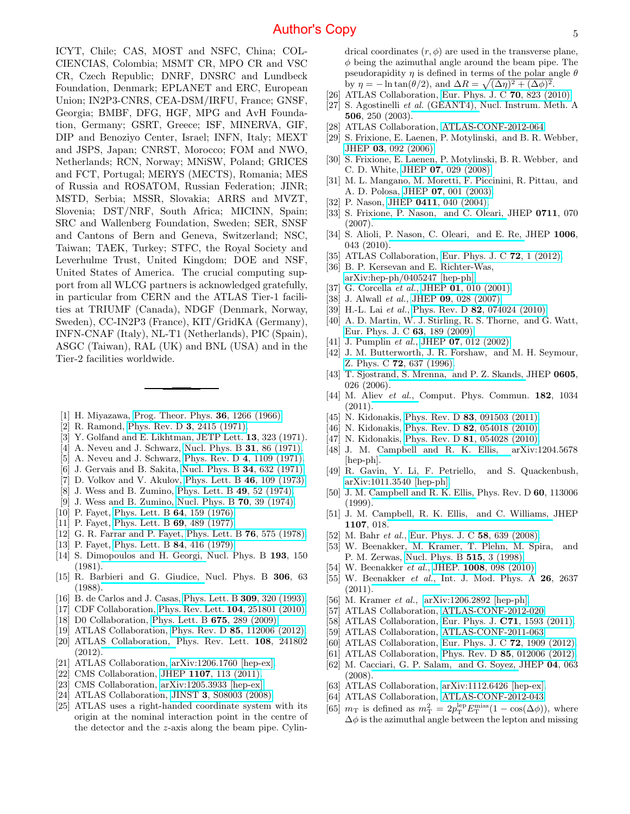ICYT, Chile; CAS, MOST and NSFC, China; COL-CIENCIAS, Colombia; MSMT CR, MPO CR and VSC CR, Czech Republic; DNRF, DNSRC and Lundbeck Foundation, Denmark; EPLANET and ERC, European Union; IN2P3-CNRS, CEA-DSM/IRFU, France; GNSF, Georgia; BMBF, DFG, HGF, MPG and AvH Foundation, Germany; GSRT, Greece; ISF, MINERVA, GIF, DIP and Benoziyo Center, Israel; INFN, Italy; MEXT and JSPS, Japan; CNRST, Morocco; FOM and NWO, Netherlands; RCN, Norway; MNiSW, Poland; GRICES and FCT, Portugal; MERYS (MECTS), Romania; MES of Russia and ROSATOM, Russian Federation; JINR; MSTD, Serbia; MSSR, Slovakia; ARRS and MVZT, Slovenia; DST/NRF, South Africa; MICINN, Spain; SRC and Wallenberg Foundation, Sweden; SER, SNSF and Cantons of Bern and Geneva, Switzerland; NSC, Taiwan; TAEK, Turkey; STFC, the Royal Society and Leverhulme Trust, United Kingdom; DOE and NSF, United States of America. The crucial computing support from all WLCG partners is acknowledged gratefully, in particular from CERN and the ATLAS Tier-1 facilities at TRIUMF (Canada), NDGF (Denmark, Norway, Sweden), CC-IN2P3 (France), KIT/GridKA (Germany), INFN-CNAF (Italy), NL-T1 (Netherlands), PIC (Spain), ASGC (Taiwan), RAL (UK) and BNL (USA) and in the Tier-2 facilities worldwide.

- <span id="page-5-0"></span>[1] H. Miyazawa, [Prog. Theor. Phys.](http://dx.doi.org/10.1143/PTP.36.1266) 36, 1266 (1966).
- [2] R. Ramond, [Phys. Rev. D](http://dx.doi.org/10.1103/PhysRevD.3.2415) 3, 2415 (1971).
- [3] Y. Golfand and E. Likhtman, JETP Lett. 13, 323 (1971).
- [4] A. Neveu and J. Schwarz, [Nucl. Phys. B](http://dx.doi.org/10.1016/0550-3213(71)90448-2) **31**, 86 (1971).
- [5] A. Neveu and J. Schwarz, [Phys. Rev. D](http://dx.doi.org/10.1103/PhysRevD.4.1109) 4, 1109 (1971).
- [6] J. Gervais and B. Sakita, [Nucl. Phys. B](http://dx.doi.org/10.1016/0550-3213(71)90351-8) 34, 632 (1971).
- [7] D. Volkov and V. Akulov, [Phys. Lett. B](http://dx.doi.org/10.1016/0370-2693(73)90490-5) 46, 109 (1973).
- [8] J. Wess and B. Zumino, [Phys. Lett. B](http://dx.doi.org/10.1016/0370-2693(74)90578-4) 49, 52 (1974).
- <span id="page-5-1"></span>[9] J. Wess and B. Zumino, [Nucl. Phys. B](http://dx.doi.org/10.1016/0550-3213(74)90355-1) 70, 39 (1974).
- <span id="page-5-2"></span>[10] P. Fayet, [Phys. Lett. B](http://dx.doi.org/10.1016/0370-2693(76)90319-1) **64**, 159 (1976).
- [11] P. Fayet, [Phys. Lett. B](http://dx.doi.org/10.1016/0370-2693(77)90852-8) **69**, 489 (1977).
- [12] G. R. Farrar and P. Fayet, [Phys. Lett. B](http://dx.doi.org/10.1016/0370-2693(78)90858-4) 76, 575 (1978).
- [13] P. Fayet, [Phys. Lett. B](http://dx.doi.org/10.1016/0370-2693(79)91229-2) **84**, 416 (1979).
- <span id="page-5-3"></span>[14] S. Dimopoulos and H. Georgi, Nucl. Phys. B 193, 150 (1981).
- <span id="page-5-4"></span>[15] R. Barbieri and G. Giudice, Nucl. Phys. B 306, 63 (1988).
- <span id="page-5-5"></span>[16] B. de Carlos and J. Casas, [Phys. Lett. B](http://dx.doi.org/10.1016/0370-2693(93)90940-J) **309**, 320 (1993).
- <span id="page-5-6"></span>[17] CDF Collaboration, [Phys. Rev. Lett.](http://dx.doi.org/10.1103/PhysRevLett.104.251801) **104**, 251801 (2010).
- <span id="page-5-7"></span>[18] D0 Collaboration, [Phys. Lett. B](http://dx.doi.org/10.1016/j.physletb.2009.04.039) **675**, 289 (2009).
- <span id="page-5-8"></span>[19] ATLAS Collaboration, Phys. Rev. D 85[, 112006 \(2012\).](http://dx.doi.org/10.1103/PhysRevD.85.112006)
- [20] ATLAS Collaboration, Phys. Rev. Lett. 108, 241802 (2012).
- <span id="page-5-9"></span>[21] ATLAS Collaboration, [arXiv:1206.1760 \[hep-ex\].](http://arxiv.org/abs/1206.1760)
- <span id="page-5-10"></span>[22] CMS Collaboration, JHEP 1107[, 113 \(2011\).](http://dx.doi.org/10.1007/JHEP07(2011)113)
- <span id="page-5-11"></span>[23] CMS Collaboration, [arXiv:1205.3933 \[hep-ex\].](http://arxiv.org/abs/1205.3933)
- <span id="page-5-12"></span>[24] ATLAS Collaboration, JINST 3[, S08003 \(2008\).](http://dx.doi.org/10.1088/1748-0221/3/08/S08003)
- <span id="page-5-13"></span>[25] ATLAS uses a right-handed coordinate system with its origin at the nominal interaction point in the centre of the detector and the z-axis along the beam pipe. Cylin-

drical coordinates  $(r, \phi)$  are used in the transverse plane,  $\phi$  being the azimuthal angle around the beam pipe. The pseudorapidity  $\eta$  is defined in terms of the polar angle  $\theta$ by  $\eta = -\ln \tan(\theta/2)$ , and  $\Delta R = \sqrt{(\Delta \eta)^2 + (\Delta \phi)^2}$ .

- <span id="page-5-14"></span>[26] ATLAS Collaboration, [Eur. Phys. J. C](http://dx.doi.org/10.1140/epjc/s10052-010-1429-9) **70**, 823 (2010).
- <span id="page-5-15"></span>[27] S. Agostinelli et al. (GEANT4), Nucl. Instrum. Meth. A 506, 250 (2003).
- <span id="page-5-16"></span>[28] ATLAS Collaboration, [ATLAS-CONF-2012-064.](https://cdsweb.cern.ch/record/1459529)
- <span id="page-5-17"></span>[29] S. Frixione, E. Laenen, P. Motylinski, and B. R. Webber, JHEP 03[, 092 \(2006\).](http://dx.doi.org/10.1088/1126-6708/2006/03/092)
- <span id="page-5-18"></span>[30] S. Frixione, E. Laenen, P. Motylinski, B. R. Webber, and C. D. White, JHEP 07[, 029 \(2008\).](http://dx.doi.org/ 10.1088/1126-6708/2008/07/029)
- <span id="page-5-19"></span>[31] M. L. Mangano, M. Moretti, F. Piccinini, R. Pittau, and A. D. Polosa, JHEP 07[, 001 \(2003\).](http://dx.doi.org/ 10.1088/1126-6708/2003/07/001)
- <span id="page-5-20"></span>[32] P. Nason, JHEP 0411[, 040 \(2004\).](http://dx.doi.org/10.1088/1126-6708/2004/11/040)
- [33] S. Frixione, P. Nason, and C. Oleari, JHEP 0711, 070 (2007).
- <span id="page-5-21"></span>[34] S. Alioli, P. Nason, C. Oleari, and E. Re, JHEP 1006, 043 (2010).
- <span id="page-5-22"></span>[35] ATLAS Collaboration, [Eur. Phys. J. C](http://dx.doi.org/10.1140/epjc/s10052-012-2043-9) **72**, 1 (2012).
- <span id="page-5-23"></span>[36] B. P. Kersevan and E. Richter-Was, [arXiv:hep-ph/0405247 \[hep-ph\].](http://arxiv.org/abs/hep-ph/0405247)
- <span id="page-5-24"></span>[37] G. Corcella et al., JHEP 01[, 010 \(2001\).](http://dx.doi.org/10.1088/1126-6708/2001/01/010)
- <span id="page-5-25"></span>[38] J. Alwall et al., JHEP 09[, 028 \(2007\).](http://dx.doi.org/10.1088/1126-6708/2007/09/028)
- <span id="page-5-26"></span>[39] H.-L. Lai et al., Phys. Rev. D 82[, 074024 \(2010\).](http://dx.doi.org/10.1103/PhysRevD.82.074024)
- <span id="page-5-27"></span>[40] A. D. Martin, W. J. Stirling, R. S. Thorne, and G. Watt, [Eur. Phys. J. C](http://dx.doi.org/10.1140/epjc/s10052-009-1072-5) 63, 189 (2009).
- <span id="page-5-28"></span>[41] J. Pumplin *et al.*, JHEP **07**[, 012 \(2002\).](http://dx.doi.org/10.1088/1126-6708/2002/07/012)
- <span id="page-5-29"></span>[42] J. M. Butterworth, J. R. Forshaw, and M. H. Seymour, Z. Phys. C 72[, 637 \(1996\).](http://dx.doi.org/10.1007/s002880050286)
- <span id="page-5-30"></span>[43] T. Sjostrand, S. Mrenna, and P. Z. Skands, JHEP 0605, 026 (2006).
- <span id="page-5-31"></span>[44] M. Aliev et al., Comput. Phys. Commun. **182**, 1034 (2011).
- <span id="page-5-32"></span>[45] N. Kidonakis, Phys. Rev. D 83[, 091503 \(2011\).](http://dx.doi.org/10.1103/PhysRevD.83.091503)
- [46] N. Kidonakis, Phys. Rev. D **82**[, 054018 \(2010\).](http://dx.doi.org/10.1103/PhysRevD.82.054018)
- <span id="page-5-33"></span>[47] N. Kidonakis, Phys. Rev. D **81**[, 054028 \(2010\).](http://dx.doi.org/10.1103/PhysRevD.81.054028)
- <span id="page-5-34"></span>[48] J. M. Campbell and R. K. Ellis, arXiv:1204.5678 [hep-ph].
- <span id="page-5-35"></span>[49] R. Gavin, Y. Li, F. Petriello, and S. Quackenbush, [arXiv:1011.3540 \[hep-ph\].](http://arxiv.org/abs/1011.3540)
- <span id="page-5-36"></span>[50] J. M. Campbell and R. K. Ellis, Phys. Rev. D 60, 113006 (1999).
- <span id="page-5-37"></span>[51] J. M. Campbell, R. K. Ellis, and C. Williams, JHEP 1107, 018.
- <span id="page-5-38"></span>[52] M. Bahr et al., [Eur. Phys. J. C](http://dx.doi.org/10.1140/epjc/s10052-008-0798-9) 58, 639 (2008).
- <span id="page-5-39"></span>[53] W. Beenakker, M. Kramer, T. Plehn, M. Spira, and P. M. Zerwas, [Nucl. Phys. B](http://dx.doi.org/ 10.1016/j.bbr.2011.03.031) 515, 3 (1998).
- [54] W. Beenakker et al., JHEP. 1008[, 098 \(2010\).](http://dx.doi.org/10.1007/JHEP08(2010)098)
- <span id="page-5-40"></span>[55] W. Beenakker et al., Int. J. Mod. Phys. A 26, 2637 (2011).
- <span id="page-5-41"></span>[56] M. Kramer *et al.*,  $arXiv:1206.2892$  [hep-ph].
- <span id="page-5-42"></span>[57] ATLAS Collaboration, [ATLAS-CONF-2012-020.](https://cdsweb.cern.ch/record/1430034)
- <span id="page-5-43"></span>[58] ATLAS Collaboration, Eur. Phys. J. **C71**[, 1593 \(2011\).](http://dx.doi.org/10.1140/epjc/s10052-011-1593-6)
- <span id="page-5-44"></span>[59] ATLAS Collaboration, [ATLAS-CONF-2011-063.](https://cdsweb.cern.ch/record/1345743)
- <span id="page-5-45"></span>[60] ATLAS Collaboration, [Eur. Phys. J. C](http://dx.doi.org/10.1140/epjc/s10052-012-1909-1) **72**, 1909 (2012).
- <span id="page-5-46"></span>[61] ATLAS Collaboration, Phys. Rev. D **85**[, 012006 \(2012\).](http://dx.doi.org/10.1103/PhysRevD.85.012006)
- <span id="page-5-47"></span>[62] M. Cacciari, G. P. Salam, and G. Soyez, JHEP 04, 063 (2008).
- <span id="page-5-48"></span>[63] ATLAS Collaboration, [arXiv:1112.6426 \[hep-ex\].](http://arxiv.org/abs/1112.6426)
- <span id="page-5-49"></span>[64] ATLAS Collaboration, [ATLAS-CONF-2012-043.](https://cdsweb.cern.ch/record/1435197)
- <span id="page-5-50"></span>[65]  $m_T$  is defined as  $m_T^2 = 2p_T^{\text{lep}}E_T^{\text{miss}}(1 - \cos(\Delta\phi))$ , where  $\Delta\phi$  is the azimuthal angle between the lepton and missing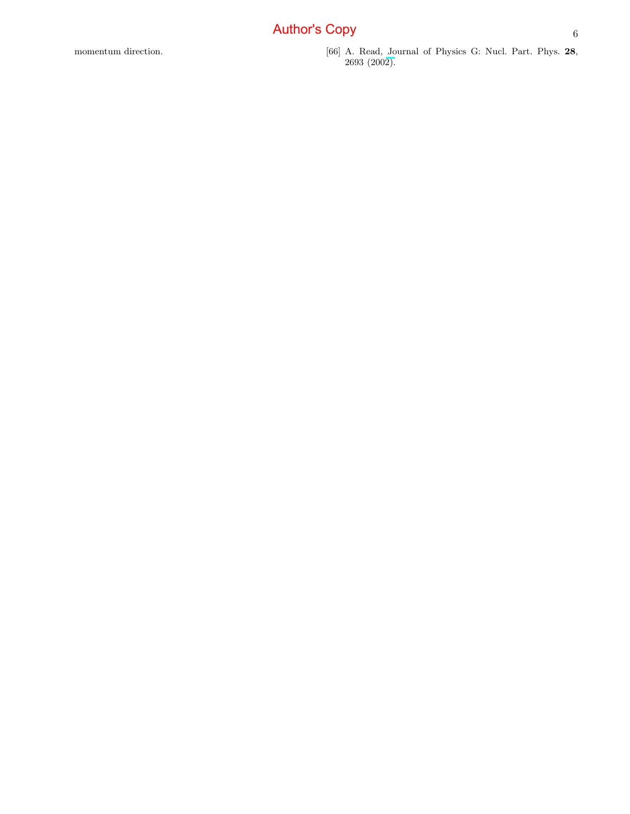<span id="page-6-0"></span>momentum direction. [66] A. Read, Journal of Physics G: Nucl. Part. Phys. 28, 2693 (200[2\).](http://dx.doi.org/10.1088/0954-3899/28/10/313)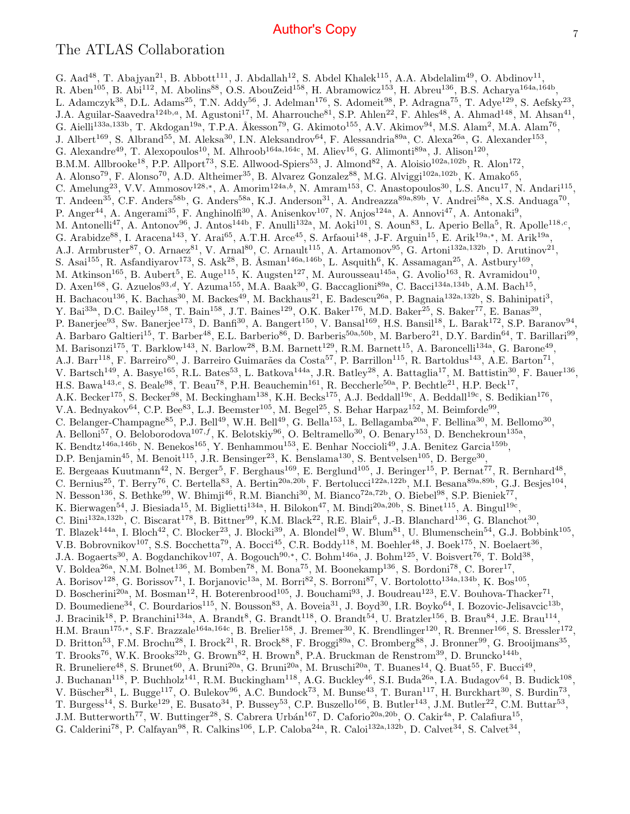#### The ATLAS Collaboration

G. Aad<sup>48</sup>, T. Abajyan<sup>21</sup>, B. Abbott<sup>111</sup>, J. Abdallah<sup>12</sup>, S. Abdel Khalek<sup>115</sup>, A.A. Abdelalim<sup>49</sup>, O. Abdinov<sup>11</sup>, R. Aben<sup>105</sup>, B. Abi<sup>112</sup>, M. Abolins<sup>88</sup>, O.S. AbouZeid<sup>158</sup>, H. Abramowicz<sup>153</sup>, H. Abreu<sup>136</sup>, B.S. Acharya<sup>164a,164b</sup>, L. Adamczyk<sup>38</sup>, D.L. Adams<sup>25</sup>, T.N. Addy<sup>56</sup>, J. Adelman<sup>176</sup>, S. Adomeit<sup>98</sup>, P. Adragna<sup>75</sup>, T. Adye<sup>129</sup>, S. Aefsky<sup>23</sup>, J.A. Aguilar-Saavedra<sup>124b,a</sup>, M. Agustoni<sup>17</sup>, M. Aharrouche<sup>81</sup>, S.P. Ahlen<sup>22</sup>, F. Ahles<sup>48</sup>, A. Ahmad<sup>148</sup>, M. Ahsan<sup>41</sup>, G. Aielli<sup>133a,133b</sup>, T. Akdogan<sup>19a</sup>, T.P.A. Åkesson<sup>79</sup>, G. Akimoto<sup>155</sup>, A.V. Akimov<sup>94</sup>, M.S. Alam<sup>2</sup>, M.A. Alam<sup>76</sup>, J. Albert<sup>169</sup>, S. Albrand<sup>55</sup>, M. Aleksa<sup>30</sup>, I.N. Aleksandrov<sup>64</sup>, F. Alessandria<sup>89a</sup>, C. Alexa<sup>26a</sup>, G. Alexander<sup>153</sup>, G. Alexandre<sup>49</sup>, T. Alexopoulos<sup>10</sup>, M. Alhroob<sup>164a,164c</sup>, M. Aliev<sup>16</sup>, G. Alimonti<sup>89a</sup>, J. Alison<sup>120</sup>, B.M.M. Allbrooke<sup>18</sup>, P.P. Allport<sup>73</sup>, S.E. Allwood-Spiers<sup>53</sup>, J. Almond<sup>82</sup>, A. Aloisio<sup>102a,102b</sup>, R. Alon<sup>172</sup>, A. Alonso<sup>79</sup>, F. Alonso<sup>70</sup>, A.D. Altheimer<sup>35</sup>, B. Alvarez Gonzalez<sup>88</sup>, M.G. Alviggi<sup>102a,102b</sup>, K. Amako<sup>65</sup>, C. Amelung<sup>23</sup>, V.V. Ammosov<sup>128,\*</sup>, A. Amorim<sup>124a,b</sup>, N. Amram<sup>153</sup>, C. Anastopoulos<sup>30</sup>, L.S. Ancu<sup>17</sup>, N. Andari<sup>115</sup>, T. Andeen<sup>35</sup>, C.F. Anders<sup>58b</sup>, G. Anders<sup>58a</sup>, K.J. Anderson<sup>31</sup>, A. Andreazza<sup>89a,89b</sup>, V. Andrei<sup>58a</sup>, X.S. Anduaga<sup>70</sup>, P. Anger<sup>44</sup>, A. Angerami<sup>35</sup>, F. Anghinolfi<sup>30</sup>, A. Anisenkov<sup>107</sup>, N. Anjos<sup>124a</sup>, A. Annovi<sup>47</sup>, A. Antonaki<sup>9</sup>, M. Antonelli<sup>47</sup>, A. Antonov<sup>96</sup>, J. Antos<sup>144b</sup>, F. Anulli<sup>132a</sup>, M. Aoki<sup>101</sup>, S. Aoun<sup>83</sup>, L. Aperio Bella<sup>5</sup>, R. Apolle<sup>118,c</sup>, G. Arabidze<sup>88</sup>, I. Aracena<sup>143</sup>, Y. Arai<sup>65</sup>, A.T.H. Arce<sup>45</sup>, S. Arfaoui<sup>148</sup>, J-F. Arguin<sup>15</sup>, E. Arik<sup>19a,\*</sup>, M. Arik<sup>19a</sup>, A.J. Armbruster<sup>87</sup>, O. Arnaez<sup>81</sup>, V. Arnal<sup>80</sup>, C. Arnault<sup>115</sup>, A. Artamonov<sup>95</sup>, G. Artoni<sup>132a,132b</sup>, D. Arutinov<sup>21</sup>, S. Asai<sup>155</sup>, R. Asfandiyarov<sup>173</sup>, S. Ask<sup>28</sup>, B. Åsman<sup>146a,146b</sup>, L. Asquith<sup>6</sup>, K. Assamagan<sup>25</sup>, A. Astbury<sup>169</sup>, M. Atkinson<sup>165</sup>, B. Aubert<sup>5</sup>, E. Auge<sup>115</sup>, K. Augsten<sup>127</sup>, M. Aurousseau<sup>145a</sup>, G. Avolio<sup>163</sup>, R. Avramidou<sup>10</sup>, D. Axen<sup>168</sup>, G. Azuelos<sup>93,d</sup>, Y. Azuma<sup>155</sup>, M.A. Baak<sup>30</sup>, G. Baccaglioni<sup>89a</sup>, C. Bacci<sup>134a,134b</sup>, A.M. Bach<sup>15</sup>, H. Bachacou<sup>136</sup>, K. Bachas<sup>30</sup>, M. Backes<sup>49</sup>, M. Backhaus<sup>21</sup>, E. Badescu<sup>26a</sup>, P. Bagnaia<sup>132a,132b</sup>, S. Bahinipati<sup>3</sup>, Y. Bai<sup>33a</sup>, D.C. Bailey<sup>158</sup>, T. Bain<sup>158</sup>, J.T. Baines<sup>129</sup>, O.K. Baker<sup>176</sup>, M.D. Baker<sup>25</sup>, S. Baker<sup>77</sup>, E. Banas<sup>39</sup>, P. Banerjee<sup>93</sup>, Sw. Banerjee<sup>173</sup>, D. Banfi<sup>30</sup>, A. Bangert<sup>150</sup>, V. Bansal<sup>169</sup>, H.S. Bansil<sup>18</sup>, L. Barak<sup>172</sup>, S.P. Baranov<sup>94</sup>, A. Barbaro Galtieri<sup>15</sup>, T. Barber<sup>48</sup>, E.L. Barberio<sup>86</sup>, D. Barberis<sup>50a,50b</sup>, M. Barbero<sup>21</sup>, D.Y. Bardin<sup>64</sup>, T. Barillari<sup>99</sup>, M. Barisonzi<sup>175</sup>, T. Barklow<sup>143</sup>, N. Barlow<sup>28</sup>, B.M. Barnett<sup>129</sup>, R.M. Barnett<sup>15</sup>, A. Baroncelli<sup>134a</sup>, G. Barone<sup>49</sup>, A.J. Barr<sup>118</sup>, F. Barreiro<sup>80</sup>, J. Barreiro Guimarães da Costa<sup>57</sup>, P. Barrillon<sup>115</sup>, R. Bartoldus<sup>143</sup>, A.E. Barton<sup>71</sup>, V. Bartsch<sup>149</sup>, A. Basye<sup>165</sup>, R.L. Bates<sup>53</sup>, L. Batkova<sup>144a</sup>, J.R. Batley<sup>28</sup>, A. Battaglia<sup>17</sup>, M. Battistin<sup>30</sup>, F. Bauer<sup>136</sup>, H.S. Bawa<sup>143,e</sup>, S. Beale<sup>98</sup>, T. Beau<sup>78</sup>, P.H. Beauchemin<sup>161</sup>, R. Beccherle<sup>50a</sup>, P. Bechtle<sup>21</sup>, H.P. Beck<sup>17</sup>, A.K. Becker<sup>175</sup>, S. Becker<sup>98</sup>, M. Beckingham<sup>138</sup>, K.H. Becks<sup>175</sup>, A.J. Beddall<sup>19c</sup>, A. Beddall<sup>19c</sup>, S. Bedikian<sup>176</sup>, V.A. Bednyakov<sup>64</sup>, C.P. Bee<sup>83</sup>, L.J. Beemster<sup>105</sup>, M. Begel<sup>25</sup>, S. Behar Harpaz<sup>152</sup>, M. Beimforde<sup>99</sup>, C. Belanger-Champagne<sup>85</sup>, P.J. Bell<sup>49</sup>, W.H. Bell<sup>49</sup>, G. Bella<sup>153</sup>, L. Bellagamba<sup>20a</sup>, F. Bellina<sup>30</sup>, M. Bellomo<sup>30</sup>, A. Belloni<sup>57</sup>, O. Beloborodova<sup>107,f</sup>, K. Belotskiy<sup>96</sup>, O. Beltramello<sup>30</sup>, O. Benary<sup>153</sup>, D. Benchekroun<sup>135a</sup>, K. Bendtz<sup>146a,146b</sup>, N. Benekos<sup>165</sup>, Y. Benhammou<sup>153</sup>, E. Benhar Noccioli<sup>49</sup>, J.A. Benitez Garcia<sup>159b</sup>, D.P. Benjamin<sup>45</sup>, M. Benoit<sup>115</sup>, J.R. Bensinger<sup>23</sup>, K. Benslama<sup>130</sup>, S. Bentvelsen<sup>105</sup>, D. Berge<sup>30</sup>, E. Bergeaas Kuutmann<sup>42</sup>, N. Berger<sup>5</sup>, F. Berghaus<sup>169</sup>, E. Berglund<sup>105</sup>, J. Beringer<sup>15</sup>, P. Bernat<sup>77</sup>, R. Bernhard<sup>48</sup>, C. Bernius<sup>25</sup>, T. Berry<sup>76</sup>, C. Bertella<sup>83</sup>, A. Bertin<sup>20a,20b</sup>, F. Bertolucci<sup>122a,122b</sup>, M.I. Besana<sup>89a,89b</sup>, G.J. Besjes<sup>104</sup>, N. Besson<sup>136</sup>, S. Bethke<sup>99</sup>, W. Bhimji<sup>46</sup>, R.M. Bianchi<sup>30</sup>, M. Bianco<sup>72a,72b</sup>, O. Biebel<sup>98</sup>, S.P. Bieniek<sup>77</sup>, K. Bierwagen<sup>54</sup>, J. Biesiada<sup>15</sup>, M. Biglietti<sup>134a</sup>, H. Bilokon<sup>47</sup>, M. Bindi<sup>20a,20b</sup>, S. Binet<sup>115</sup>, A. Bingul<sup>19c</sup>, C. Bini<sup>132a,132b</sup>, C. Biscarat<sup>178</sup>, B. Bittner<sup>99</sup>, K.M. Black<sup>22</sup>, R.E. Blair<sup>6</sup>, J.-B. Blanchard<sup>136</sup>, G. Blanchot<sup>30</sup>, T. Blazek<sup>144a</sup>, I. Bloch<sup>42</sup>, C. Blocker<sup>23</sup>, J. Blocki<sup>39</sup>, A. Blondel<sup>49</sup>, W. Blum<sup>81</sup>, U. Blumenschein<sup>54</sup>, G.J. Bobbink<sup>105</sup>, V.B. Bobrovnikov<sup>107</sup>, S.S. Bocchetta<sup>79</sup>, A. Bocci<sup>45</sup>, C.R. Boddy<sup>118</sup>, M. Boehler<sup>48</sup>, J. Boek<sup>175</sup>, N. Boelaert<sup>36</sup>, J.A. Bogaerts<sup>30</sup>, A. Bogdanchikov<sup>107</sup>, A. Bogouch<sup>90,\*</sup>, C. Bohm<sup>146a</sup>, J. Bohm<sup>125</sup>, V. Boisvert<sup>76</sup>, T. Bold<sup>38</sup>, V. Boldea<sup>26a</sup>, N.M. Bolnet<sup>136</sup>, M. Bomben<sup>78</sup>, M. Bona<sup>75</sup>, M. Boonekamp<sup>136</sup>, S. Bordoni<sup>78</sup>, C. Borer<sup>17</sup>, A. Borisov<sup>128</sup>, G. Borissov<sup>71</sup>, I. Borjanovic<sup>13a</sup>, M. Borri<sup>82</sup>, S. Borroni<sup>87</sup>, V. Bortolotto<sup>134a,134b</sup>, K. Bos<sup>105</sup>, D. Boscherini<sup>20a</sup>, M. Bosman<sup>12</sup>, H. Boterenbrood<sup>105</sup>, J. Bouchami<sup>93</sup>, J. Boudreau<sup>123</sup>, E.V. Bouhova-Thacker<sup>71</sup>, D. Boumediene<sup>34</sup>, C. Bourdarios<sup>115</sup>, N. Bousson<sup>83</sup>, A. Boveia<sup>31</sup>, J. Boyd<sup>30</sup>, I.R. Boyko<sup>64</sup>, I. Bozovic-Jelisavcic<sup>13b</sup>, J. Bracinik<sup>18</sup>, P. Branchini<sup>134a</sup>, A. Brandt<sup>8</sup>, G. Brandt<sup>118</sup>, O. Brandt<sup>54</sup>, U. Bratzler<sup>156</sup>, B. Brau<sup>84</sup>, J.E. Brau<sup>114</sup>, H.M. Braun<sup>175,\*</sup>, S.F. Brazzale<sup>164a,164c</sup>, B. Brelier<sup>158</sup>, J. Bremer<sup>30</sup>, K. Brendlinger<sup>120</sup>, R. Brenner<sup>166</sup>, S. Bressler<sup>172</sup>, D. Britton<sup>53</sup>, F.M. Brochu<sup>28</sup>, I. Brock<sup>21</sup>, R. Brock<sup>88</sup>, F. Broggi<sup>89a</sup>, C. Bromberg<sup>88</sup>, J. Bronner<sup>99</sup>, G. Brooijmans<sup>35</sup>, T. Brooks<sup>76</sup>, W.K. Brooks<sup>32b</sup>, G. Brown<sup>82</sup>, H. Brown<sup>8</sup>, P.A. Bruckman de Renstrom<sup>39</sup>, D. Bruncko<sup>144b</sup>, R. Bruneliere<sup>48</sup>, S. Brunet<sup>60</sup>, A. Bruni<sup>20a</sup>, G. Bruni<sup>20a</sup>, M. Bruschi<sup>20a</sup>, T. Buanes<sup>14</sup>, Q. Buat<sup>55</sup>, F. Bucci<sup>49</sup>, J. Buchanan<sup>118</sup>, P. Buchholz<sup>141</sup>, R.M. Buckingham<sup>118</sup>, A.G. Buckley<sup>46</sup>, S.I. Buda<sup>26a</sup>, I.A. Budagov<sup>64</sup>, B. Budick<sup>108</sup>, V. Büscher<sup>81</sup>, L. Bugge<sup>117</sup>, O. Bulekov<sup>96</sup>, A.C. Bundock<sup>73</sup>, M. Bunse<sup>43</sup>, T. Buran<sup>117</sup>, H. Burckhart<sup>30</sup>, S. Burdin<sup>73</sup>, T. Burgess<sup>14</sup>, S. Burke<sup>129</sup>, E. Busato<sup>34</sup>, P. Bussey<sup>53</sup>, C.P. Buszello<sup>166</sup>, B. Butler<sup>143</sup>, J.M. Butler<sup>22</sup>, C.M. Buttar<sup>53</sup>, J.M. Butterworth<sup>77</sup>, W. Buttinger<sup>28</sup>, S. Cabrera Urbán<sup>167</sup>, D. Caforio<sup>20a,20b</sup>, O. Cakir<sup>4a</sup>, P. Calafiura<sup>15</sup>, G. Calderini<sup>78</sup>, P. Calfayan<sup>98</sup>, R. Calkins<sup>106</sup>, L.P. Caloba<sup>24a</sup>, R. Caloi<sup>132a,132b</sup>, D. Calvet<sup>34</sup>, S. Calvet<sup>34</sup>,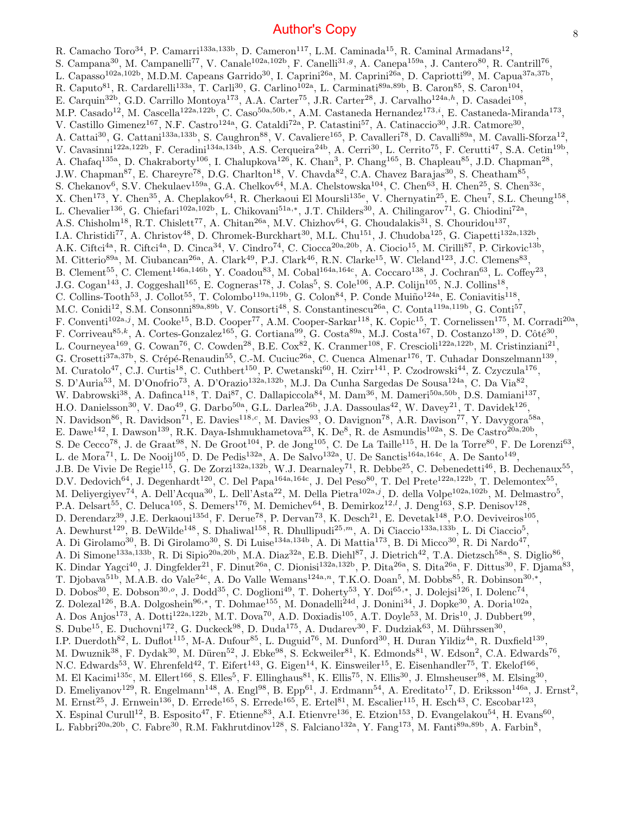R. Camacho Toro<sup>34</sup>, P. Camarri<sup>133a,133b</sup>, D. Cameron<sup>117</sup>, L.M. Caminada<sup>15</sup>, R. Caminal Armadans<sup>12</sup>, S. Campana<sup>30</sup>, M. Campanelli<sup>77</sup>, V. Canale<sup>102a,102b</sup>, F. Canelli<sup>31,g</sup>, A. Canepa<sup>159a</sup>, J. Cantero<sup>80</sup>, R. Cantrill<sup>76</sup>, L. Capasso<sup>102a,102b</sup>, M.D.M. Capeans Garrido<sup>30</sup>, I. Caprini<sup>26a</sup>, M. Caprini<sup>26a</sup>, D. Capriotti<sup>99</sup>, M. Capua<sup>37a,37b</sup>, R. Caputo<sup>81</sup>, R. Cardarelli<sup>133a</sup>, T. Carli<sup>30</sup>, G. Carlino<sup>102a</sup>, L. Carminati<sup>89a,89b</sup>, B. Caron<sup>85</sup>, S. Caron<sup>104</sup>, E. Carquin<sup>32b</sup>, G.D. Carrillo Montoya<sup>173</sup>, A.A. Carter<sup>75</sup>, J.R. Carter<sup>28</sup>, J. Carvalho<sup>124a,h</sup>, D. Casadei<sup>108</sup>, M.P. Casado<sup>12</sup>, M. Cascella<sup>122a,122b</sup>, C. Caso<sup>50a,50b,\*</sup>, A.M. Castaneda Hernandez<sup>173,*i*</sup>, E. Castaneda-Miranda<sup>173</sup>, V. Castillo Gimenez<sup>167</sup>, N.F. Castro<sup>124a</sup>, G. Cataldi<sup>72a</sup>, P. Catastini<sup>57</sup>, A. Catinaccio<sup>30</sup>, J.R. Catmore<sup>30</sup>, A. Cattai<sup>30</sup>, G. Cattani<sup>133a,133b</sup>, S. Caughron<sup>88</sup>, V. Cavaliere<sup>165</sup>, P. Cavalleri<sup>78</sup>, D. Cavalli<sup>89a</sup>, M. Cavalli-Sforza<sup>12</sup>, V. Cavasinni<sup>122a,122b</sup>, F. Ceradini<sup>134a,134b</sup>, A.S. Cerqueira<sup>24b</sup>, A. Cerri<sup>30</sup>, L. Cerrito<sup>75</sup>, F. Cerutti<sup>47</sup>, S.A. Cetin<sup>19b</sup>, A. Chafaq<sup>135a</sup>, D. Chakraborty<sup>106</sup>, I. Chalupkova<sup>126</sup>, K. Chan<sup>3</sup>, P. Chang<sup>165</sup>, B. Chapleau<sup>85</sup>, J.D. Chapman<sup>28</sup>, J.W. Chapman<sup>87</sup>, E. Chareyre<sup>78</sup>, D.G. Charlton<sup>18</sup>, V. Chavda<sup>82</sup>, C.A. Chavez Barajas<sup>30</sup>, S. Cheatham<sup>85</sup>, S. Chekanov<sup>6</sup>, S.V. Chekulaev<sup>159a</sup>, G.A. Chelkov<sup>64</sup>, M.A. Chelstowska<sup>104</sup>, C. Chen<sup>63</sup>, H. Chen<sup>25</sup>, S. Chen<sup>33c</sup>, X. Chen<sup>173</sup>, Y. Chen<sup>35</sup>, A. Cheplakov<sup>64</sup>, R. Cherkaoui El Moursli<sup>135e</sup>, V. Chernyatin<sup>25</sup>, E. Cheu<sup>7</sup>, S.L. Cheung<sup>158</sup>, L. Chevalier<sup>136</sup>, G. Chiefari<sup>102a,102b</sup>, L. Chikovani<sup>51a,\*</sup>, J.T. Childers<sup>30</sup>, A. Chilingarov<sup>71</sup>, G. Chiodini<sup>72a</sup>, A.S. Chisholm<sup>18</sup>, R.T. Chislett<sup>77</sup>, A. Chitan<sup>26a</sup>, M.V. Chizhov<sup>64</sup>, G. Choudalakis<sup>31</sup>, S. Chouridou<sup>137</sup>, I.A. Christidi<sup>77</sup>, A. Christov<sup>48</sup>, D. Chromek-Burckhart<sup>30</sup>, M.L. Chu<sup>151</sup>, J. Chudoba<sup>125</sup>, G. Ciapetti<sup>132a,132b</sup>, A.K. Ciftci<sup>4a</sup>, R. Ciftci<sup>4a</sup>, D. Cinca<sup>34</sup>, V. Cindro<sup>74</sup>, C. Ciocca<sup>20a,20b</sup>, A. Ciocio<sup>15</sup>, M. Cirilli<sup>87</sup>, P. Cirkovic<sup>13b</sup>, M. Citterio<sup>89a</sup>, M. Ciubancan<sup>26a</sup>, A. Clark<sup>49</sup>, P.J. Clark<sup>46</sup>, R.N. Clarke<sup>15</sup>, W. Cleland<sup>123</sup>, J.C. Clemens<sup>83</sup>, B. Clement<sup>55</sup>, C. Clement<sup>146a,146b</sup>, Y. Coadou<sup>83</sup>, M. Cobal<sup>164a,164c</sup>, A. Coccaro<sup>138</sup>, J. Cochran<sup>63</sup>, L. Coffey<sup>23</sup>, J.G. Cogan<sup>143</sup>, J. Coggeshall<sup>165</sup>, E. Cogneras<sup>178</sup>, J. Colas<sup>5</sup>, S. Cole<sup>106</sup>, A.P. Colijn<sup>105</sup>, N.J. Collins<sup>18</sup>, C. Collins-Tooth<sup>53</sup>, J. Collot<sup>55</sup>, T. Colombo<sup>119a,119b</sup>, G. Colon<sup>84</sup>, P. Conde Muiño<sup>124a</sup>, E. Coniavitis<sup>118</sup>, M.C. Conidi<sup>12</sup>, S.M. Consonni<sup>89a,89b</sup>, V. Consorti<sup>48</sup>, S. Constantinescu<sup>26a</sup>, C. Conta<sup>119a,119b</sup>, G. Conti<sup>57</sup>, F. Conventi<sup>102a,j</sup>, M. Cooke<sup>15</sup>, B.D. Cooper<sup>77</sup>, A.M. Cooper-Sarkar<sup>118</sup>, K. Copic<sup>15</sup>, T. Cornelissen<sup>175</sup>, M. Corradi<sup>20a</sup>, F. Corriveau<sup>85,k</sup>, A. Cortes-Gonzalez<sup>165</sup>, G. Cortiana<sup>99</sup>, G. Costa<sup>89a</sup>, M.J. Costa<sup>167</sup>, D. Costanzo<sup>139</sup>, D. Côté<sup>30</sup>, L. Courneyea<sup>169</sup>, G. Cowan<sup>76</sup>, C. Cowden<sup>28</sup>, B.E. Cox<sup>82</sup>, K. Cranmer<sup>108</sup>, F. Crescioli<sup>122a,122b</sup>, M. Cristinziani<sup>21</sup>, G. Crosetti<sup>37a,37b</sup>, S. Crépé-Renaudin<sup>55</sup>, C.-M. Cuciuc<sup>26a</sup>, C. Cuenca Almenar<sup>176</sup>, T. Cuhadar Donszelmann<sup>139</sup>, M. Curatolo<sup>47</sup>, C.J. Curtis<sup>18</sup>, C. Cuthbert<sup>150</sup>, P. Cwetanski<sup>60</sup>, H. Czirr<sup>141</sup>, P. Czodrowski<sup>44</sup>, Z. Czyczula<sup>176</sup>, S. D'Auria<sup>53</sup>, M. D'Onofrio<sup>73</sup>, A. D'Orazio<sup>132a,132b</sup>, M.J. Da Cunha Sargedas De Sousa<sup>124a</sup>, C. Da Via<sup>82</sup>, W. Dabrowski<sup>38</sup>, A. Dafinca<sup>118</sup>, T. Dai<sup>87</sup>, C. Dallapiccola<sup>84</sup>, M. Dam<sup>36</sup>, M. Dameri<sup>50a,50b</sup>, D.S. Damiani<sup>137</sup>, H.O. Danielsson<sup>30</sup>, V. Dao<sup>49</sup>, G. Darbo<sup>50a</sup>, G.L. Darlea<sup>26b</sup>, J.A. Dassoulas<sup>42</sup>, W. Davey<sup>21</sup>, T. Davidek<sup>126</sup>, N. Davidson<sup>86</sup>, R. Davidson<sup>71</sup>, E. Davies<sup>118,c</sup>, M. Davies<sup>93</sup>, O. Davignon<sup>78</sup>, A.R. Davison<sup>77</sup>, Y. Davygora<sup>58a</sup>, E. Dawe<sup>142</sup>, I. Dawson<sup>139</sup>, R.K. Daya-Ishmukhametova<sup>23</sup>, K. De<sup>8</sup>, R. de Asmundis<sup>102a</sup>, S. De Castro<sup>20a,20b</sup>, S. De Cecco<sup>78</sup>, J. de Graat<sup>98</sup>, N. De Groot<sup>104</sup>, P. de Jong<sup>105</sup>, C. De La Taille<sup>115</sup>, H. De la Torre<sup>80</sup>, F. De Lorenzi<sup>63</sup>, L. de Mora<sup>71</sup>, L. De Nooij<sup>105</sup>, D. De Pedis<sup>132a</sup>, A. De Salvo<sup>132a</sup>, U. De Sanctis<sup>164a,164c</sup>, A. De Santo<sup>149</sup>, J.B. De Vivie De Regie<sup>115</sup>, G. De Zorzi<sup>132a,132b</sup>, W.J. Dearnaley<sup>71</sup>, R. Debbe<sup>25</sup>, C. Debenedetti<sup>46</sup>, B. Dechenaux<sup>55</sup>, D.V. Dedovich<sup>64</sup>, J. Degenhardt<sup>120</sup>, C. Del Papa<sup>164a,164c</sup>, J. Del Peso<sup>80</sup>, T. Del Prete<sup>122a,122b</sup>, T. Delemontex<sup>55</sup>, M. Deliyergiyev<sup>74</sup>, A. Dell'Acqua<sup>30</sup>, L. Dell'Asta<sup>22</sup>, M. Della Pietra<sup>102a,j</sup>, D. della Volpe<sup>102a,102b</sup>, M. Delmastro<sup>5</sup>, P.A. Delsart<sup>55</sup>, C. Deluca<sup>105</sup>, S. Demers<sup>176</sup>, M. Demichev<sup>64</sup>, B. Demirkoz<sup>12,*l*</sup>, J. Deng<sup>163</sup>, S.P. Denisov<sup>128</sup>, D. Derendarz<sup>39</sup>, J.E. Derkaoui<sup>135d</sup>, F. Derue<sup>78</sup>, P. Dervan<sup>73</sup>, K. Desch<sup>21</sup>, E. Devetak<sup>148</sup>, P.O. Deviveiros<sup>105</sup>, A. Dewhurst<sup>129</sup>, B. DeWilde<sup>148</sup>, S. Dhaliwal<sup>158</sup>, R. Dhullipudi<sup>25,*m*</sup>, A. Di Ciaccio<sup>133a,133b</sup>, L. Di Ciaccio<sup>5</sup>, A. Di Girolamo<sup>30</sup>, B. Di Girolamo<sup>30</sup>, S. Di Luise<sup>134a,134b</sup>, A. Di Mattia<sup>173</sup>, B. Di Micco<sup>30</sup>, R. Di Nardo<sup>47</sup>, A. Di Simone<sup>133a,133b</sup>, R. Di Sipio<sup>20a,20b</sup>, M.A. Diaz<sup>32a</sup>, E.B. Diehl<sup>87</sup>, J. Dietrich<sup>42</sup>, T.A. Dietzsch<sup>58a</sup>, S. Diglio<sup>86</sup>, K. Dindar Yagci<sup>40</sup>, J. Dingfelder<sup>21</sup>, F. Dinut<sup>26a</sup>, C. Dionisi<sup>132a,132b</sup>, P. Dita<sup>26a</sup>, S. Dita<sup>26a</sup>, F. Dittus<sup>30</sup>, F. Djama<sup>83</sup>, T. Djobava<sup>51b</sup>, M.A.B. do Vale<sup>24c</sup>, A. Do Valle Wemans<sup>124a,n</sup>, T.K.O. Doan<sup>5</sup>, M. Dobbs<sup>85</sup>, R. Dobinson<sup>30,\*</sup>, D. Dobos<sup>30</sup>, E. Dobson<sup>30,o</sup>, J. Dodd<sup>35</sup>, C. Doglioni<sup>49</sup>, T. Doherty<sup>53</sup>, Y. Doi<sup>65,\*</sup>, J. Dolejsi<sup>126</sup>, I. Dolenc<sup>74</sup>, Z. Dolezal<sup>126</sup>, B.A. Dolgoshein<sup>96,\*</sup>, T. Dohmae<sup>155</sup>, M. Donadelli<sup>24d</sup>, J. Donini<sup>34</sup>, J. Dopke<sup>30</sup>, A. Doria<sup>102a</sup>, A. Dos Anjos<sup>173</sup>, A. Dotti<sup>122a,122b</sup>, M.T. Dova<sup>70</sup>, A.D. Doxiadis<sup>105</sup>, A.T. Doyle<sup>53</sup>, M. Dris<sup>10</sup>, J. Dubbert<sup>99</sup>, S. Dube<sup>15</sup>, E. Duchovni<sup>172</sup>, G. Duckeck<sup>98</sup>, D. Duda<sup>175</sup>, A. Dudarev<sup>30</sup>, F. Dudziak<sup>63</sup>, M. Dührssen<sup>30</sup>, I.P. Duerdoth<sup>82</sup>, L. Duflot<sup>115</sup>, M-A. Dufour<sup>85</sup>, L. Duguid<sup>76</sup>, M. Dunford<sup>30</sup>, H. Duran Yildiz<sup>4a</sup>, R. Duxfield<sup>139</sup>, M. Dwuznik<sup>38</sup>, F. Dydak<sup>30</sup>, M. Düren<sup>52</sup>, J. Ebke<sup>98</sup>, S. Eckweiler<sup>81</sup>, K. Edmonds<sup>81</sup>, W. Edson<sup>2</sup>, C.A. Edwards<sup>76</sup>, N.C. Edwards<sup>53</sup>, W. Ehrenfeld<sup>42</sup>, T. Eifert<sup>143</sup>, G. Eigen<sup>14</sup>, K. Einsweiler<sup>15</sup>, E. Eisenhandler<sup>75</sup>, T. Ekelof<sup>166</sup>, M. El Kacimi<sup>135c</sup>, M. Ellert<sup>166</sup>, S. Elles<sup>5</sup>, F. Ellinghaus<sup>81</sup>, K. Ellis<sup>75</sup>, N. Ellis<sup>30</sup>, J. Elmsheuser<sup>98</sup>, M. Elsing<sup>30</sup>, D. Emeliyanov<sup>129</sup>, R. Engelmann<sup>148</sup>, A. Engl<sup>98</sup>, B. Epp<sup>61</sup>, J. Erdmann<sup>54</sup>, A. Ereditato<sup>17</sup>, D. Eriksson<sup>146a</sup>, J. Ernst<sup>2</sup>, M. Ernst<sup>25</sup>, J. Ernwein<sup>136</sup>, D. Errede<sup>165</sup>, S. Errede<sup>165</sup>, E. Ertel<sup>81</sup>, M. Escalier<sup>115</sup>, H. Esch<sup>43</sup>, C. Escobar<sup>123</sup>, X. Espinal Curull<sup>12</sup>, B. Esposito<sup>47</sup>, F. Etienne<sup>83</sup>, A.I. Etienvre<sup>136</sup>, E. Etzion<sup>153</sup>, D. Evangelakou<sup>54</sup>, H. Evans<sup>60</sup>, L. Fabbri<sup>20a,20b</sup>, C. Fabre<sup>30</sup>, R.M. Fakhrutdinov<sup>128</sup>, S. Falciano<sup>132a</sup>, Y. Fang<sup>173</sup>, M. Fanti<sup>89a,89b</sup>, A. Farbin<sup>8</sup>,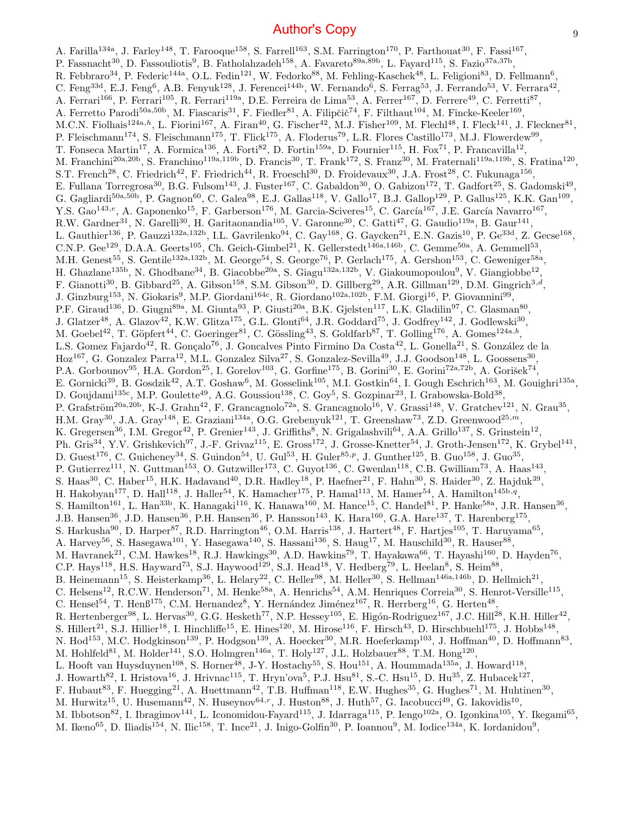A. Farilla<sup>134a</sup>, J. Farley<sup>148</sup>, T. Farooque<sup>158</sup>, S. Farrell<sup>163</sup>, S.M. Farrington<sup>170</sup>, P. Farthouat<sup>30</sup>, F. Fassi<sup>167</sup>, P. Fassnacht<sup>30</sup>, D. Fassouliotis<sup>9</sup>, B. Fatholahzadeh<sup>158</sup>, A. Favareto<sup>89a,89b</sup>, L. Fayard<sup>115</sup>, S. Fazio<sup>37a,37b</sup>, R. Febbraro $^{34}$ , P. Federic $^{144}$ a, O.L. Fedin $^{121}$ , W. Fedorko $^{88}$ , M. Fehling-Kaschek $^{48}$ , L. Feligioni $^{83}$ , D. Fellmann $^6$ , C. Feng<sup>33d</sup>, E.J. Feng<sup>6</sup>, A.B. Fenyuk<sup>128</sup>, J. Ferencei<sup>144b</sup>, W. Fernando<sup>6</sup>, S. Ferrag<sup>53</sup>, J. Ferrando<sup>53</sup>, V. Ferrara<sup>42</sup>, A. Ferrari<sup>166</sup>, P. Ferrari<sup>105</sup>, R. Ferrari<sup>119a</sup>, D.E. Ferreira de Lima<sup>53</sup>, A. Ferrer<sup>167</sup>, D. Ferrere<sup>49</sup>, C. Ferretti<sup>87</sup>, A. Ferretto Parodi<sup>50a,50b</sup>, M. Fiascaris<sup>31</sup>, F. Fiedler<sup>81</sup>, A. Filipčič<sup>74</sup>, F. Filthaut<sup>104</sup>, M. Fincke-Keeler<sup>169</sup>, M.C.N. Fiolhais<sup>124a,h</sup>, L. Fiorini<sup>167</sup>, A. Firan<sup>40</sup>, G. Fischer<sup>42</sup>, M.J. Fisher<sup>109</sup>, M. Flechl<sup>48</sup>, I. Fleck<sup>141</sup>, J. Fleckner<sup>81</sup>, P. Fleischmann<sup>174</sup>, S. Fleischmann<sup>175</sup>, T. Flick<sup>175</sup>, A. Floderus<sup>79</sup>, L.R. Flores Castillo<sup>173</sup>, M.J. Flowerdew<sup>99</sup>, T. Fonseca Martin<sup>17</sup>, A. Formica<sup>136</sup>, A. Forti<sup>82</sup>, D. Fortin<sup>159a</sup>, D. Fournier<sup>115</sup>, H. Fox<sup>71</sup>, P. Francavilla<sup>12</sup>, M. Franchini<sup>20a,20b</sup>, S. Franchino<sup>119a,119b</sup>, D. Francis<sup>30</sup>, T. Frank<sup>172</sup>, S. Franz<sup>30</sup>, M. Fraternali<sup>119a,119b</sup>, S. Fratina<sup>120</sup>, S.T. French<sup>28</sup>, C. Friedrich<sup>42</sup>, F. Friedrich<sup>44</sup>, R. Froeschl<sup>30</sup>, D. Froidevaux<sup>30</sup>, J.A. Frost<sup>28</sup>, C. Fukunaga<sup>156</sup>, E. Fullana Torregrosa<sup>30</sup>, B.G. Fulsom<sup>143</sup>, J. Fuster<sup>167</sup>, C. Gabaldon<sup>30</sup>, O. Gabizon<sup>172</sup>, T. Gadfort<sup>25</sup>, S. Gadomski<sup>49</sup>, G. Gagliardi<sup>50a,50b</sup>, P. Gagnon<sup>60</sup>, C. Galea<sup>98</sup>, E.J. Gallas<sup>118</sup>, V. Gallo<sup>17</sup>, B.J. Gallop<sup>129</sup>, P. Gallus<sup>125</sup>, K.K. Gan<sup>109</sup>, Y.S. Gao<sup>143,e</sup>, A. Gaponenko<sup>15</sup>, F. Garberson<sup>176</sup>, M. Garcia-Sciveres<sup>15</sup>, C. García<sup>167</sup>, J.E. García Navarro<sup>167</sup>, R.W. Gardner<sup>31</sup>, N. Garelli<sup>30</sup>, H. Garitaonandia<sup>105</sup>, V. Garonne<sup>30</sup>, C. Gatti<sup>47</sup>, G. Gaudio<sup>119a</sup>, B. Gaur<sup>141</sup>, L. Gauthier<sup>136</sup>, P. Gauzzi<sup>132a,132b</sup>, I.L. Gavrilenko<sup>94</sup>, C. Gay<sup>168</sup>, G. Gaycken<sup>21</sup>, E.N. Gazis<sup>10</sup>, P. Ge<sup>33d</sup>, Z. Gecse<sup>168</sup>, C.N.P. Gee<sup>129</sup>, D.A.A. Geerts<sup>105</sup>, Ch. Geich-Gimbel<sup>21</sup>, K. Gellerstedt<sup>146a,146b</sup>, C. Gemme<sup>50a</sup>, A. Gemmell<sup>53</sup>, M.H. Genest<sup>55</sup>, S. Gentile<sup>132a,132b</sup>, M. George<sup>54</sup>, S. George<sup>76</sup>, P. Gerlach<sup>175</sup>, A. Gershon<sup>153</sup>, C. Geweniger<sup>58a</sup>, H. Ghazlane<sup>135b</sup>, N. Ghodbane<sup>34</sup>, B. Giacobbe<sup>20a</sup>, S. Giagu<sup>132a,132b</sup>, V. Giakoumopoulou<sup>9</sup>, V. Giangiobbe<sup>12</sup>, F. Gianotti<sup>30</sup>, B. Gibbard<sup>25</sup>, A. Gibson<sup>158</sup>, S.M. Gibson<sup>30</sup>, D. Gillberg<sup>29</sup>, A.R. Gillman<sup>129</sup>, D.M. Gingrich<sup>3,d</sup>, J. Ginzburg<sup>153</sup>, N. Giokaris<sup>9</sup>, M.P. Giordani<sup>164c</sup>, R. Giordano<sup>102a,102b</sup>, F.M. Giorgi<sup>16</sup>, P. Giovannini<sup>99</sup>, P.F. Giraud<sup>136</sup>, D. Giugni<sup>89a</sup>, M. Giunta<sup>93</sup>, P. Giusti<sup>20a</sup>, B.K. Gjelsten<sup>117</sup>, L.K. Gladilin<sup>97</sup>, C. Glasman<sup>80</sup>, J. Glatzer<sup>48</sup>, A. Glazov<sup>42</sup>, K.W. Glitza<sup>175</sup>, G.L. Glonti<sup>64</sup>, J.R. Goddard<sup>75</sup>, J. Godfrey<sup>142</sup>, J. Godlewski<sup>30</sup>, M. Goebel<sup>42</sup>, T. Göpfert<sup>44</sup>, C. Goeringer<sup>81</sup>, C. Gössling<sup>43</sup>, S. Goldfarb<sup>87</sup>, T. Golling<sup>176</sup>, A. Gomes<sup>124a,b</sup>, L.S. Gomez Fajardo<sup>42</sup>, R. Gonçalo<sup>76</sup>, J. Goncalves Pinto Firmino Da Costa<sup>42</sup>, L. Gonella<sup>21</sup>, S. González de la Hoz<sup>167</sup>, G. Gonzalez Parra<sup>12</sup>, M.L. Gonzalez Silva<sup>27</sup>, S. Gonzalez-Sevilla<sup>49</sup>, J.J. Goodson<sup>148</sup>, L. Goossens<sup>30</sup>, P.A. Gorbounov<sup>95</sup>, H.A. Gordon<sup>25</sup>, I. Gorelov<sup>103</sup>, G. Gorfine<sup>175</sup>, B. Gorini<sup>30</sup>, E. Gorini<sup>72a,72b</sup>, A. Gorišek<sup>74</sup>, E. Gornicki<sup>39</sup>, B. Gosdzik<sup>42</sup>, A.T. Goshaw<sup>6</sup>, M. Gosselink<sup>105</sup>, M.I. Gostkin<sup>64</sup>, I. Gough Eschrich<sup>163</sup>, M. Gouighri<sup>135a</sup>, D. Goujdami<sup>135c</sup>, M.P. Goulette<sup>49</sup>, A.G. Goussiou<sup>138</sup>, C. Goy<sup>5</sup>, S. Gozpinar<sup>23</sup>, I. Grabowska-Bold<sup>38</sup>, P. Grafström<sup>20a,20b</sup>, K-J. Grahn<sup>42</sup>, F. Grancagnolo<sup>72a</sup>, S. Grancagnolo<sup>16</sup>, V. Grassi<sup>148</sup>, V. Gratchev<sup>121</sup>, N. Grau<sup>35</sup>, H.M. Gray<sup>30</sup>, J.A. Gray<sup>148</sup>, E. Graziani<sup>134a</sup>, O.G. Grebenyuk<sup>121</sup>, T. Greenshaw<sup>73</sup>, Z.D. Greenwood<sup>25,*m*</sup>, K. Gregersen<sup>36</sup>, I.M. Gregor<sup>42</sup>, P. Grenier<sup>143</sup>, J. Griffiths<sup>8</sup>, N. Grigalashvili<sup>64</sup>, A.A. Grillo<sup>137</sup>, S. Grinstein<sup>12</sup>, Ph. Gris<sup>34</sup>, Y.V. Grishkevich<sup>97</sup>, J.-F. Grivaz<sup>115</sup>, E. Gross<sup>172</sup>, J. Grosse-Knetter<sup>54</sup>, J. Groth-Jensen<sup>172</sup>, K. Grybel<sup>141</sup>, D. Guest<sup>176</sup>, C. Guicheney<sup>34</sup>, S. Guindon<sup>54</sup>, U. Gul<sup>53</sup>, H. Guler<sup>85,p</sup>, J. Gunther<sup>125</sup>, B. Guo<sup>158</sup>, J. Guo<sup>35</sup>, P. Gutierrez<sup>111</sup>, N. Guttman<sup>153</sup>, O. Gutzwiller<sup>173</sup>, C. Guyot<sup>136</sup>, C. Gwenlan<sup>118</sup>, C.B. Gwilliam<sup>73</sup>, A. Haas<sup>143</sup>, S. Haas<sup>30</sup>, C. Haber<sup>15</sup>, H.K. Hadavand<sup>40</sup>, D.R. Hadley<sup>18</sup>, P. Haefner<sup>21</sup>, F. Hahn<sup>30</sup>, S. Haider<sup>30</sup>, Z. Hajduk<sup>39</sup>, H. Hakobyan<sup>177</sup>, D. Hall<sup>118</sup>, J. Haller<sup>54</sup>, K. Hamacher<sup>175</sup>, P. Hamal<sup>113</sup>, M. Hamer<sup>54</sup>, A. Hamilton<sup>145b,q</sup>, S. Hamilton<sup>161</sup>, L. Han<sup>33b</sup>, K. Hanagaki<sup>116</sup>, K. Hanawa<sup>160</sup>, M. Hance<sup>15</sup>, C. Handel<sup>81</sup>, P. Hanke<sup>58a</sup>, J.R. Hansen<sup>36</sup>, J.B. Hansen<sup>36</sup>, J.D. Hansen<sup>36</sup>, P.H. Hansen<sup>36</sup>, P. Hansson<sup>143</sup>, K. Hara<sup>160</sup>, G.A. Hare<sup>137</sup>, T. Harenberg<sup>175</sup>, S. Harkusha<sup>90</sup>, D. Harper<sup>87</sup>, R.D. Harrington<sup>46</sup>, O.M. Harris<sup>138</sup>, J. Hartert<sup>48</sup>, F. Hartjes<sup>105</sup>, T. Haruyama<sup>65</sup>, A. Harvey<sup>56</sup>, S. Hasegawa<sup>101</sup>, Y. Hasegawa<sup>140</sup>, S. Hassani<sup>136</sup>, S. Haug<sup>17</sup>, M. Hauschild<sup>30</sup>, R. Hauser<sup>88</sup>, M. Havranek<sup>21</sup>, C.M. Hawkes<sup>18</sup>, R.J. Hawkings<sup>30</sup>, A.D. Hawkins<sup>79</sup>, T. Hayakawa<sup>66</sup>, T. Hayashi<sup>160</sup>, D. Hayden<sup>76</sup>, C.P. Hays<sup>118</sup>, H.S. Hayward<sup>73</sup>, S.J. Haywood<sup>129</sup>, S.J. Head<sup>18</sup>, V. Hedberg<sup>79</sup>, L. Heelan<sup>8</sup>, S. Heim<sup>88</sup>, B. Heinemann<sup>15</sup>, S. Heisterkamp<sup>36</sup>, L. Helary<sup>22</sup>, C. Heller<sup>98</sup>, M. Heller<sup>30</sup>, S. Hellman<sup>146a,146b</sup>, D. Hellmich<sup>21</sup>, C. Helsens<sup>12</sup>, R.C.W. Henderson<sup>71</sup>, M. Henke<sup>58a</sup>, A. Henrichs<sup>54</sup>, A.M. Henriques Correia<sup>30</sup>, S. Henrot-Versille<sup>115</sup>, C. Hensel<sup>54</sup>, T. Hen $6^{175}$ , C.M. Hernandez<sup>8</sup>, Y. Hernández Jiménez<sup>167</sup>, R. Herrberg<sup>16</sup>, G. Herten<sup>48</sup>, R. Hertenberger<sup>98</sup>, L. Hervas<sup>30</sup>, G.G. Hesketh<sup>77</sup>, N.P. Hessey<sup>105</sup>, E. Higón-Rodriguez<sup>167</sup>, J.C. Hill<sup>28</sup>, K.H. Hiller<sup>42</sup>, S. Hillert<sup>21</sup>, S.J. Hillier<sup>18</sup>, I. Hinchliffe<sup>15</sup>, E. Hines<sup>120</sup>, M. Hirose<sup>116</sup>, F. Hirsch<sup>43</sup>, D. Hirschbuehl<sup>175</sup>, J. Hobbs<sup>148</sup>, N. Hod<sup>153</sup>, M.C. Hodgkinson<sup>139</sup>, P. Hodgson<sup>139</sup>, A. Hoecker<sup>30</sup>, M.R. Hoeferkamp<sup>103</sup>, J. Hoffman<sup>40</sup>, D. Hoffmann<sup>83</sup>, M. Hohlfeld<sup>81</sup>, M. Holder<sup>141</sup>, S.O. Holmgren<sup>146a</sup>, T. Holy<sup>127</sup>, J.L. Holzbauer<sup>88</sup>, T.M. Hong<sup>120</sup>, L. Hooft van Huysduynen<sup>108</sup>, S. Horner<sup>48</sup>, J-Y. Hostachy<sup>55</sup>, S. Hou<sup>151</sup>, A. Hoummada<sup>135a</sup>, J. Howard<sup>118</sup>, J. Howarth<sup>82</sup>, I. Hristova<sup>16</sup>, J. Hrivnac<sup>115</sup>, T. Hryn'ova<sup>5</sup>, P.J. Hsu<sup>81</sup>, S.-C. Hsu<sup>15</sup>, D. Hu<sup>35</sup>, Z. Hubacek<sup>127</sup>, F. Hubaut<sup>83</sup>, F. Huegging<sup>21</sup>, A. Huettmann<sup>42</sup>, T.B. Huffman<sup>118</sup>, E.W. Hughes<sup>35</sup>, G. Hughes<sup>71</sup>, M. Huhtinen<sup>30</sup>, M. Hurwitz<sup>15</sup>, U. Husemann<sup>42</sup>, N. Huseynov<sup>64,r</sup>, J. Huston<sup>88</sup>, J. Huth<sup>57</sup>, G. Iacobucci<sup>49</sup>, G. Iakovidis<sup>10</sup>, M. Ibbotson<sup>82</sup>, I. Ibragimov<sup>141</sup>, L. Iconomidou-Fayard<sup>115</sup>, J. Idarraga<sup>115</sup>, P. Iengo<sup>102a</sup>, O. Igonkina<sup>105</sup>, Y. Ikegami<sup>65</sup>, M. Ikeno<sup>65</sup>, D. Iliadis<sup>154</sup>, N. Ilic<sup>158</sup>, T. Ince<sup>21</sup>, J. Inigo-Golfin<sup>30</sup>, P. Ioannou<sup>9</sup>, M. Iodice<sup>134a</sup>, K. Iordanidou<sup>9</sup>,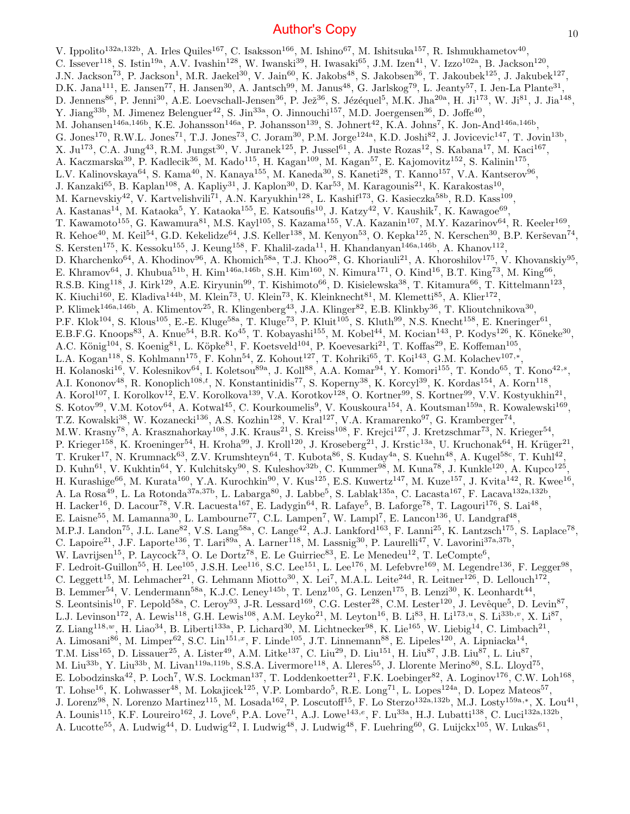V. Ippolito<sup>132a,132b</sup>, A. Irles Quiles<sup>167</sup>, C. Isaksson<sup>166</sup>, M. Ishino<sup>67</sup>, M. Ishitsuka<sup>157</sup>, R. Ishmukhametov<sup>40</sup>, C. Issever<sup>118</sup>, S. Istin<sup>19a</sup>, A.V. Ivashin<sup>128</sup>, W. Iwanski<sup>39</sup>, H. Iwasaki<sup>65</sup>, J.M. Izen<sup>41</sup>, V. Izzo<sup>102a</sup>, B. Jackson<sup>120</sup>, J.N. Jackson<sup>73</sup>, P. Jackson<sup>1</sup>, M.R. Jaekel<sup>30</sup>, V. Jain<sup>60</sup>, K. Jakobs<sup>48</sup>, S. Jakobsen<sup>36</sup>, T. Jakoubek<sup>125</sup>, J. Jakubek<sup>127</sup>, D.K. Jana<sup>111</sup>, E. Jansen<sup>77</sup>, H. Jansen<sup>30</sup>, A. Jantsch<sup>99</sup>, M. Janus<sup>48</sup>, G. Jarlskog<sup>79</sup>, L. Jeanty<sup>57</sup>, I. Jen-La Plante<sup>31</sup>, D. Jennens<sup>86</sup>, P. Jenni<sup>30</sup>, A.E. Loevschall-Jensen<sup>36</sup>, P. Jež<sup>36</sup>, S. Jézéquel<sup>5</sup>, M.K. Jha<sup>20a</sup>, H. Ji<sup>173</sup>, W. Ji<sup>81</sup>, J. Jia<sup>148</sup>, Y. Jiang<sup>33b</sup>, M. Jimenez Belenguer<sup>42</sup>, S. Jin<sup>33a</sup>, O. Jinnouchi<sup>157</sup>, M.D. Joergensen<sup>36</sup>, D. Joffe<sup>40</sup>, M. Johansen<sup>146a,146b</sup>, K.E. Johansson<sup>146a</sup>, P. Johansson<sup>139</sup>, S. Johnert<sup>42</sup>, K.A. Johns<sup>7</sup>, K. Jon-And<sup>146a,146b</sup>, G. Jones<sup>170</sup>, R.W.L. Jones<sup>71</sup>, T.J. Jones<sup>73</sup>, C. Joram<sup>30</sup>, P.M. Jorge<sup>124a</sup>, K.D. Joshi<sup>82</sup>, J. Jovicevic<sup>147</sup>, T. Jovin<sup>13b</sup>, X. Ju<sup>173</sup>, C.A. Jung<sup>43</sup>, R.M. Jungst<sup>30</sup>, V. Juranek<sup>125</sup>, P. Jussel<sup>61</sup>, A. Juste Rozas<sup>12</sup>, S. Kabana<sup>17</sup>, M. Kaci<sup>167</sup>, A. Kaczmarska<sup>39</sup>, P. Kadlecik<sup>36</sup>, M. Kado<sup>115</sup>, H. Kagan<sup>109</sup>, M. Kagan<sup>57</sup>, E. Kajomovitz<sup>152</sup>, S. Kalinin<sup>175</sup>, L.V. Kalinovskaya $^{64}$ , S. Kama $^{40}$ , N. Kanaya $^{155}$ , M. Kaneda $^{30}$ , S. Kaneti $^{28}$ , T. Kanno $^{157}$ , V.A. Kantserov $^{96}$ , J. Kanzaki<sup>65</sup>, B. Kaplan<sup>108</sup>, A. Kapliy<sup>31</sup>, J. Kaplon<sup>30</sup>, D. Kar<sup>53</sup>, M. Karagounis<sup>21</sup>, K. Karakostas<sup>10</sup>, M. Karnevskiy<sup>42</sup>, V. Kartvelishvili<sup>71</sup>, A.N. Karyukhin<sup>128</sup>, L. Kashif<sup>173</sup>, G. Kasieczka<sup>58b</sup>, R.D. Kass<sup>109</sup>, A. Kastanas<sup>14</sup>, M. Kataoka<sup>5</sup>, Y. Kataoka<sup>155</sup>, E. Katsoufis<sup>10</sup>, J. Katzy<sup>42</sup>, V. Kaushik<sup>7</sup>, K. Kawagoe<sup>69</sup>, T. Kawamoto<sup>155</sup>, G. Kawamura<sup>81</sup>, M.S. Kayl<sup>105</sup>, S. Kazama<sup>155</sup>, V.A. Kazanin<sup>107</sup>, M.Y. Kazarinov<sup>64</sup>, R. Keeler<sup>169</sup>, R. Kehoe $^{40}$ , M. Keil $^{54}$ , G.D. Kekelidze $^{64}$ , J.S. Keller $^{138}$ , M. Kenyon $^{53}$ , O. Kepka $^{125}$ , N. Kerschen $^{30}$ , B.P. Kerševan $^{74}$ , S. Kersten<sup>175</sup>, K. Kessoku<sup>155</sup>, J. Keung<sup>158</sup>, F. Khalil-zada<sup>11</sup>, H. Khandanyan<sup>146a,146b</sup>, A. Khanov<sup>112</sup>, D. Kharchenko<sup>64</sup>, A. Khodinov<sup>96</sup>, A. Khomich<sup>58a</sup>, T.J. Khoo<sup>28</sup>, G. Khoriauli<sup>21</sup>, A. Khoroshilov<sup>175</sup>, V. Khovanskiy<sup>95</sup>, E. Khramov<sup>64</sup>, J. Khubua<sup>51b</sup>, H. Kim<sup>146a,146b</sup>, S.H. Kim<sup>160</sup>, N. Kimura<sup>171</sup>, O. Kind<sup>16</sup>, B.T. King<sup>73</sup>, M. King<sup>66</sup>, R.S.B. King<sup>118</sup>, J. Kirk<sup>129</sup>, A.E. Kiryunin<sup>99</sup>, T. Kishimoto<sup>66</sup>, D. Kisielewska<sup>38</sup>, T. Kitamura<sup>66</sup>, T. Kittelmann<sup>123</sup>, K. Kiuchi<sup>160</sup>, E. Kladiva<sup>144b</sup>, M. Klein<sup>73</sup>, U. Klein<sup>73</sup>, K. Kleinknecht<sup>81</sup>, M. Klemetti<sup>85</sup>, A. Klier<sup>172</sup>, P. Klimek<sup>146a,146b</sup>, A. Klimentov<sup>25</sup>, R. Klingenberg<sup>43</sup>, J.A. Klinger<sup>82</sup>, E.B. Klinkby<sup>36</sup>, T. Klioutchnikova<sup>30</sup>, P.F. Klok<sup>104</sup>, S. Klous<sup>105</sup>, E.-E. Kluge<sup>58a</sup>, T. Kluge<sup>73</sup>, P. Kluit<sup>105</sup>, S. Kluth<sup>99</sup>, N.S. Knecht<sup>158</sup>, E. Kneringer<sup>61</sup>, E.B.F.G. Knoops<sup>83</sup>, A. Knue<sup>54</sup>, B.R. Ko<sup>45</sup>, T. Kobayashi<sup>155</sup>, M. Kobel<sup>44</sup>, M. Kocian<sup>143</sup>, P. Kodys<sup>126</sup>, K. Köneke<sup>30</sup>, A.C. König<sup>104</sup>, S. Koenig<sup>81</sup>, L. Köpke<sup>81</sup>, F. Koetsveld<sup>104</sup>, P. Koevesarki<sup>21</sup>, T. Koffas<sup>29</sup>, E. Koffeman<sup>105</sup>, L.A. Kogan<sup>118</sup>, S. Kohlmann<sup>175</sup>, F. Kohn<sup>54</sup>, Z. Kohout<sup>127</sup>, T. Kohriki<sup>65</sup>, T. Koi<sup>143</sup>, G.M. Kolachev<sup>107,\*</sup>, H. Kolanoski<sup>16</sup>, V. Kolesnikov<sup>64</sup>, I. Koletsou<sup>89a</sup>, J. Koll<sup>88</sup>, A.A. Komar<sup>94</sup>, Y. Komori<sup>155</sup>, T. Kondo<sup>65</sup>, T. Kono<sup>42,s</sup>, A.I. Kononov<sup>48</sup>, R. Konoplich<sup>108,*t*</sup>, N. Konstantinidis<sup>77</sup>, S. Koperny<sup>38</sup>, K. Korcyl<sup>39</sup>, K. Kordas<sup>154</sup>, A. Korn<sup>118</sup>, A. Korol<sup>107</sup>, I. Korolkov<sup>12</sup>, E.V. Korolkova<sup>139</sup>, V.A. Korotkov<sup>128</sup>, O. Kortner<sup>99</sup>, S. Kortner<sup>99</sup>, V.V. Kostyukhin<sup>21</sup>, S. Kotov<sup>99</sup>, V.M. Kotov<sup>64</sup>, A. Kotwal<sup>45</sup>, C. Kourkoumelis<sup>9</sup>, V. Kouskoura<sup>154</sup>, A. Koutsman<sup>159a</sup>, R. Kowalewski<sup>169</sup>, T.Z. Kowalski<sup>38</sup>, W. Kozanecki<sup>136</sup>, A.S. Kozhin<sup>128</sup>, V. Kral<sup>127</sup>, V.A. Kramarenko<sup>97</sup>, G. Kramberger<sup>74</sup>, M.W. Krasny<sup>78</sup>, A. Krasznahorkay<sup>108</sup>, J.K. Kraus<sup>21</sup>, S. Kreiss<sup>108</sup>, F. Krejci<sup>127</sup>, J. Kretzschmar<sup>73</sup>, N. Krieger<sup>54</sup>, P. Krieger<sup>158</sup>, K. Kroeninger<sup>54</sup>, H. Kroha<sup>99</sup>, J. Kroll<sup>120</sup>, J. Kroseberg<sup>21</sup>, J. Krstic<sup>13a</sup>, U. Kruchonak<sup>64</sup>, H. Krüger<sup>21</sup>, T. Kruker<sup>17</sup>, N. Krumnack<sup>63</sup>, Z.V. Krumshteyn<sup>64</sup>, T. Kubota<sup>86</sup>, S. Kuday<sup>4a</sup>, S. Kuehn<sup>48</sup>, A. Kugel<sup>58c</sup>, T. Kuhl<sup>42</sup>, D. Kuhn<sup>61</sup>, V. Kukhtin<sup>64</sup>, Y. Kulchitsky<sup>90</sup>, S. Kuleshov<sup>32b</sup>, C. Kummer<sup>98</sup>, M. Kuna<sup>78</sup>, J. Kunkle<sup>120</sup>, A. Kupco<sup>125</sup>, H. Kurashige $^{66}$ , M. Kurata $^{160}$ , Y.A. Kurochkin $^{90}$ , V. Kus $^{125}$ , E.S. Kuwertz $^{147}$ , M. Kuze $^{157}$ , J. Kvita $^{142}$ , R. Kwee $^{16}$ , A. La Rosa<sup>49</sup>, L. La Rotonda<sup>37a,37b</sup>, L. Labarga<sup>80</sup>, J. Labbe<sup>5</sup>, S. Lablak<sup>135a</sup>, C. Lacasta<sup>167</sup>, F. Lacava<sup>132a,132b</sup>, H. Lacker<sup>16</sup>, D. Lacour<sup>78</sup>, V.R. Lacuesta<sup>167</sup>, E. Ladygin<sup>64</sup>, R. Lafaye<sup>5</sup>, B. Laforge<sup>78</sup>, T. Lagouri<sup>176</sup>, S. Lai<sup>48</sup>, E. Laisne<sup>55</sup>, M. Lamanna<sup>30</sup>, L. Lambourne<sup>77</sup>, C.L. Lampen<sup>7</sup>, W. Lampl<sup>7</sup>, E. Lancon<sup>136</sup>, U. Landgraf<sup>48</sup>, M.P.J. Landon<sup>75</sup>, J.L. Lane<sup>82</sup>, V.S. Lang<sup>58a</sup>, C. Lange<sup>42</sup>, A.J. Lankford<sup>163</sup>, F. Lanni<sup>25</sup>, K. Lantzsch<sup>175</sup>, S. Laplace<sup>78</sup>, C. Lapoire<sup>21</sup>, J.F. Laporte<sup>136</sup>, T. Lari<sup>89a</sup>, A. Larner<sup>118</sup>, M. Lassnig<sup>30</sup>, P. Laurelli<sup>47</sup>, V. Lavorini<sup>37a,37b</sup>, W. Lavrijsen<sup>15</sup>, P. Laycock<sup>73</sup>, O. Le Dortz<sup>78</sup>, E. Le Guirriec<sup>83</sup>, E. Le Menedeu<sup>12</sup>, T. LeCompte<sup>6</sup>, F. Ledroit-Guillon<sup>55</sup>, H. Lee<sup>105</sup>, J.S.H. Lee<sup>116</sup>, S.C. Lee<sup>151</sup>, L. Lee<sup>176</sup>, M. Lefebvre<sup>169</sup>, M. Legendre<sup>136</sup>, F. Legger<sup>98</sup>, C. Leggett<sup>15</sup>, M. Lehmacher<sup>21</sup>, G. Lehmann Miotto<sup>30</sup>, X. Lei<sup>7</sup>, M.A.L. Leite<sup>24d</sup>, R. Leitner<sup>126</sup>, D. Lellouch<sup>172</sup>, B. Lemmer<sup>54</sup>, V. Lendermann<sup>58a</sup>, K.J.C. Leney<sup>145b</sup>, T. Lenz<sup>105</sup>, G. Lenzen<sup>175</sup>, B. Lenzi<sup>30</sup>, K. Leonhardt<sup>44</sup>, S. Leontsinis<sup>10</sup>, F. Lepold<sup>58a</sup>, C. Leroy<sup>93</sup>, J-R. Lessard<sup>169</sup>, C.G. Lester<sup>28</sup>, C.M. Lester<sup>120</sup>, J. Levêque<sup>5</sup>, D. Levin<sup>87</sup>, L.J. Levinson<sup>172</sup>, A. Lewis<sup>118</sup>, G.H. Lewis<sup>108</sup>, A.M. Leyko<sup>21</sup>, M. Leyton<sup>16</sup>, B. Li<sup>83</sup>, H. Li<sup>173,*u*</sup>, S. Li<sup>33b,*v*</sup>, X. Li<sup>87</sup>, Z. Liang<sup>118,w</sup>, H. Liao<sup>34</sup>, B. Liberti<sup>133a</sup>, P. Lichard<sup>30</sup>, M. Lichtnecker<sup>98</sup>, K. Lie<sup>165</sup>, W. Liebig<sup>14</sup>, C. Limbach<sup>21</sup>, A. Limosani<sup>86</sup>, M. Limper<sup>62</sup>, S.C. Lin<sup>151,x</sup>, F. Linde<sup>105</sup>, J.T. Linnemann<sup>88</sup>, E. Lipeles<sup>120</sup>, A. Lipniacka<sup>14</sup>, T.M. Liss<sup>165</sup>, D. Lissauer<sup>25</sup>, A. Lister<sup>49</sup>, A.M. Litke<sup>137</sup>, C. Liu<sup>29</sup>, D. Liu<sup>151</sup>, H. Liu<sup>87</sup>, J.B. Liu<sup>87</sup>, L. Liu<sup>87</sup>, M. Liu<sup>33b</sup>, Y. Liu<sup>33b</sup>, M. Livan<sup>119a,119b</sup>, S.S.A. Livermore<sup>118</sup>, A. Lleres<sup>55</sup>, J. Llorente Merino<sup>80</sup>, S.L. Lloyd<sup>75</sup>, E. Lobodzinska<sup>42</sup>, P. Loch<sup>7</sup>, W.S. Lockman<sup>137</sup>, T. Loddenkoetter<sup>21</sup>, F.K. Loebinger<sup>82</sup>, A. Loginov<sup>176</sup>, C.W. Loh<sup>168</sup>, T. Lohse<sup>16</sup>, K. Lohwasser<sup>48</sup>, M. Lokajicek<sup>125</sup>, V.P. Lombardo<sup>5</sup>, R.E. Long<sup>71</sup>, L. Lopes<sup>124a</sup>, D. Lopez Mateos<sup>57</sup>, J. Lorenz<sup>98</sup>, N. Lorenzo Martinez<sup>115</sup>, M. Losada<sup>162</sup>, P. Loscutoff<sup>15</sup>, F. Lo Sterzo<sup>132a,132b</sup>, M.J. Losty<sup>159a,\*</sup>, X. Lou<sup>41</sup>, A. Lounis<sup>115</sup>, K.F. Loureiro<sup>162</sup>, J. Love<sup>6</sup>, P.A. Love<sup>71</sup>, A.J. Lowe<sup>143,e</sup>, F. Lu<sup>33a</sup>, H.J. Lubatti<sup>138</sup>, C. Luci<sup>132a,132b</sup>, A. Lucotte<sup>55</sup>, A. Ludwig<sup>44</sup>, D. Ludwig<sup>42</sup>, I. Ludwig<sup>48</sup>, J. Ludwig<sup>48</sup>, F. Luehring<sup>60</sup>, G. Luijckx<sup>105</sup>, W. Lukas<sup>61</sup>,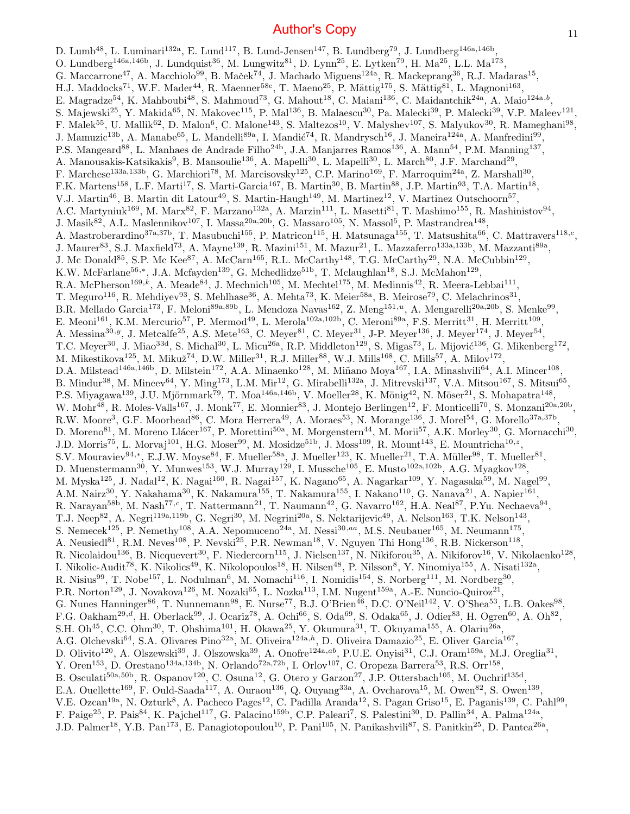D. Lumb<sup>48</sup>, L. Luminari<sup>132a</sup>, E. Lund<sup>117</sup>, B. Lund-Jensen<sup>147</sup>, B. Lundberg<sup>79</sup>, J. Lundberg<sup>146a,146b</sup>, O. Lundberg<sup>146a,146b</sup>, J. Lundquist<sup>36</sup>, M. Lungwitz<sup>81</sup>, D. Lynn<sup>25</sup>, E. Lytken<sup>79</sup>, H. Ma<sup>25</sup>, L.L. Ma<sup>173</sup>, G. Maccarrone<sup>47</sup>, A. Macchiolo<sup>99</sup>, B. Maček<sup>74</sup>, J. Machado Miguens<sup>124a</sup>, R. Mackeprang<sup>36</sup>, R.J. Madaras<sup>15</sup>, H.J. Maddocks<sup>71</sup>, W.F. Mader<sup>44</sup>, R. Maenner<sup>58c</sup>, T. Maeno<sup>25</sup>, P. Mättig<sup>175</sup>, S. Mättig<sup>81</sup>, L. Magnoni<sup>163</sup>, E. Magradze<sup>54</sup>, K. Mahboubi<sup>48</sup>, S. Mahmoud<sup>73</sup>, G. Mahout<sup>18</sup>, C. Maiani<sup>136</sup>, C. Maidantchik<sup>24a</sup>, A. Maio<sup>124a,b</sup>, S. Majewski<sup>25</sup>, Y. Makida<sup>65</sup>, N. Makovec<sup>115</sup>, P. Mal<sup>136</sup>, B. Malaescu<sup>30</sup>, Pa. Malecki<sup>39</sup>, P. Malecki<sup>39</sup>, V.P. Maleev<sup>121</sup>, F. Malek<sup>55</sup>, U. Mallik<sup>62</sup>, D. Malon<sup>6</sup>, C. Malone<sup>143</sup>, S. Maltezos<sup>10</sup>, V. Malyshev<sup>107</sup>, S. Malyukov<sup>30</sup>, R. Mameghani<sup>98</sup>, J. Mamuzic<sup>13b</sup>, A. Manabe<sup>65</sup>, L. Mandelli<sup>89a</sup>, I. Mandić<sup>74</sup>, R. Mandrysch<sup>16</sup>, J. Maneira<sup>124a</sup>, A. Manfredini<sup>99</sup>, P.S. Mangeard<sup>88</sup>, L. Manhaes de Andrade Filho<sup>24b</sup>, J.A. Manjarres Ramos<sup>136</sup>, A. Mann<sup>54</sup>, P.M. Manning<sup>137</sup>, A. Manousakis-Katsikakis<sup>9</sup>, B. Mansoulie<sup>136</sup>, A. Mapelli<sup>30</sup>, L. Mapelli<sup>30</sup>, L. March<sup>80</sup>, J.F. Marchand<sup>29</sup>, F. Marchese<sup>133a,133b</sup>, G. Marchiori<sup>78</sup>, M. Marcisovsky<sup>125</sup>, C.P. Marino<sup>169</sup>, F. Marroquim<sup>24a</sup>, Z. Marshall<sup>30</sup>, F.K. Martens<sup>158</sup>, L.F. Marti<sup>17</sup>, S. Marti-Garcia<sup>167</sup>, B. Martin<sup>30</sup>, B. Martin<sup>88</sup>, J.P. Martin<sup>93</sup>, T.A. Martin<sup>18</sup>, V.J. Martin<sup>46</sup>, B. Martin dit Latour<sup>49</sup>, S. Martin-Haugh<sup>149</sup>, M. Martinez<sup>12</sup>, V. Martinez Outschoorn<sup>57</sup>, A.C. Martyniuk<sup>169</sup>, M. Marx<sup>82</sup>, F. Marzano<sup>132a</sup>, A. Marzin<sup>111</sup>, L. Masetti<sup>81</sup>, T. Mashimo<sup>155</sup>, R. Mashinistov<sup>94</sup>, J. Masik<sup>82</sup>, A.L. Maslennikov<sup>107</sup>, I. Massa<sup>20a,20b</sup>, G. Massaro<sup>105</sup>, N. Massol<sup>5</sup>, P. Mastrandrea<sup>148</sup>, A. Mastroberardino<sup>37a,37b</sup>, T. Masubuchi<sup>155</sup>, P. Matricon<sup>115</sup>, H. Matsunaga<sup>155</sup>, T. Matsushita<sup>66</sup>, C. Mattravers<sup>118,c</sup>, J. Maurer<sup>83</sup>, S.J. Maxfield<sup>73</sup>, A. Mayne<sup>139</sup>, R. Mazini<sup>151</sup>, M. Mazur<sup>21</sup>, L. Mazzaferro<sup>133a,133b</sup>, M. Mazzanti<sup>89a</sup>, J. Mc Donald<sup>85</sup>, S.P. Mc Kee<sup>87</sup>, A. McCarn<sup>165</sup>, R.L. McCarthy<sup>148</sup>, T.G. McCarthy<sup>29</sup>, N.A. McCubbin<sup>129</sup>, K.W. McFarlane<sup>56,\*</sup>, J.A. Mcfayden<sup>139</sup>, G. Mchedlidze<sup>51b</sup>, T. Mclaughlan<sup>18</sup>, S.J. McMahon<sup>129</sup>, R.A. McPherson<sup>169,k</sup>, A. Meade<sup>84</sup>, J. Mechnich<sup>105</sup>, M. Mechtel<sup>175</sup>, M. Medinnis<sup>42</sup>, R. Meera-Lebbai<sup>111</sup>, T. Meguro<sup>116</sup>, R. Mehdiyev<sup>93</sup>, S. Mehlhase<sup>36</sup>, A. Mehta<sup>73</sup>, K. Meier<sup>58a</sup>, B. Meirose<sup>79</sup>, C. Melachrinos<sup>31</sup>, B.R. Mellado Garcia<sup>173</sup>, F. Meloni<sup>89a,89b</sup>, L. Mendoza Navas<sup>162</sup>, Z. Meng<sup>151,*u*</sup>, A. Mengarelli<sup>20a,20b</sup>, S. Menke<sup>99</sup>, E. Meoni<sup>161</sup>, K.M. Mercurio<sup>57</sup>, P. Mermod<sup>49</sup>, L. Merola<sup>102a,102b</sup>, C. Meroni<sup>89a</sup>, F.S. Merritt<sup>31</sup>, H. Merritt<sup>109</sup>, A. Messina<sup>30, y</sup>, J. Metcalfe<sup>25</sup>, A.S. Mete<sup>163</sup>, C. Meyer<sup>81</sup>, C. Meyer<sup>31</sup>, J-P. Meyer<sup>136</sup>, J. Meyer<sup>174</sup>, J. Meyer<sup>54</sup>, T.C. Meyer<sup>30</sup>, J. Miao<sup>33d</sup>, S. Michal<sup>30</sup>, L. Micu<sup>26a</sup>, R.P. Middleton<sup>129</sup>, S. Migas<sup>73</sup>, L. Mijović<sup>136</sup>, G. Mikenberg<sup>172</sup>, M. Mikestikova<sup>125</sup>, M. Mikuž<sup>74</sup>, D.W. Miller<sup>31</sup>, R.J. Miller<sup>88</sup>, W.J. Mills<sup>168</sup>, C. Mills<sup>57</sup>, A. Milov<sup>172</sup>, D.A. Milstead<sup>146a,146b</sup>, D. Milstein<sup>172</sup>, A.A. Minaenko<sup>128</sup>, M. Miñano Moya<sup>167</sup>, I.A. Minashvili<sup>64</sup>, A.I. Mincer<sup>108</sup>, B. Mindur<sup>38</sup>, M. Mineev<sup>64</sup>, Y. Ming<sup>173</sup>, L.M. Mir<sup>12</sup>, G. Mirabelli<sup>132a</sup>, J. Mitrevski<sup>137</sup>, V.A. Mitsou<sup>167</sup>, S. Mitsui<sup>65</sup>, P.S. Miyagawa<sup>139</sup>, J.U. Mjörnmark<sup>79</sup>, T. Moa<sup>146a,146b</sup>, V. Moeller<sup>28</sup>, K. Mönig<sup>42</sup>, N. Möser<sup>21</sup>, S. Mohapatra<sup>148</sup>, W. Mohr<sup>48</sup>, R. Moles-Valls<sup>167</sup>, J. Monk<sup>77</sup>, E. Monnier<sup>83</sup>, J. Montejo Berlingen<sup>12</sup>, F. Monticelli<sup>70</sup>, S. Monzani<sup>20a,20b</sup>, R.W. Moore<sup>3</sup>, G.F. Moorhead<sup>86</sup>, C. Mora Herrera<sup>49</sup>, A. Moraes<sup>53</sup>, N. Morange<sup>136</sup>, J. Morel<sup>54</sup>, G. Morello<sup>37a,37b</sup>, D. Moreno<sup>81</sup>, M. Moreno Llácer<sup>167</sup>, P. Morettini<sup>50a</sup>, M. Morgenstern<sup>44</sup>, M. Morii<sup>57</sup>, A.K. Morley<sup>30</sup>, G. Mornacchi<sup>30</sup>, J.D. Morris<sup>75</sup>, L. Morvaj<sup>101</sup>, H.G. Moser<sup>99</sup>, M. Mosidze<sup>51b</sup>, J. Moss<sup>109</sup>, R. Mount<sup>143</sup>, E. Mountricha<sup>10,z</sup>, S.V. Mouraviev<sup>94,\*</sup>, E.J.W. Moyse<sup>84</sup>, F. Mueller<sup>58a</sup>, J. Mueller<sup>123</sup>, K. Mueller<sup>21</sup>, T.A. Müller<sup>98</sup>, T. Mueller<sup>81</sup>, D. Muenstermann<sup>30</sup>, Y. Munwes<sup>153</sup>, W.J. Murray<sup>129</sup>, I. Mussche<sup>105</sup>, E. Musto<sup>102a,102b</sup>, A.G. Myagkov<sup>128</sup>, M. Myska<sup>125</sup>, J. Nadal<sup>12</sup>, K. Nagai<sup>160</sup>, R. Nagai<sup>157</sup>, K. Nagano<sup>65</sup>, A. Nagarkar<sup>109</sup>, Y. Nagasaka<sup>59</sup>, M. Nagel<sup>99</sup>, A.M. Nairz<sup>30</sup>, Y. Nakahama<sup>30</sup>, K. Nakamura<sup>155</sup>, T. Nakamura<sup>155</sup>, I. Nakano<sup>110</sup>, G. Nanava<sup>21</sup>, A. Napier<sup>161</sup>, R. Narayan<sup>58b</sup>, M. Nash<sup>77,c</sup>, T. Nattermann<sup>21</sup>, T. Naumann<sup>42</sup>, G. Navarro<sup>162</sup>, H.A. Neal<sup>87</sup>, P.Yu. Nechaeva<sup>94</sup>, T.J. Neep<sup>82</sup>, A. Negri<sup>119a,119b</sup>, G. Negri<sup>30</sup>, M. Negrini<sup>20a</sup>, S. Nektarijevic<sup>49</sup>, A. Nelson<sup>163</sup>, T.K. Nelson<sup>143</sup>, S. Nemecek<sup>125</sup>, P. Nemethy<sup>108</sup>, A.A. Nepomuceno<sup>24a</sup>, M. Nessi<sup>30,aa</sup>, M.S. Neubauer<sup>165</sup>, M. Neumann<sup>175</sup>, A. Neusiedl<sup>81</sup>, R.M. Neves<sup>108</sup>, P. Nevski<sup>25</sup>, P.R. Newman<sup>18</sup>, V. Nguyen Thi Hong<sup>136</sup>, R.B. Nickerson<sup>118</sup>, R. Nicolaidou<sup>136</sup>, B. Nicquevert<sup>30</sup>, F. Niedercorn<sup>115</sup>, J. Nielsen<sup>137</sup>, N. Nikiforou<sup>35</sup>, A. Nikiforov<sup>16</sup>, V. Nikolaenko<sup>128</sup>, I. Nikolic-Audit<sup>78</sup>, K. Nikolics<sup>49</sup>, K. Nikolopoulos<sup>18</sup>, H. Nilsen<sup>48</sup>, P. Nilsson<sup>8</sup>, Y. Ninomiya<sup>155</sup>, A. Nisati<sup>132a</sup>, R. Nisius<sup>99</sup>, T. Nobe<sup>157</sup>, L. Nodulman<sup>6</sup>, M. Nomachi<sup>116</sup>, I. Nomidis<sup>154</sup>, S. Norberg<sup>111</sup>, M. Nordberg<sup>30</sup>, P.R. Norton<sup>129</sup>, J. Novakova<sup>126</sup>, M. Nozaki<sup>65</sup>, L. Nozka<sup>113</sup>, I.M. Nugent<sup>159a</sup>, A.-E. Nuncio-Quiroz<sup>21</sup>, G. Nunes Hanninger<sup>86</sup>, T. Nunnemann<sup>98</sup>, E. Nurse<sup>77</sup>, B.J. O'Brien<sup>46</sup>, D.C. O'Neil<sup>142</sup>, V. O'Shea<sup>53</sup>, L.B. Oakes<sup>98</sup>, F.G. Oakham<sup>29,d</sup>, H. Oberlack<sup>99</sup>, J. Ocariz<sup>78</sup>, A. Ochi<sup>66</sup>, S. Oda<sup>69</sup>, S. Odaka<sup>65</sup>, J. Odier<sup>83</sup>, H. Ogren<sup>60</sup>, A. Oh<sup>82</sup>, S.H. Oh<sup>45</sup>, C.C. Ohm<sup>30</sup>, T. Ohshima<sup>101</sup>, H. Okawa<sup>25</sup>, Y. Okumura<sup>31</sup>, T. Okuyama<sup>155</sup>, A. Olariu<sup>26a</sup>, A.G. Olchevski<sup>64</sup>, S.A. Olivares Pino<sup>32a</sup>, M. Oliveira<sup>124a,h</sup>, D. Oliveira Damazio<sup>25</sup>, E. Oliver Garcia<sup>167</sup>, D. Olivito<sup>120</sup>, A. Olszewski<sup>39</sup>, J. Olszowska<sup>39</sup>, A. Onofre<sup>124a,ab</sup>, P.U.E. Onyisi<sup>31</sup>, C.J. Oram<sup>159a</sup>, M.J. Oreglia<sup>31</sup>, Y. Oren<sup>153</sup>, D. Orestano<sup>134a,134b</sup>, N. Orlando<sup>72a,72b</sup>, I. Orlov<sup>107</sup>, C. Oropeza Barrera<sup>53</sup>, R.S. Orr<sup>158</sup>, B. Osculati<sup>50a,50b</sup>, R. Ospanov<sup>120</sup>, C. Osuna<sup>12</sup>, G. Otero y Garzon<sup>27</sup>, J.P. Ottersbach<sup>105</sup>, M. Ouchrif<sup>135d</sup>, E.A. Ouellette<sup>169</sup>, F. Ould-Saada<sup>117</sup>, A. Ouraou<sup>136</sup>, Q. Ouyang<sup>33a</sup>, A. Ovcharova<sup>15</sup>, M. Owen<sup>82</sup>, S. Owen<sup>139</sup>, V.E. Ozcan<sup>19a</sup>, N. Ozturk<sup>8</sup>, A. Pacheco Pages<sup>12</sup>, C. Padilla Aranda<sup>12</sup>, S. Pagan Griso<sup>15</sup>, E. Paganis<sup>139</sup>, C. Pahl<sup>99</sup>, F. Paige<sup>25</sup>, P. Pais<sup>84</sup>, K. Pajchel<sup>117</sup>, G. Palacino<sup>159b</sup>, C.P. Paleari<sup>7</sup>, S. Palestini<sup>30</sup>, D. Pallin<sup>34</sup>, A. Palma<sup>124a</sup>, J.D. Palmer<sup>18</sup>, Y.B. Pan<sup>173</sup>, E. Panagiotopoulou<sup>10</sup>, P. Pani<sup>105</sup>, N. Panikashvili<sup>87</sup>, S. Panitkin<sup>25</sup>, D. Pantea<sup>26a</sup>,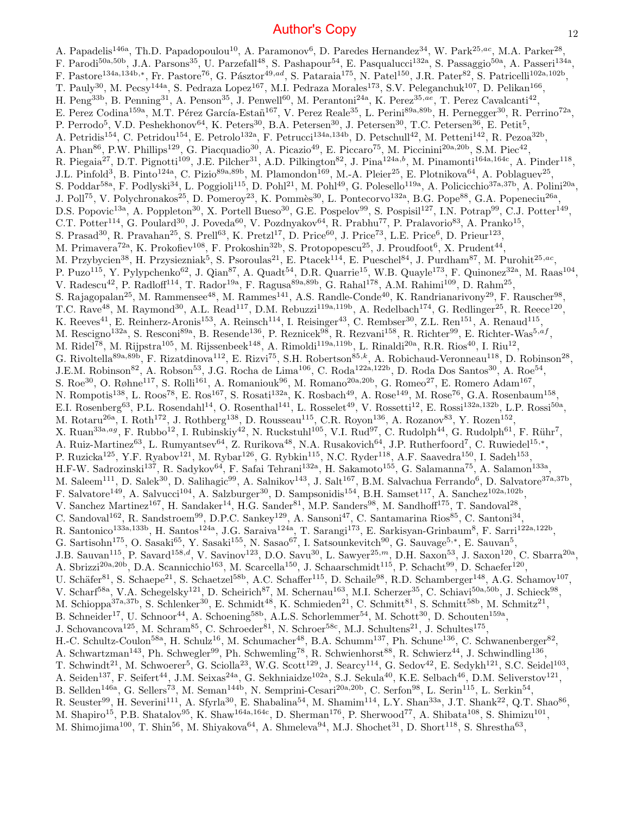A. Papadelis<sup>146a</sup>, Th.D. Papadopoulou<sup>10</sup>, A. Paramonov<sup>6</sup>, D. Paredes Hernandez<sup>34</sup>, W. Park<sup>25,ac</sup>, M.A. Parker<sup>28</sup>, F. Parodi<sup>50a,50b</sup>, J.A. Parsons<sup>35</sup>, U. Parzefall<sup>48</sup>, S. Pashapour<sup>54</sup>, E. Pasqualucci<sup>132a</sup>, S. Passaggio<sup>50a</sup>, A. Passeri<sup>134a</sup>, F. Pastore<sup>134a,134b,∗</sup>, Fr. Pastore<sup>76</sup>, G. Pásztor<sup>49,ad</sup>, S. Pataraia<sup>175</sup>, N. Patel<sup>150</sup>, J.R. Pater<sup>82</sup>, S. Patricelli<sup>102a,102b</sup>, T. Pauly<sup>30</sup>, M. Pecsy<sup>144a</sup>, S. Pedraza Lopez<sup>167</sup>, M.I. Pedraza Morales<sup>173</sup>, S.V. Peleganchuk<sup>107</sup>, D. Pelikan<sup>166</sup>, H. Peng<sup>33b</sup>, B. Penning<sup>31</sup>, A. Penson<sup>35</sup>, J. Penwell<sup>60</sup>, M. Perantoni<sup>24a</sup>, K. Perez<sup>35,ae</sup>, T. Perez Cavalcanti<sup>42</sup>, E. Perez Codina<sup>159a</sup>, M.T. Pérez García-Estañ<sup>167</sup>, V. Perez Reale<sup>35</sup>, L. Perini<sup>89a,89b</sup>, H. Pernegger<sup>30</sup>, R. Perrino<sup>72a</sup>, P. Perrodo<sup>5</sup>, V.D. Peshekhonov<sup>64</sup>, K. Peters<sup>30</sup>, B.A. Petersen<sup>30</sup>, J. Petersen<sup>30</sup>, T.C. Petersen<sup>36</sup>, E. Petit<sup>5</sup>, A. Petridis<sup>154</sup>, C. Petridou<sup>154</sup>, E. Petrolo<sup>132a</sup>, F. Petrucci<sup>134a,134b</sup>, D. Petschull<sup>42</sup>, M. Petteni<sup>142</sup>, R. Pezoa<sup>32b</sup>, A. Phan<sup>86</sup>, P.W. Phillips<sup>129</sup>, G. Piacquadio<sup>30</sup>, A. Picazio<sup>49</sup>, E. Piccaro<sup>75</sup>, M. Piccinini<sup>20a,20b</sup>, S.M. Piec<sup>42</sup>, R. Piegaia<sup>27</sup>, D.T. Pignotti<sup>109</sup>, J.E. Pilcher<sup>31</sup>, A.D. Pilkington<sup>82</sup>, J. Pina<sup>124a,b</sup>, M. Pinamonti<sup>164a,164c</sup>, A. Pinder<sup>118</sup>, J.L. Pinfold<sup>3</sup>, B. Pinto<sup>124a</sup>, C. Pizio<sup>89a,89b</sup>, M. Plamondon<sup>169</sup>, M.-A. Pleier<sup>25</sup>, E. Plotnikova<sup>64</sup>, A. Poblaguev<sup>25</sup>, S. Poddar<sup>58a</sup>, F. Podlyski<sup>34</sup>, L. Poggioli<sup>115</sup>, D. Pohl<sup>21</sup>, M. Pohl<sup>49</sup>, G. Polesello<sup>119a</sup>, A. Policicchio<sup>37a,37b</sup>, A. Polini<sup>20a</sup>,

J. Poll<sup>75</sup>, V. Polychronakos<sup>25</sup>, D. Pomeroy<sup>23</sup>, K. Pommès<sup>30</sup>, L. Pontecorvo<sup>132a</sup>, B.G. Pope<sup>88</sup>, G.A. Popeneciu<sup>26a</sup>, D.S. Popovic<sup>13a</sup>, A. Poppleton<sup>30</sup>, X. Portell Bueso<sup>30</sup>, G.E. Pospelov<sup>99</sup>, S. Pospisil<sup>127</sup>, I.N. Potrap<sup>99</sup>, C.J. Potter<sup>149</sup>,

C.T. Potter<sup>114</sup>, G. Poulard<sup>30</sup>, J. Poveda<sup>60</sup>, V. Pozdnyakov<sup>64</sup>, R. Prabhu<sup>77</sup>, P. Pralavorio<sup>83</sup>, A. Pranko<sup>15</sup>,

S. Prasad<sup>30</sup>, R. Pravahan<sup>25</sup>, S. Prell<sup>63</sup>, K. Pretzl<sup>17</sup>, D. Price<sup>60</sup>, J. Price<sup>73</sup>, L.E. Price<sup>6</sup>, D. Prieur<sup>123</sup>,

M. Primavera<sup>72a</sup>, K. Prokofiev<sup>108</sup>, F. Prokoshin<sup>32b</sup>, S. Protopopescu<sup>25</sup>, J. Proudfoot<sup>6</sup>, X. Prudent<sup>44</sup>,

M. Przybycien<sup>38</sup>, H. Przysiezniak<sup>5</sup>, S. Psoroulas<sup>21</sup>, E. Ptacek<sup>114</sup>, E. Pueschel<sup>84</sup>, J. Purdham<sup>87</sup>, M. Purohit<sup>25,ac</sup>, P. Puzo<sup>115</sup>, Y. Pylypchenko<sup>62</sup>, J. Qian<sup>87</sup>, A. Quadt<sup>54</sup>, D.R. Quarrie<sup>15</sup>, W.B. Quayle<sup>173</sup>, F. Quinonez<sup>32a</sup>, M. Raas<sup>104</sup>,

V. Radescu<sup>42</sup>, P. Radloff<sup>114</sup>, T. Rador<sup>19a</sup>, F. Ragusa<sup>89a,89b</sup>, G. Rahal<sup>178</sup>, A.M. Rahimi<sup>109</sup>, D. Rahm<sup>25</sup>,

S. Rajagopalan<sup>25</sup>, M. Rammensee<sup>48</sup>, M. Rammes<sup>141</sup>, A.S. Randle-Conde<sup>40</sup>, K. Randrianarivony<sup>29</sup>, F. Rauscher<sup>98</sup>,

T.C. Rave<sup>48</sup>, M. Raymond<sup>30</sup>, A.L. Read<sup>117</sup>, D.M. Rebuzzi<sup>119a,119b</sup>, A. Redelbach<sup>174</sup>, G. Redlinger<sup>25</sup>, R. Reece<sup>120</sup>,

K. Reeves<sup>41</sup>, E. Reinherz-Aronis<sup>153</sup>, A. Reinsch<sup>114</sup>, I. Reisinger<sup>43</sup>, C. Rembser<sup>30</sup>, Z.L. Ren<sup>151</sup>, A. Renaud<sup>115</sup>,

M. Rescigno<sup>132a</sup>, S. Resconi<sup>89a</sup>, B. Resende<sup>136</sup>, P. Reznicek<sup>98</sup>, R. Rezvani<sup>158</sup>, R. Richter<sup>99</sup>, E. Richter-Was<sup>5,af</sup>, M. Ridel<sup>78</sup>, M. Rijpstra<sup>105</sup>, M. Rijssenbeek<sup>148</sup>, A. Rimoldi<sup>119a,119b</sup>, L. Rinaldi<sup>20a</sup>, R.R. Rios<sup>40</sup>, I. Riu<sup>12</sup>,

G. Rivoltella<sup>89a,89b</sup>, F. Rizatdinova<sup>112</sup>, E. Rizvi<sup>75</sup>, S.H. Robertson<sup>85,k</sup>, A. Robichaud-Veronneau<sup>118</sup>, D. Robinson<sup>28</sup>,

J.E.M. Robinson<sup>82</sup>, A. Robson<sup>53</sup>, J.G. Rocha de Lima<sup>106</sup>, C. Roda<sup>122a,122b</sup>, D. Roda Dos Santos<sup>30</sup>, A. Roe<sup>54</sup>,

S. Roe<sup>30</sup>, O. Røhne<sup>117</sup>, S. Rolli<sup>161</sup>, A. Romaniouk<sup>96</sup>, M. Romano<sup>20a,20b</sup>, G. Romeo<sup>27</sup>, E. Romero Adam<sup>167</sup>,

N. Rompotis<sup>138</sup>, L. Roos<sup>78</sup>, E. Ros<sup>167</sup>, S. Rosati<sup>132a</sup>, K. Rosbach<sup>49</sup>, A. Rose<sup>149</sup>, M. Rose<sup>76</sup>, G.A. Rosenbaum<sup>158</sup>,

E.I. Rosenberg<sup>63</sup>, P.L. Rosendahl<sup>14</sup>, O. Rosenthal<sup>141</sup>, L. Rosselet<sup>49</sup>, V. Rossetti<sup>12</sup>, E. Rossi<sup>132a,132b</sup>, L.P. Rossi<sup>50a</sup>,

M. Rotaru<sup>26a</sup>, I. Roth<sup>172</sup>, J. Rothberg<sup>138</sup>, D. Rousseau<sup>115</sup>, C.R. Royon<sup>136</sup>, A. Rozanov<sup>83</sup>, Y. Rozen<sup>152</sup>,

X. Ruan<sup>33a,ag</sup>, F. Rubbo<sup>12</sup>, I. Rubinskiy<sup>42</sup>, N. Ruckstuhl<sup>105</sup>, V.I. Rud<sup>97</sup>, C. Rudolph<sup>44</sup>, G. Rudolph<sup>61</sup>, F. Rühr<sup>7</sup>,

A. Ruiz-Martinez<sup>63</sup>, L. Rumyantsev<sup>64</sup>, Z. Rurikova<sup>48</sup>, N.A. Rusakovich<sup>64</sup>, J.P. Rutherfoord<sup>7</sup>, C. Ruwiedel<sup>15,\*</sup>, P. Ruzicka<sup>125</sup>, Y.F. Ryabov<sup>121</sup>, M. Rybar<sup>126</sup>, G. Rybkin<sup>115</sup>, N.C. Ryder<sup>118</sup>, A.F. Saavedra<sup>150</sup>, I. Sadeh<sup>153</sup>,

H.F-W. Sadrozinski<sup>137</sup>, R. Sadykov<sup>64</sup>, F. Safai Tehrani<sup>132a</sup>, H. Sakamoto<sup>155</sup>, G. Salamanna<sup>75</sup>, A. Salamon<sup>133a</sup>,

M. Saleem<sup>111</sup>, D. Salek<sup>30</sup>, D. Salihagic<sup>99</sup>, A. Salnikov<sup>143</sup>, J. Salt<sup>167</sup>, B.M. Salvachua Ferrando<sup>6</sup>, D. Salvatore<sup>37a,37b</sup>,

F. Salvatore<sup>149</sup>, A. Salvucci<sup>104</sup>, A. Salzburger<sup>30</sup>, D. Sampsonidis<sup>154</sup>, B.H. Samset<sup>117</sup>, A. Sanchez<sup>102a,102b</sup>,

V. Sanchez Martinez<sup>167</sup>, H. Sandaker<sup>14</sup>, H.G. Sander<sup>81</sup>, M.P. Sanders<sup>98</sup>, M. Sandhoff<sup>175</sup>, T. Sandoval<sup>28</sup>,

C. Sandoval<sup>162</sup>, R. Sandstroem<sup>99</sup>, D.P.C. Sankey<sup>129</sup>, A. Sansoni<sup>47</sup>, C. Santamarina Rios<sup>85</sup>, C. Santoni<sup>34</sup>,

R. Santonico<sup>133a,133b</sup>, H. Santos<sup>124a</sup>, J.G. Saraiva<sup>124a</sup>, T. Sarangi<sup>173</sup>, E. Sarkisyan-Grinbaum<sup>8</sup>, F. Sarri<sup>122a,122b</sup>, G. Sartisohn<sup>175</sup>, O. Sasaki<sup>65</sup>, Y. Sasaki<sup>155</sup>, N. Sasao<sup>67</sup>, I. Satsounkevitch<sup>90</sup>, G. Sauvage<sup>5,\*</sup>, E. Sauvan<sup>5</sup>,

J.B. Sauvan<sup>115</sup>, P. Savard<sup>158,d</sup>, V. Savinov<sup>123</sup>, D.O. Savu<sup>30</sup>, L. Sawyer<sup>25,m</sup>, D.H. Saxon<sup>53</sup>, J. Saxon<sup>120</sup>, C. Sbarra<sup>20a</sup>,

A. Sbrizzi<sup>20a,20b</sup>, D.A. Scannicchio<sup>163</sup>, M. Scarcella<sup>150</sup>, J. Schaarschmidt<sup>115</sup>, P. Schacht<sup>99</sup>, D. Schaefer<sup>120</sup>,

U. Schäfer $^{81}$ , S. Schaepe<sup>21</sup>, S. Schaetzel<sup>58b</sup>, A.C. Schaffer<sup>115</sup>, D. Schaile<sup>98</sup>, R.D. Schamberger<sup>148</sup>, A.G. Schamov<sup>107</sup>,

V. Scharf<sup>58a</sup>, V.A. Schegelsky<sup>121</sup>, D. Scheirich<sup>87</sup>, M. Schernau<sup>163</sup>, M.I. Scherzer<sup>35</sup>, C. Schiavi<sup>50a,50b</sup>, J. Schieck<sup>98</sup>,

M. Schioppa<sup>37a,37b</sup>, S. Schlenker<sup>30</sup>, E. Schmidt<sup>48</sup>, K. Schmieden<sup>21</sup>, C. Schmitt<sup>81</sup>, S. Schmitt<sup>58b</sup>, M. Schmitz<sup>21</sup>,

B. Schneider<sup>17</sup>, U. Schnoor<sup>44</sup>, A. Schoening<sup>58b</sup>, A.L.S. Schorlemmer<sup>54</sup>, M. Schott<sup>30</sup>, D. Schouten<sup>159a</sup>,

J. Schovancova<sup>125</sup>, M. Schram<sup>85</sup>, C. Schroeder<sup>81</sup>, N. Schroer<sup>58c</sup>, M.J. Schultens<sup>21</sup>, J. Schultes<sup>175</sup>,

H.-C. Schultz-Coulon<sup>58a</sup>, H. Schulz<sup>16</sup>, M. Schumacher<sup>48</sup>, B.A. Schumm<sup>137</sup>, Ph. Schune<sup>136</sup>, C. Schwanenberger<sup>82</sup>,

A. Schwartzman<sup>143</sup>, Ph. Schwegler<sup>99</sup>, Ph. Schwemling<sup>78</sup>, R. Schwienhorst<sup>88</sup>, R. Schwierz<sup>44</sup>, J. Schwindling<sup>136</sup>,

T. Schwindt<sup>21</sup>, M. Schwoerer<sup>5</sup>, G. Sciolla<sup>23</sup>, W.G. Scott<sup>129</sup>, J. Searcy<sup>114</sup>, G. Sedov<sup>42</sup>, E. Sedykh<sup>121</sup>, S.C. Seidel<sup>103</sup>,

A. Seiden<sup>137</sup>, F. Seifert<sup>44</sup>, J.M. Seixas<sup>24a</sup>, G. Sekhniaidze<sup>102a</sup>, S.J. Sekula<sup>40</sup>, K.E. Selbach<sup>46</sup>, D.M. Seliverstov<sup>121</sup>,

B. Sellden<sup>146a</sup>, G. Sellers<sup>73</sup>, M. Seman<sup>144b</sup>, N. Semprini-Cesari<sup>20a,20b</sup>, C. Serfon<sup>98</sup>, L. Serin<sup>115</sup>, L. Serkin<sup>54</sup>,

R. Seuster<sup>99</sup>, H. Severini<sup>111</sup>, A. Sfyrla<sup>30</sup>, E. Shabalina<sup>54</sup>, M. Shamim<sup>114</sup>, L.Y. Shan<sup>33a</sup>, J.T. Shank<sup>22</sup>, Q.T. Shao<sup>86</sup>,

M. Shapiro<sup>15</sup>, P.B. Shatalov<sup>95</sup>, K. Shaw<sup>164a,164c</sup>, D. Sherman<sup>176</sup>, P. Sherwood<sup>77</sup>, A. Shibata<sup>108</sup>, S. Shimizu<sup>101</sup>,

M. Shimojima<sup>100</sup>, T. Shin<sup>56</sup>, M. Shiyakova<sup>64</sup>, A. Shmeleva<sup>94</sup>, M.J. Shochet<sup>31</sup>, D. Short<sup>118</sup>, S. Shrestha<sup>63</sup>,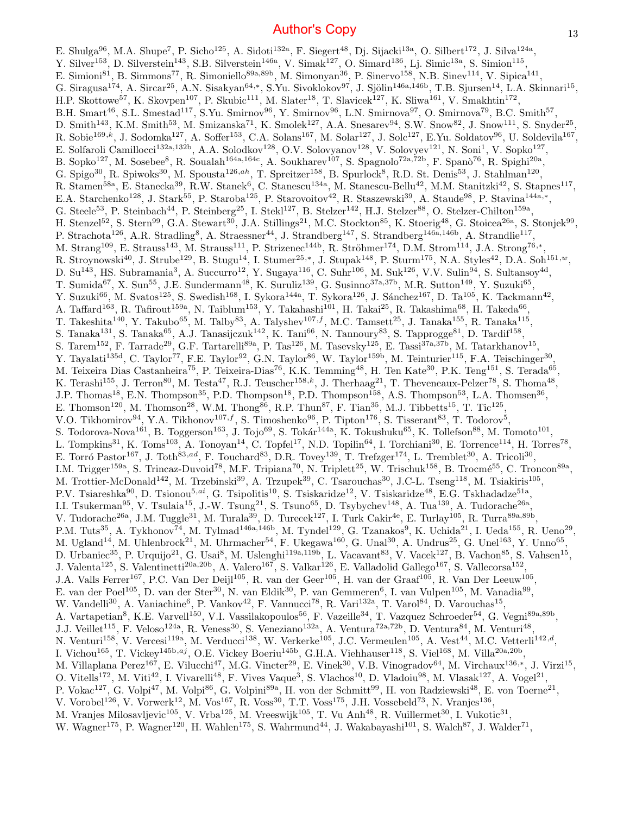E. Shulga<sup>96</sup>, M.A. Shupe<sup>7</sup>, P. Sicho<sup>125</sup>, A. Sidoti<sup>132a</sup>, F. Siegert<sup>48</sup>, Dj. Sijacki<sup>13a</sup>, O. Silbert<sup>172</sup>, J. Silva<sup>124a</sup>, Y. Silver<sup>153</sup>, D. Silverstein<sup>143</sup>, S.B. Silverstein<sup>146a</sup>, V. Simak<sup>127</sup>, O. Simard<sup>136</sup>, Lj. Simic<sup>13a</sup>, S. Simion<sup>115</sup>, E. Simioni<sup>81</sup>, B. Simmons<sup>77</sup>, R. Simoniello<sup>89a,89b</sup>, M. Simonyan<sup>36</sup>, P. Sinervo<sup>158</sup>, N.B. Sinev<sup>114</sup>, V. Sipica<sup>141</sup>, G. Siragusa<sup>174</sup>, A. Sircar<sup>25</sup>, A.N. Sisakyan<sup>64,\*</sup>, S.Yu. Sivoklokov<sup>97</sup>, J. Sjölin<sup>146a,146b</sup>, T.B. Sjursen<sup>14</sup>, L.A. Skinnari<sup>15</sup>, H.P. Skottowe<sup>57</sup>, K. Skovpen<sup>107</sup>, P. Skubic<sup>111</sup>, M. Slater<sup>18</sup>, T. Slavicek<sup>127</sup>, K. Sliwa<sup>161</sup>, V. Smakhtin<sup>172</sup>, B.H. Smart<sup>46</sup>, S.L. Smestad<sup>117</sup>, S.Yu. Smirnov<sup>96</sup>, Y. Smirnov<sup>96</sup>, L.N. Smirnova<sup>97</sup>, O. Smirnova<sup>79</sup>, B.C. Smith<sup>57</sup>, D. Smith<sup>143</sup>, K.M. Smith<sup>53</sup>, M. Smizanska<sup>71</sup>, K. Smolek<sup>127</sup>, A.A. Snesarev<sup>94</sup>, S.W. Snow<sup>82</sup>, J. Snow<sup>111</sup>, S. Snyder<sup>25</sup>, R. Sobie<sup>169,k</sup>, J. Sodomka<sup>127</sup>, A. Soffer<sup>153</sup>, C.A. Solans<sup>167</sup>, M. Solar<sup>127</sup>, J. Solc<sup>127</sup>, E.Yu. Soldatov<sup>96</sup>, U. Soldevila<sup>167</sup>, E. Solfaroli Camillocci<sup>132a,132b</sup>, A.A. Solodkov<sup>128</sup>, O.V. Solovyanov<sup>128</sup>, V. Solovyev<sup>121</sup>, N. Soni<sup>1</sup>, V. Sopko<sup>127</sup>, B. Sopko<sup>127</sup>, M. Sosebee<sup>8</sup>, R. Soualah<sup>164a,164c</sup>, A. Soukharev<sup>107</sup>, S. Spagnolo<sup>72a,72b</sup>, F. Spanò<sup>76</sup>, R. Spighi<sup>20a</sup>, G. Spigo<sup>30</sup>, R. Spiwoks<sup>30</sup>, M. Spousta<sup>126,ah</sup>, T. Spreitzer<sup>158</sup>, B. Spurlock<sup>8</sup>, R.D. St. Denis<sup>53</sup>, J. Stahlman<sup>120</sup>, R. Stamen<sup>58a</sup>, E. Stanecka<sup>39</sup>, R.W. Stanek<sup>6</sup>, C. Stanescu<sup>134a</sup>, M. Stanescu-Bellu<sup>42</sup>, M.M. Stanitzki<sup>42</sup>, S. Stapnes<sup>117</sup>, E.A. Starchenko<sup>128</sup>, J. Stark<sup>55</sup>, P. Staroba<sup>125</sup>, P. Starovoitov<sup>42</sup>, R. Staszewski<sup>39</sup>, A. Staude<sup>98</sup>, P. Stavina<sup>144a,\*</sup>, G. Steele<sup>53</sup>, P. Steinbach<sup>44</sup>, P. Steinberg<sup>25</sup>, I. Stekl<sup>127</sup>, B. Stelzer<sup>142</sup>, H.J. Stelzer<sup>88</sup>, O. Stelzer-Chilton<sup>159a</sup>, H. Stenzel<sup>52</sup>, S. Stern<sup>99</sup>, G.A. Stewart<sup>30</sup>, J.A. Stillings<sup>21</sup>, M.C. Stockton<sup>85</sup>, K. Stoerig<sup>48</sup>, G. Stoicea<sup>26a</sup>, S. Stonjek<sup>99</sup>, P. Strachota<sup>126</sup>, A.R. Stradling<sup>8</sup>, A. Straessner<sup>44</sup>, J. Strandberg<sup>147</sup>, S. Strandberg<sup>146a,146b</sup>, A. Strandlie<sup>117</sup>, M. Strang<sup>109</sup>, E. Strauss<sup>143</sup>, M. Strauss<sup>111</sup>, P. Strizenec<sup>144b</sup>, R. Ströhmer<sup>174</sup>, D.M. Strom<sup>114</sup>, J.A. Strong<sup>76,\*</sup>, R. Stroynowski<sup>40</sup>, J. Strube<sup>129</sup>, B. Stugu<sup>14</sup>, I. Stumer<sup>25,\*</sup>, J. Stupak<sup>148</sup>, P. Sturm<sup>175</sup>, N.A. Styles<sup>42</sup>, D.A. Soh<sup>151,w</sup>, D. Su<sup>143</sup>, HS. Subramania<sup>3</sup>, A. Succurro<sup>12</sup>, Y. Sugaya<sup>116</sup>, C. Suhr<sup>106</sup>, M. Suk<sup>126</sup>, V.V. Sulin<sup>94</sup>, S. Sultansoy<sup>4d</sup>, T. Sumida<sup>67</sup>, X. Sun<sup>55</sup>, J.E. Sundermann<sup>48</sup>, K. Suruliz<sup>139</sup>, G. Susinno<sup>37a,37b</sup>, M.R. Sutton<sup>149</sup>, Y. Suzuki<sup>65</sup>, Y. Suzuki<sup>66</sup>, M. Svatos<sup>125</sup>, S. Swedish<sup>168</sup>, I. Sykora<sup>144a</sup>, T. Sykora<sup>126</sup>, J. Sánchez<sup>167</sup>, D. Ta<sup>105</sup>, K. Tackmann<sup>42</sup>, A. Taffard<sup>163</sup>, R. Tafirout<sup>159a</sup>, N. Taiblum<sup>153</sup>, Y. Takahashi<sup>101</sup>, H. Takai<sup>25</sup>, R. Takashima<sup>68</sup>, H. Takeda<sup>66</sup>, T. Takeshita<sup>140</sup>, Y. Takubo<sup>65</sup>, M. Talby<sup>83</sup>, A. Talyshev<sup>107,f</sup>, M.C. Tamsett<sup>25</sup>, J. Tanaka<sup>155</sup>, R. Tanaka<sup>115</sup>, S. Tanaka<sup>131</sup>, S. Tanaka<sup>65</sup>, A.J. Tanasijczuk<sup>142</sup>, K. Tani<sup>66</sup>, N. Tannoury<sup>83</sup>, S. Tapprogge<sup>81</sup>, D. Tardif<sup>158</sup>, S. Tarem<sup>152</sup>, F. Tarrade<sup>29</sup>, G.F. Tartarelli<sup>89a</sup>, P. Tas<sup>126</sup>, M. Tasevsky<sup>125</sup>, E. Tassi<sup>37a,37b</sup>, M. Tatarkhanov<sup>15</sup>, Y. Tayalati<sup>135d</sup>, C. Taylor<sup>77</sup>, F.E. Taylor<sup>92</sup>, G.N. Taylor<sup>86</sup>, W. Taylor<sup>159b</sup>, M. Teinturier<sup>115</sup>, F.A. Teischinger<sup>30</sup>, M. Teixeira Dias Castanheira<sup>75</sup>, P. Teixeira-Dias<sup>76</sup>, K.K. Temming<sup>48</sup>, H. Ten Kate<sup>30</sup>, P.K. Teng<sup>151</sup>, S. Terada<sup>65</sup>, K. Terashi<sup>155</sup>, J. Terron<sup>80</sup>, M. Testa<sup>47</sup>, R.J. Teuscher<sup>158,k</sup>, J. Therhaag<sup>21</sup>, T. Theveneaux-Pelzer<sup>78</sup>, S. Thoma<sup>48</sup>, J.P. Thomas<sup>18</sup>, E.N. Thompson<sup>35</sup>, P.D. Thompson<sup>18</sup>, P.D. Thompson<sup>158</sup>, A.S. Thompson<sup>53</sup>, L.A. Thomsen<sup>36</sup>, E. Thomson<sup>120</sup>, M. Thomson<sup>28</sup>, W.M. Thong<sup>86</sup>, R.P. Thun<sup>87</sup>, F. Tian<sup>35</sup>, M.J. Tibbetts<sup>15</sup>, T. Tic<sup>125</sup>, V.O. Tikhomirov<sup>94</sup>, Y.A. Tikhonov<sup>107, f</sup>, S. Timoshenko<sup>96</sup>, P. Tipton<sup>176</sup>, S. Tisserant<sup>83</sup>, T. Todorov<sup>5</sup>, S. Todorova-Nova<sup>161</sup>, B. Toggerson<sup>163</sup>, J. Tojo<sup>69</sup>, S. Tokár<sup>144a</sup>, K. Tokushuku<sup>65</sup>, K. Tollefson<sup>88</sup>, M. Tomoto<sup>101</sup>, L. Tompkins<sup>31</sup>, K. Toms<sup>103</sup>, A. Tonoyan<sup>14</sup>, C. Topfel<sup>17</sup>, N.D. Topilin<sup>64</sup>, I. Torchiani<sup>30</sup>, E. Torrence<sup>114</sup>, H. Torres<sup>78</sup>, E. Torró Pastor<sup>167</sup>, J. Toth<sup>83,ad</sup>, F. Touchard<sup>83</sup>, D.R. Tovey<sup>139</sup>, T. Trefzger<sup>174</sup>, L. Tremblet<sup>30</sup>, A. Tricoli<sup>30</sup>, I.M. Trigger<sup>159a</sup>, S. Trincaz-Duvoid<sup>78</sup>, M.F. Tripiana<sup>70</sup>, N. Triplett<sup>25</sup>, W. Trischuk<sup>158</sup>, B. Trocmé<sup>55</sup>, C. Troncon<sup>89a</sup>, M. Trottier-McDonald<sup>142</sup>, M. Trzebinski<sup>39</sup>, A. Trzupek<sup>39</sup>, C. Tsarouchas<sup>30</sup>, J.C-L. Tseng<sup>118</sup>, M. Tsiakiris<sup>105</sup>, P.V. Tsiareshka<sup>90</sup>, D. Tsionou<sup>5,ai</sup>, G. Tsipolitis<sup>10</sup>, S. Tsiskaridze<sup>12</sup>, V. Tsiskaridze<sup>48</sup>, E.G. Tskhadadze<sup>51a</sup>, I.I. Tsukerman<sup>95</sup>, V. Tsulaia<sup>15</sup>, J.-W. Tsung<sup>21</sup>, S. Tsuno<sup>65</sup>, D. Tsybychev<sup>148</sup>, A. Tua<sup>139</sup>, A. Tudorache<sup>26a</sup>, V. Tudorache<sup>26a</sup>, J.M. Tuggle<sup>31</sup>, M. Turala<sup>39</sup>, D. Turecek<sup>127</sup>, I. Turk Cakir<sup>4e</sup>, E. Turlay<sup>105</sup>, R. Turra<sup>89a,89b</sup>, P.M. Tuts<sup>35</sup>, A. Tykhonov<sup>74</sup>, M. Tylmad<sup>146a,146b</sup>, M. Tyndel<sup>129</sup>, G. Tzanakos<sup>9</sup>, K. Uchida<sup>21</sup>, I. Ueda<sup>155</sup>, R. Ueno<sup>29</sup>, M. Ugland<sup>14</sup>, M. Uhlenbrock<sup>21</sup>, M. Uhrmacher<sup>54</sup>, F. Ukegawa<sup>160</sup>, G. Unal<sup>30</sup>, A. Undrus<sup>25</sup>, G. Unel<sup>163</sup>, Y. Unno<sup>65</sup>, D. Urbaniec<sup>35</sup>, P. Urquijo<sup>21</sup>, G. Usai<sup>8</sup>, M. Uslenghi<sup>119a,119b</sup>, L. Vacavant<sup>83</sup>, V. Vacek<sup>127</sup>, B. Vachon<sup>85</sup>, S. Vahsen<sup>15</sup>, J. Valenta<sup>125</sup>, S. Valentinetti<sup>20a,20b</sup>, A. Valero<sup>167</sup>, S. Valkar<sup>126</sup>, E. Valladolid Gallego<sup>167</sup>, S. Vallecorsa<sup>152</sup>, J.A. Valls Ferrer<sup>167</sup>, P.C. Van Der Deijl<sup>105</sup>, R. van der Geer<sup>105</sup>, H. van der Graaf<sup>105</sup>, R. Van Der Leeuw<sup>105</sup>, E. van der Poel<sup>105</sup>, D. van der Ster<sup>30</sup>, N. van Eldik<sup>30</sup>, P. van Gemmeren<sup>6</sup>, I. van Vulpen<sup>105</sup>, M. Vanadia<sup>99</sup>, W. Vandelli<sup>30</sup>, A. Vaniachine<sup>6</sup>, P. Vankov<sup>42</sup>, F. Vannucci<sup>78</sup>, R. Vari<sup>132a</sup>, T. Varol<sup>84</sup>, D. Varouchas<sup>15</sup>, A. Vartapetian<sup>8</sup>, K.E. Varvell<sup>150</sup>, V.I. Vassilakopoulos<sup>56</sup>, F. Vazeille<sup>34</sup>, T. Vazquez Schroeder<sup>54</sup>, G. Vegni<sup>89a,89b</sup>, J.J. Veillet<sup>115</sup>, F. Veloso<sup>124a</sup>, R. Veness<sup>30</sup>, S. Veneziano<sup>132a</sup>, A. Ventura<sup>72a,72b</sup>, D. Ventura<sup>84</sup>, M. Venturi<sup>48</sup>, N. Venturi<sup>158</sup>, V. Vercesi<sup>119a</sup>, M. Verducci<sup>138</sup>, W. Verkerke<sup>105</sup>, J.C. Vermeulen<sup>105</sup>, A. Vest<sup>44</sup>, M.C. Vetterli<sup>142,d</sup>, I. Vichou<sup>165</sup>, T. Vickey<sup>145b,aj</sup>, O.E. Vickey Boeriu<sup>145b</sup>, G.H.A. Viehhauser<sup>118</sup>, S. Viel<sup>168</sup>, M. Villa<sup>20a,20b</sup>, M. Villaplana Perez<sup>167</sup>, E. Vilucchi<sup>47</sup>, M.G. Vincter<sup>29</sup>, E. Vinek<sup>30</sup>, V.B. Vinogradov<sup>64</sup>, M. Virchaux<sup>136,\*</sup>, J. Virzi<sup>15</sup>, O. Vitells<sup>172</sup>, M. Viti<sup>42</sup>, I. Vivarelli<sup>48</sup>, F. Vives Vaque<sup>3</sup>, S. Vlachos<sup>10</sup>, D. Vladoiu<sup>98</sup>, M. Vlasak<sup>127</sup>, A. Vogel<sup>21</sup>, P. Vokac<sup>127</sup>, G. Volpi<sup>47</sup>, M. Volpi<sup>86</sup>, G. Volpini<sup>89a</sup>, H. von der Schmitt<sup>99</sup>, H. von Radziewski<sup>48</sup>, E. von Toerne<sup>21</sup>, V. Vorobel<sup>126</sup>, V. Vorwerk<sup>12</sup>, M. Vos<sup>167</sup>, R. Voss<sup>30</sup>, T.T. Voss<sup>175</sup>, J.H. Vossebeld<sup>73</sup>, N. Vranjes<sup>136</sup>, M. Vranjes Milosavljevic<sup>105</sup>, V. Vrba<sup>125</sup>, M. Vreeswijk<sup>105</sup>, T. Vu Anh<sup>48</sup>, R. Vuillermet<sup>30</sup>, I. Vukotic<sup>31</sup>, W. Wagner<sup>175</sup>, P. Wagner<sup>120</sup>, H. Wahlen<sup>175</sup>, S. Wahrmund<sup>44</sup>, J. Wakabayashi<sup>101</sup>, S. Walch<sup>87</sup>, J. Walder<sup>71</sup>,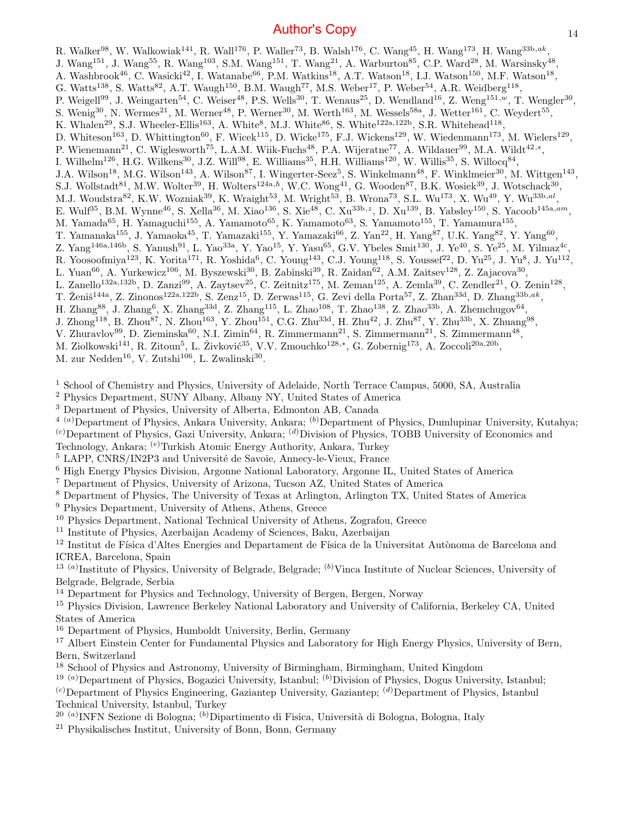R. Walker<sup>98</sup>, W. Walkowiak<sup>141</sup>, R. Wall<sup>176</sup>, P. Waller<sup>73</sup>, B. Walsh<sup>176</sup>, C. Wang<sup>45</sup>, H. Wang<sup>173</sup>, H. Wang<sup>33b,ak</sup>, , J. Wang<sup>151</sup>, J. Wang<sup>55</sup>, R. Wang<sup>103</sup>, S.M. Wang<sup>151</sup>, T. Wang<sup>21</sup>, A. Warburton<sup>85</sup>, C.P. Ward<sup>28</sup>, M. Warsinsky<sup>48</sup>, A. Washbrook<sup>46</sup>, C. Wasicki<sup>42</sup>, I. Watanabe<sup>66</sup>, P.M. Watkins<sup>18</sup>, A.T. Watson<sup>18</sup>, I.J. Watson<sup>150</sup>, M.F. Watson<sup>18</sup>, G. Watts<sup>138</sup>, S. Watts<sup>82</sup>, A.T. Waugh<sup>150</sup>, B.M. Waugh<sup>77</sup>, M.S. Weber<sup>17</sup>, P. Weber<sup>54</sup>, A.R. Weidberg<sup>118</sup>, P. Weigell<sup>99</sup>, J. Weingarten<sup>54</sup>, C. Weiser<sup>48</sup>, P.S. Wells<sup>30</sup>, T. Wenaus<sup>25</sup>, D. Wendland<sup>16</sup>, Z. Weng<sup>151,w</sup>, T. Wengler<sup>30</sup>, S. Wenig<sup>30</sup>, N. Wermes<sup>21</sup>, M. Werner<sup>48</sup>, P. Werner<sup>30</sup>, M. Werth<sup>163</sup>, M. Wessels<sup>58a</sup>, J. Wetter<sup>161</sup>, C. Weydert<sup>55</sup>, K. Whalen<sup>29</sup>, S.J. Wheeler-Ellis<sup>163</sup>, A. White<sup>8</sup>, M.J. White<sup>86</sup>, S. White<sup>122a,122b</sup>, S.R. Whitehead<sup>118</sup>, D. Whiteson<sup>163</sup>, D. Whittington<sup>60</sup>, F. Wicek<sup>115</sup>, D. Wicke<sup>175</sup>, F.J. Wickens<sup>129</sup>, W. Wiedenmann<sup>173</sup>, M. Wielers<sup>129</sup>, P. Wienemann<sup>21</sup>, C. Wiglesworth<sup>75</sup>, L.A.M. Wiik-Fuchs<sup>48</sup>, P.A. Wijeratne<sup>77</sup>, A. Wildauer<sup>99</sup>, M.A. Wildt<sup>42,s</sup>, I. Wilhelm<sup>126</sup>, H.G. Wilkens<sup>30</sup>, J.Z. Will<sup>98</sup>, E. Williams<sup>35</sup>, H.H. Williams<sup>120</sup>, W. Willis<sup>35</sup>, S. Willocq<sup>84</sup>, J.A. Wilson<sup>18</sup>, M.G. Wilson<sup>143</sup>, A. Wilson<sup>87</sup>, I. Wingerter-Seez<sup>5</sup>, S. Winkelmann<sup>48</sup>, F. Winklmeier<sup>30</sup>, M. Wittgen<sup>143</sup>, S.J. Wollstadt<sup>81</sup>, M.W. Wolter<sup>39</sup>, H. Wolters<sup>124a,h</sup>, W.C. Wong<sup>41</sup>, G. Wooden<sup>87</sup>, B.K. Wosiek<sup>39</sup>, J. Wotschack<sup>30</sup>, M.J. Woudstra $^{82}$ , K.W. Wozniak $^{39}$ , K. Wraight $^{53}$ , M. Wright $^{53}$ , B. Wrona $^{73}$ , S.L. Wu $^{173}$ , X. Wu $^{49}$ , Y. Wu $^{33b,al}$ , E. Wulf<sup>35</sup>, B.M. Wynne<sup>46</sup>, S. Xella<sup>36</sup>, M. Xiao<sup>136</sup>, S. Xie<sup>48</sup>, C. Xu<sup>33b, z</sup>, D. Xu<sup>139</sup>, B. Yabsley<sup>150</sup>, S. Yacoob<sup>145a,am</sup>, M. Yamada<sup>65</sup>, H. Yamaguchi<sup>155</sup>, A. Yamamoto<sup>65</sup>, K. Yamamoto<sup>63</sup>, S. Yamamoto<sup>155</sup>, T. Yamamura<sup>155</sup>, T. Yamanaka<sup>155</sup>, J. Yamaoka<sup>45</sup>, T. Yamazaki<sup>155</sup>, Y. Yamazaki<sup>66</sup>, Z. Yan<sup>22</sup>, H. Yang<sup>87</sup>, U.K. Yang<sup>82</sup>, Y. Yang<sup>60</sup>,  $Z.$  Yang<sup>146a,146b</sup>, S. Yanush<sup>91</sup>, L. Yao<sup>33a</sup>, Y. Yao<sup>15</sup>, Y. Yasu<sup>65</sup>, G.V. Ybeles Smit<sup>130</sup>, J. Ye<sup>40</sup>, S. Ye<sup>25</sup>, M. Yilmaz<sup>4c</sup>, R. Yoosoofmiya<sup>123</sup>, K. Yorita<sup>171</sup>, R. Yoshida<sup>6</sup>, C. Young<sup>143</sup>, C.J. Young<sup>118</sup>, S. Youssef<sup>22</sup>, D. Yu<sup>25</sup>, J. Yu<sup>8</sup>, J. Yu<sup>112</sup>, L. Yuan<sup>66</sup>, A. Yurkewicz<sup>106</sup>, M. Byszewski<sup>30</sup>, B. Zabinski<sup>39</sup>, R. Zaidan<sup>62</sup>, A.M. Zaitsev<sup>128</sup>, Z. Zajacova<sup>30</sup>, L. Zanello<sup>132a,132b</sup>, D. Zanzi<sup>99</sup>, A. Zaytsev<sup>25</sup>, C. Zeitnitz<sup>175</sup>, M. Zeman<sup>125</sup>, A. Zemla<sup>39</sup>, C. Zendler<sup>21</sup>, O. Zenin<sup>128</sup>, T. Ženiš<sup>144a</sup>, Z. Zinonos<sup>122a,122b</sup>, S. Zenz<sup>15</sup>, D. Zerwas<sup>115</sup>, G. Zevi della Porta<sup>57</sup>, Z. Zhan<sup>33d</sup>, D. Zhang<sup>33b,ak</sup>,  $H.$  Zhang<sup>88</sup>, J. Zhang<sup>6</sup>, X. Zhang<sup>33d</sup>, Z. Zhang<sup>115</sup>, L. Zhao<sup>108</sup>, T. Zhao<sup>138</sup>, Z. Zhao<sup>33b</sup>, A. Zhemchugov<sup>64</sup>, J. Zhong<sup>118</sup>, B. Zhou<sup>87</sup>, N. Zhou<sup>163</sup>, Y. Zhou<sup>151</sup>, C.G. Zhu<sup>33d</sup>, H. Zhu<sup>42</sup>, J. Zhu<sup>87</sup>, Y. Zhu<sup>33b</sup>, X. Zhuang<sup>98</sup>, V. Zhuravlov<sup>99</sup>, D. Zieminska<sup>60</sup>, N.I. Zimin<sup>64</sup>, R. Zimmermann<sup>21</sup>, S. Zimmermann<sup>21</sup>, S. Zimmermann<sup>48</sup>,

- M. Ziolkowski<sup>141</sup>, R. Zitoun<sup>5</sup>, L. Živković<sup>35</sup>, V.V. Zmouchko<sup>128,∗</sup>, G. Zobernig<sup>173</sup>, A. Zoccoli<sup>20a,20b</sup>,
- M. zur Nedden<sup>16</sup>, V. Zutshi<sup>106</sup>, L. Zwalinski<sup>30</sup>.

<sup>1</sup> School of Chemistry and Physics, University of Adelaide, North Terrace Campus, 5000, SA, Australia

<sup>2</sup> Physics Department, SUNY Albany, Albany NY, United States of America

<sup>3</sup> Department of Physics, University of Alberta, Edmonton AB, Canada

 $^{4}$  (a)Department of Physics, Ankara University, Ankara; (b)Department of Physics, Dumlupinar University, Kutahya;

 $(c)$ Department of Physics, Gazi University, Ankara;  $(d)$ Division of Physics, TOBB University of Economics and

Technology, Ankara; (e)Turkish Atomic Energy Authority, Ankara, Turkey

<sup>5</sup> LAPP, CNRS/IN2P3 and Université de Savoie, Annecy-le-Vieux, France

<sup>6</sup> High Energy Physics Division, Argonne National Laboratory, Argonne IL, United States of America

<sup>7</sup> Department of Physics, University of Arizona, Tucson AZ, United States of America

<sup>8</sup> Department of Physics, The University of Texas at Arlington, Arlington TX, United States of America

<sup>9</sup> Physics Department, University of Athens, Athens, Greece

<sup>10</sup> Physics Department, National Technical University of Athens, Zografou, Greece

<sup>11</sup> Institute of Physics, Azerbaijan Academy of Sciences, Baku, Azerbaijan

<sup>12</sup> Institut de Física d'Altes Energies and Departament de Física de la Universitat Autònoma de Barcelona and ICREA, Barcelona, Spain

<sup>13 (a)</sup>Institute of Physics, University of Belgrade, Belgrade; <sup>(b)</sup>Vinca Institute of Nuclear Sciences, University of Belgrade, Belgrade, Serbia

<sup>14</sup> Department for Physics and Technology, University of Bergen, Bergen, Norway

<sup>15</sup> Physics Division, Lawrence Berkeley National Laboratory and University of California, Berkeley CA, United States of America

<sup>16</sup> Department of Physics, Humboldt University, Berlin, Germany

<sup>17</sup> Albert Einstein Center for Fundamental Physics and Laboratory for High Energy Physics, University of Bern, Bern, Switzerland

<sup>18</sup> School of Physics and Astronomy, University of Birmingham, Birmingham, United Kingdom

<sup>19 (a)</sup>Department of Physics, Bogazici University, Istanbul; <sup>(b)</sup>Division of Physics, Dogus University, Istanbul;

 $(c)$ Department of Physics Engineering, Gaziantep University, Gaziantep;  $(d)$ Department of Physics, Istanbul Technical University, Istanbul, Turkey

<sup>20 (a)</sup>INFN Sezione di Bologna; <sup>(b)</sup>Dipartimento di Fisica, Università di Bologna, Bologna, Italy

<sup>21</sup> Physikalisches Institut, University of Bonn, Bonn, Germany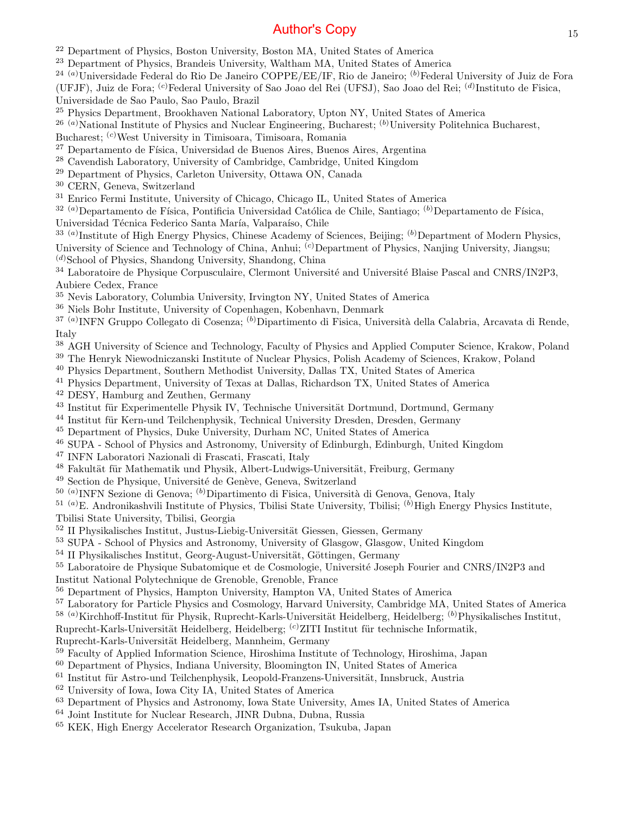<sup>22</sup> Department of Physics, Boston University, Boston MA, United States of America

<sup>23</sup> Department of Physics, Brandeis University, Waltham MA, United States of America

<sup>24 (a)</sup>Universidade Federal do Rio De Janeiro COPPE/EE/IF, Rio de Janeiro; <sup>(b)</sup>Federal University of Juiz de Fora

(UFJF), Juiz de Fora; <sup>(c)</sup>Federal University of Sao Joao del Rei (UFSJ), Sao Joao del Rei; <sup>(d)</sup>Instituto de Fisica,

Universidade de Sao Paulo, Sao Paulo, Brazil

<sup>25</sup> Physics Department, Brookhaven National Laboratory, Upton NY, United States of America

<sup>26 (a)</sup>National Institute of Physics and Nuclear Engineering, Bucharest; <sup>(b)</sup>University Politehnica Bucharest,

Bucharest; (c)West University in Timisoara, Timisoara, Romania

- <sup>27</sup> Departamento de Física, Universidad de Buenos Aires, Buenos Aires, Argentina
- <sup>28</sup> Cavendish Laboratory, University of Cambridge, Cambridge, United Kingdom
- <sup>29</sup> Department of Physics, Carleton University, Ottawa ON, Canada
- <sup>30</sup> CERN, Geneva, Switzerland
- <sup>31</sup> Enrico Fermi Institute, University of Chicago, Chicago IL, United States of America

 $32(a)$ Departamento de Física, Pontificia Universidad Católica de Chile, Santiago;  $(b)$ Departamento de Física,

Universidad Técnica Federico Santa María, Valparaíso, Chile

<sup>33 (a)</sup>Institute of High Energy Physics, Chinese Academy of Sciences, Beijing; <sup>(b)</sup>Department of Modern Physics, University of Science and Technology of China, Anhui; <sup>(c)</sup>Department of Physics, Nanjing University, Jiangsu;

 $(d)$ School of Physics, Shandong University, Shandong, China

<sup>34</sup> Laboratoire de Physique Corpusculaire, Clermont Université and Université Blaise Pascal and CNRS/IN2P3, Aubiere Cedex, France

<sup>35</sup> Nevis Laboratory, Columbia University, Irvington NY, United States of America

<sup>36</sup> Niels Bohr Institute, University of Copenhagen, Kobenhavn, Denmark

<sup>37 (a)</sup>INFN Gruppo Collegato di Cosenza; <sup>(b)</sup>Dipartimento di Fisica, Università della Calabria, Arcavata di Rende, Italy

- <sup>38</sup> AGH University of Science and Technology, Faculty of Physics and Applied Computer Science, Krakow, Poland
- <sup>39</sup> The Henryk Niewodniczanski Institute of Nuclear Physics, Polish Academy of Sciences, Krakow, Poland
- <sup>40</sup> Physics Department, Southern Methodist University, Dallas TX, United States of America
- <sup>41</sup> Physics Department, University of Texas at Dallas, Richardson TX, United States of America
- <sup>42</sup> DESY, Hamburg and Zeuthen, Germany
- $43$  Institut für Experimentelle Physik IV, Technische Universität Dortmund, Dortmund, Germany
- <sup>44</sup> Institut für Kern-und Teilchenphysik, Technical University Dresden, Dresden, Germany
- <sup>45</sup> Department of Physics, Duke University, Durham NC, United States of America
- <sup>46</sup> SUPA School of Physics and Astronomy, University of Edinburgh, Edinburgh, United Kingdom
- <sup>47</sup> INFN Laboratori Nazionali di Frascati, Frascati, Italy
- <sup>48</sup> Fakultät für Mathematik und Physik, Albert-Ludwigs-Universität, Freiburg, Germany
- $49$  Section de Physique, Université de Genève, Geneva, Switzerland
- <sup>50 (a)</sup>INFN Sezione di Genova; <sup>(b)</sup>Dipartimento di Fisica, Università di Genova, Genova, Italy

<sup>51 (a)</sup>E. Andronikashvili Institute of Physics, Tbilisi State University, Tbilisi; <sup>(b)</sup>High Energy Physics Institute,

Tbilisi State University, Tbilisi, Georgia

- $52$  II Physikalisches Institut, Justus-Liebig-Universität Giessen, Giessen, Germany
- <sup>53</sup> SUPA School of Physics and Astronomy, University of Glasgow, Glasgow, United Kingdom
- $54$  II Physikalisches Institut, Georg-August-Universität, Göttingen, Germany

<sup>55</sup> Laboratoire de Physique Subatomique et de Cosmologie, Université Joseph Fourier and CNRS/IN2P3 and Institut National Polytechnique de Grenoble, Grenoble, France

<sup>56</sup> Department of Physics, Hampton University, Hampton VA, United States of America

<sup>57</sup> Laboratory for Particle Physics and Cosmology, Harvard University, Cambridge MA, United States of America

<sup>58 (a)</sup>Kirchhoff-Institut für Physik, Ruprecht-Karls-Universität Heidelberg, Heidelberg; <sup>(b)</sup>Physikalisches Institut,

Ruprecht-Karls-Universität Heidelberg, Heidelberg; <sup>(c)</sup>ZITI Institut für technische Informatik,

Ruprecht-Karls-Universität Heidelberg, Mannheim, Germany

- <sup>59</sup> Faculty of Applied Information Science, Hiroshima Institute of Technology, Hiroshima, Japan
- <sup>60</sup> Department of Physics, Indiana University, Bloomington IN, United States of America
- $61$  Institut für Astro-und Teilchenphysik, Leopold-Franzens-Universität, Innsbruck, Austria
- <sup>62</sup> University of Iowa, Iowa City IA, United States of America
- <sup>63</sup> Department of Physics and Astronomy, Iowa State University, Ames IA, United States of America
- <sup>64</sup> Joint Institute for Nuclear Research, JINR Dubna, Dubna, Russia
- <sup>65</sup> KEK, High Energy Accelerator Research Organization, Tsukuba, Japan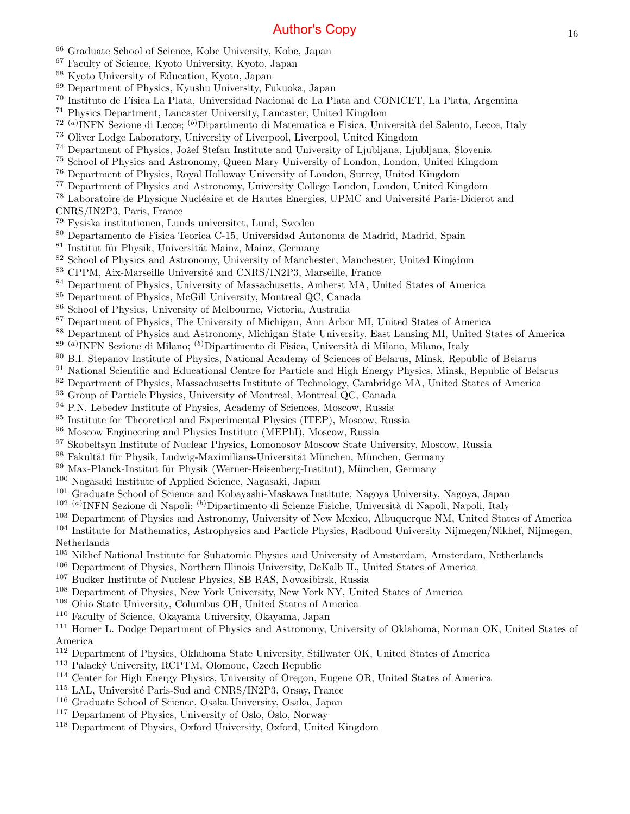- Graduate School of Science, Kobe University, Kobe, Japan
- Faculty of Science, Kyoto University, Kyoto, Japan
- Kyoto University of Education, Kyoto, Japan
- Department of Physics, Kyushu University, Fukuoka, Japan
- <sup>70</sup> Instituto de Física La Plata, Universidad Nacional de La Plata and CONICET, La Plata, Argentina
- Physics Department, Lancaster University, Lancaster, United Kingdom
- <sup>72 (a)</sup>INFN Sezione di Lecce; <sup>(b)</sup>Dipartimento di Matematica e Fisica, Università del Salento, Lecce, Italy
- Oliver Lodge Laboratory, University of Liverpool, Liverpool, United Kingdom
- <sup>74</sup> Department of Physics, Jožef Stefan Institute and University of Ljubljana, Ljubljana, Slovenia
- School of Physics and Astronomy, Queen Mary University of London, London, United Kingdom
- Department of Physics, Royal Holloway University of London, Surrey, United Kingdom
- Department of Physics and Astronomy, University College London, London, United Kingdom
- <sup>78</sup> Laboratoire de Physique Nucléaire et de Hautes Energies, UPMC and Université Paris-Diderot and
- CNRS/IN2P3, Paris, France
- Fysiska institutionen, Lunds universitet, Lund, Sweden
- Departamento de Fisica Teorica C-15, Universidad Autonoma de Madrid, Madrid, Spain
- Institut für Physik, Universität Mainz, Mainz, Germany
- School of Physics and Astronomy, University of Manchester, Manchester, United Kingdom
- <sup>83</sup> CPPM, Aix-Marseille Université and CNRS/IN2P3, Marseille, France
- Department of Physics, University of Massachusetts, Amherst MA, United States of America
- Department of Physics, McGill University, Montreal QC, Canada
- School of Physics, University of Melbourne, Victoria, Australia
- Department of Physics, The University of Michigan, Ann Arbor MI, United States of America
- Department of Physics and Astronomy, Michigan State University, East Lansing MI, United States of America
- <sup>89 (a)</sup>INFN Sezione di Milano; <sup>(b)</sup>Dipartimento di Fisica, Università di Milano, Milano, Italy
- B.I. Stepanov Institute of Physics, National Academy of Sciences of Belarus, Minsk, Republic of Belarus
- National Scientific and Educational Centre for Particle and High Energy Physics, Minsk, Republic of Belarus
- <sup>92</sup> Department of Physics, Massachusetts Institute of Technology, Cambridge MA, United States of America
- <sup>93</sup> Group of Particle Physics, University of Montreal, Montreal QC, Canada
- <sup>94</sup> P.N. Lebedev Institute of Physics, Academy of Sciences, Moscow, Russia
- <sup>95</sup> Institute for Theoretical and Experimental Physics (ITEP), Moscow, Russia
- Moscow Engineering and Physics Institute (MEPhI), Moscow, Russia
- Skobeltsyn Institute of Nuclear Physics, Lomonosov Moscow State University, Moscow, Russia
- 98 Fakultät für Physik, Ludwig-Maximilians-Universität München, München, Germany
- Max-Planck-Institut für Physik (Werner-Heisenberg-Institut), München, Germany
- Nagasaki Institute of Applied Science, Nagasaki, Japan
- Graduate School of Science and Kobayashi-Maskawa Institute, Nagoya University, Nagoya, Japan
- <sup>102 (a)</sup>INFN Sezione di Napoli; <sup>(b)</sup>Dipartimento di Scienze Fisiche, Università di Napoli, Napoli, Italy
- Department of Physics and Astronomy, University of New Mexico, Albuquerque NM, United States of America
- Institute for Mathematics, Astrophysics and Particle Physics, Radboud University Nijmegen/Nikhef, Nijmegen, Netherlands
- Nikhef National Institute for Subatomic Physics and University of Amsterdam, Amsterdam, Netherlands
- Department of Physics, Northern Illinois University, DeKalb IL, United States of America
- Budker Institute of Nuclear Physics, SB RAS, Novosibirsk, Russia
- Department of Physics, New York University, New York NY, United States of America
- Ohio State University, Columbus OH, United States of America
- Faculty of Science, Okayama University, Okayama, Japan
- Homer L. Dodge Department of Physics and Astronomy, University of Oklahoma, Norman OK, United States of America
- Department of Physics, Oklahoma State University, Stillwater OK, United States of America
- <sup>113</sup> Palacký University, RCPTM, Olomouc, Czech Republic
- Center for High Energy Physics, University of Oregon, Eugene OR, United States of America
- <sup>115</sup> LAL, Université Paris-Sud and CNRS/IN2P3, Orsay, France
- Graduate School of Science, Osaka University, Osaka, Japan
- Department of Physics, University of Oslo, Oslo, Norway
- Department of Physics, Oxford University, Oxford, United Kingdom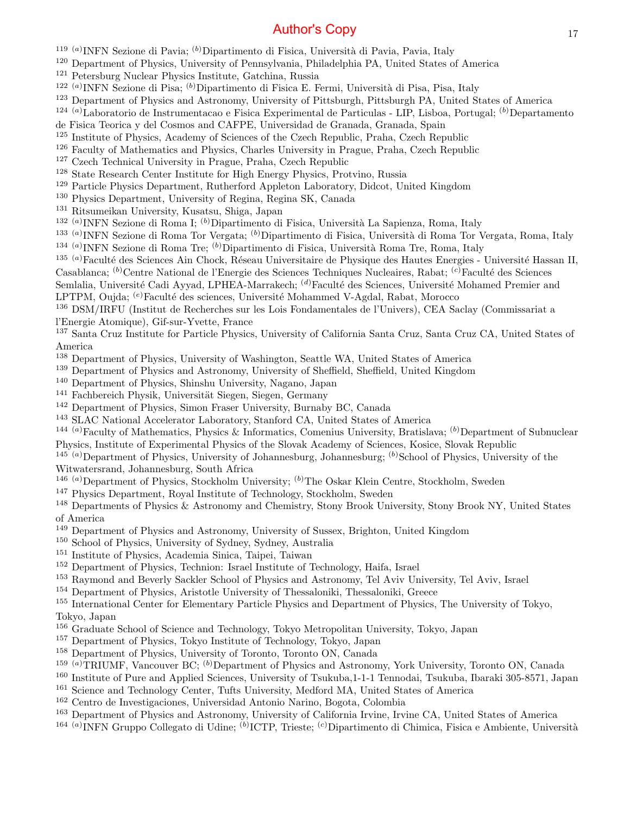<sup>119 (a)</sup>INFN Sezione di Pavia; <sup>(b)</sup>Dipartimento di Fisica, Università di Pavia, Pavia, Italy

- <sup>120</sup> Department of Physics, University of Pennsylvania, Philadelphia PA, United States of America
- <sup>121</sup> Petersburg Nuclear Physics Institute, Gatchina, Russia
- <sup>122 (a)</sup>INFN Sezione di Pisa; <sup>(b)</sup>Dipartimento di Fisica E. Fermi, Università di Pisa, Pisa, Italy
- <sup>123</sup> Department of Physics and Astronomy, University of Pittsburgh, Pittsburgh PA, United States of America
- <sup>124 (a)</sup>Laboratorio de Instrumentacao e Fisica Experimental de Particulas LIP, Lisboa, Portugal; <sup>(b)</sup>Departamento
- de Fisica Teorica y del Cosmos and CAFPE, Universidad de Granada, Granada, Spain
- <sup>125</sup> Institute of Physics, Academy of Sciences of the Czech Republic, Praha, Czech Republic
- <sup>126</sup> Faculty of Mathematics and Physics, Charles University in Prague, Praha, Czech Republic
- <sup>127</sup> Czech Technical University in Prague, Praha, Czech Republic
- <sup>128</sup> State Research Center Institute for High Energy Physics, Protvino, Russia
- <sup>129</sup> Particle Physics Department, Rutherford Appleton Laboratory, Didcot, United Kingdom
- <sup>130</sup> Physics Department, University of Regina, Regina SK, Canada
- <sup>131</sup> Ritsumeikan University, Kusatsu, Shiga, Japan

<sup>132 (a)</sup>INFN Sezione di Roma I; <sup>(b)</sup>Dipartimento di Fisica, Università La Sapienza, Roma, Italy

- <sup>133 (a)</sup>INFN Sezione di Roma Tor Vergata; <sup>(b)</sup>Dipartimento di Fisica, Università di Roma Tor Vergata, Roma, Italy <sup>134 (a)</sup>INFN Sezione di Roma Tre; <sup>(b)</sup>Dipartimento di Fisica, Università Roma Tre, Roma, Italy
- <sup>135 (a)</sup>Faculté des Sciences Ain Chock, Réseau Universitaire de Physique des Hautes Energies Université Hassan II,
- Casablanca; <sup>(b)</sup>Centre National de l'Energie des Sciences Techniques Nucleaires, Rabat; <sup>(c)</sup>Faculté des Sciences

Semlalia, Université Cadi Ayyad, LPHEA-Marrakech; <sup>(d)</sup>Faculté des Sciences, Université Mohamed Premier and

LPTPM, Oujda; <sup>(e)</sup>Faculté des sciences, Université Mohammed V-Agdal, Rabat, Morocco

<sup>136</sup> DSM/IRFU (Institut de Recherches sur les Lois Fondamentales de l'Univers), CEA Saclay (Commissariat a l'Energie Atomique), Gif-sur-Yvette, France

<sup>137</sup> Santa Cruz Institute for Particle Physics, University of California Santa Cruz, Santa Cruz CA, United States of America

- <sup>138</sup> Department of Physics, University of Washington, Seattle WA, United States of America
- <sup>139</sup> Department of Physics and Astronomy, University of Sheffield, Sheffield, United Kingdom
- <sup>140</sup> Department of Physics, Shinshu University, Nagano, Japan
- <sup>141</sup> Fachbereich Physik, Universität Siegen, Siegen, Germany
- <sup>142</sup> Department of Physics, Simon Fraser University, Burnaby BC, Canada
- <sup>143</sup> SLAC National Accelerator Laboratory, Stanford CA, United States of America
- <sup>144 (a)</sup>Faculty of Mathematics, Physics & Informatics, Comenius University, Bratislava; <sup>(b)</sup>Department of Subnuclear Physics, Institute of Experimental Physics of the Slovak Academy of Sciences, Kosice, Slovak Republic
- <sup>145 (a)</sup>Department of Physics, University of Johannesburg, Johannesburg;  $(b)$ School of Physics, University of the Witwatersrand, Johannesburg, South Africa
- <sup>146 (a)</sup>Department of Physics, Stockholm University; <sup>(b)</sup>The Oskar Klein Centre, Stockholm, Sweden
- <sup>147</sup> Physics Department, Royal Institute of Technology, Stockholm, Sweden

<sup>148</sup> Departments of Physics & Astronomy and Chemistry, Stony Brook University, Stony Brook NY, United States of America

- <sup>149</sup> Department of Physics and Astronomy, University of Sussex, Brighton, United Kingdom
- <sup>150</sup> School of Physics, University of Sydney, Sydney, Australia
- <sup>151</sup> Institute of Physics, Academia Sinica, Taipei, Taiwan
- <sup>152</sup> Department of Physics, Technion: Israel Institute of Technology, Haifa, Israel
- <sup>153</sup> Raymond and Beverly Sackler School of Physics and Astronomy, Tel Aviv University, Tel Aviv, Israel
- <sup>154</sup> Department of Physics, Aristotle University of Thessaloniki, Thessaloniki, Greece
- <sup>155</sup> International Center for Elementary Particle Physics and Department of Physics, The University of Tokyo, Tokyo, Japan
- <sup>156</sup> Graduate School of Science and Technology, Tokyo Metropolitan University, Tokyo, Japan
- <sup>157</sup> Department of Physics, Tokyo Institute of Technology, Tokyo, Japan
- <sup>158</sup> Department of Physics, University of Toronto, Toronto ON, Canada
- <sup>159 (a)</sup>TRIUMF, Vancouver BC; <sup>(b)</sup>Department of Physics and Astronomy, York University, Toronto ON, Canada
- <sup>160</sup> Institute of Pure and Applied Sciences, University of Tsukuba,1-1-1 Tennodai, Tsukuba, Ibaraki 305-8571, Japan
- <sup>161</sup> Science and Technology Center, Tufts University, Medford MA, United States of America
- <sup>162</sup> Centro de Investigaciones, Universidad Antonio Narino, Bogota, Colombia
- <sup>163</sup> Department of Physics and Astronomy, University of California Irvine, Irvine CA, United States of America
- <sup>164 (a)</sup>INFN Gruppo Collegato di Udine; <sup>(b)</sup>ICTP, Trieste; <sup>(c)</sup>Dipartimento di Chimica, Fisica e Ambiente, Università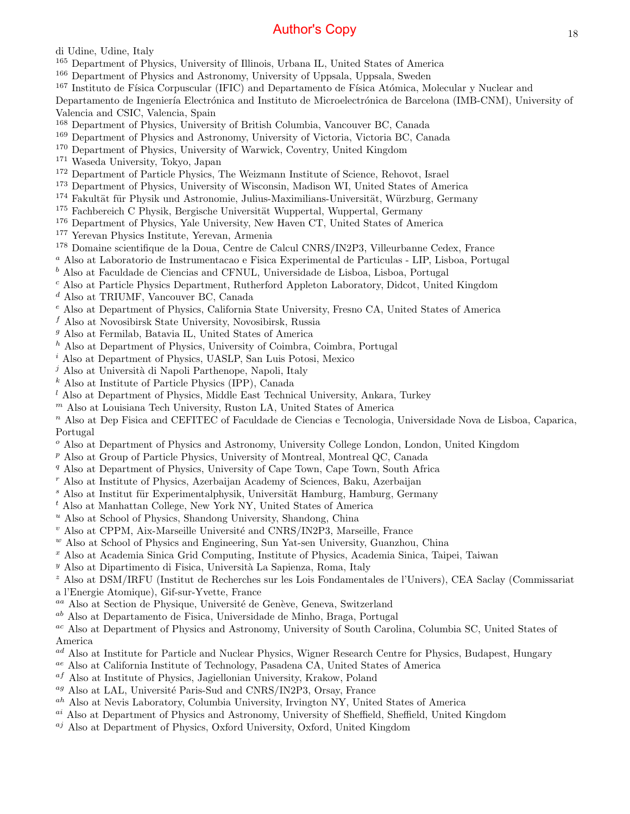di Udine, Udine, Italy

- <sup>165</sup> Department of Physics, University of Illinois, Urbana IL, United States of America
- <sup>166</sup> Department of Physics and Astronomy, University of Uppsala, Uppsala, Sweden
- <sup>167</sup> Instituto de Física Corpuscular (IFIC) and Departamento de Física Atómica, Molecular y Nuclear and

Departamento de Ingeniería Electrónica and Instituto de Microelectrónica de Barcelona (IMB-CNM), University of Valencia and CSIC, Valencia, Spain

- <sup>168</sup> Department of Physics, University of British Columbia, Vancouver BC, Canada
- <sup>169</sup> Department of Physics and Astronomy, University of Victoria, Victoria BC, Canada
- <sup>170</sup> Department of Physics, University of Warwick, Coventry, United Kingdom
- <sup>171</sup> Waseda University, Tokyo, Japan
- <sup>172</sup> Department of Particle Physics, The Weizmann Institute of Science, Rehovot, Israel
- <sup>173</sup> Department of Physics, University of Wisconsin, Madison WI, United States of America
- <sup>174</sup> Fakultät für Physik und Astronomie, Julius-Maximilians-Universität, Würzburg, Germany
- $175$  Fachbereich C Physik, Bergische Universität Wuppertal, Wuppertal, Germany
- <sup>176</sup> Department of Physics, Yale University, New Haven CT, United States of America
- <sup>177</sup> Yerevan Physics Institute, Yerevan, Armenia
- <sup>178</sup> Domaine scientifique de la Doua, Centre de Calcul CNRS/IN2P3, Villeurbanne Cedex, France
- <sup>a</sup> Also at Laboratorio de Instrumentacao e Fisica Experimental de Particulas LIP, Lisboa, Portugal
- $<sup>b</sup>$  Also at Faculdade de Ciencias and CFNUL, Universidade de Lisboa, Lisboa, Portugal</sup>
- <sup>c</sup> Also at Particle Physics Department, Rutherford Appleton Laboratory, Didcot, United Kingdom
- <sup>d</sup> Also at TRIUMF, Vancouver BC, Canada
- <sup>e</sup> Also at Department of Physics, California State University, Fresno CA, United States of America
- $f$  Also at Novosibirsk State University, Novosibirsk, Russia
- <sup>g</sup> Also at Fermilab, Batavia IL, United States of America
- <sup>h</sup> Also at Department of Physics, University of Coimbra, Coimbra, Portugal
- <sup>i</sup> Also at Department of Physics, UASLP, San Luis Potosi, Mexico
- $j$  Also at Università di Napoli Parthenope, Napoli, Italy
- <sup>k</sup> Also at Institute of Particle Physics (IPP), Canada
- $l$  Also at Department of Physics, Middle East Technical University, Ankara, Turkey
- $<sup>m</sup>$  Also at Louisiana Tech University, Ruston LA, United States of America</sup>

<sup>n</sup> Also at Dep Fisica and CEFITEC of Faculdade de Ciencias e Tecnologia, Universidade Nova de Lisboa, Caparica, Portugal

- <sup>o</sup> Also at Department of Physics and Astronomy, University College London, London, United Kingdom
- <sup>p</sup> Also at Group of Particle Physics, University of Montreal, Montreal QC, Canada
- <sup>q</sup> Also at Department of Physics, University of Cape Town, Cape Town, South Africa
- <sup>r</sup> Also at Institute of Physics, Azerbaijan Academy of Sciences, Baku, Azerbaijan
- <sup>8</sup> Also at Institut für Experimentalphysik, Universität Hamburg, Hamburg, Germany
- <sup>t</sup> Also at Manhattan College, New York NY, United States of America
- $^u$  Also at School of Physics, Shandong University, Shandong, China
- $v$  Also at CPPM, Aix-Marseille Université and CNRS/IN2P3, Marseille, France
- $W$  Also at School of Physics and Engineering, Sun Yat-sen University, Guanzhou, China
- $x$  Also at Academia Sinica Grid Computing, Institute of Physics, Academia Sinica, Taipei, Taiwan
- $y$  Also at Dipartimento di Fisica, Università La Sapienza, Roma, Italy
- <sup>z</sup> Also at DSM/IRFU (Institut de Recherches sur les Lois Fondamentales de l'Univers), CEA Saclay (Commissariat
- a l'Energie Atomique), Gif-sur-Yvette, France
- $^{aa}$  Also at Section de Physique, Université de Genève, Geneva, Switzerland
- ab Also at Departamento de Fisica, Universidade de Minho, Braga, Portugal

ac Also at Department of Physics and Astronomy, University of South Carolina, Columbia SC, United States of America

- <sup>ad</sup> Also at Institute for Particle and Nuclear Physics, Wigner Research Centre for Physics, Budapest, Hungary
- ae Also at California Institute of Technology, Pasadena CA, United States of America
- $a<sup>f</sup>$  Also at Institute of Physics, Jagiellonian University, Krakow, Poland
- <sup>ag</sup> Also at LAL, Université Paris-Sud and CNRS/IN2P3, Orsay, France
- ah Also at Nevis Laboratory, Columbia University, Irvington NY, United States of America
- <sup>ai</sup> Also at Department of Physics and Astronomy, University of Sheffield, Sheffield, United Kingdom
- $a_j$  Also at Department of Physics, Oxford University, Oxford, United Kingdom